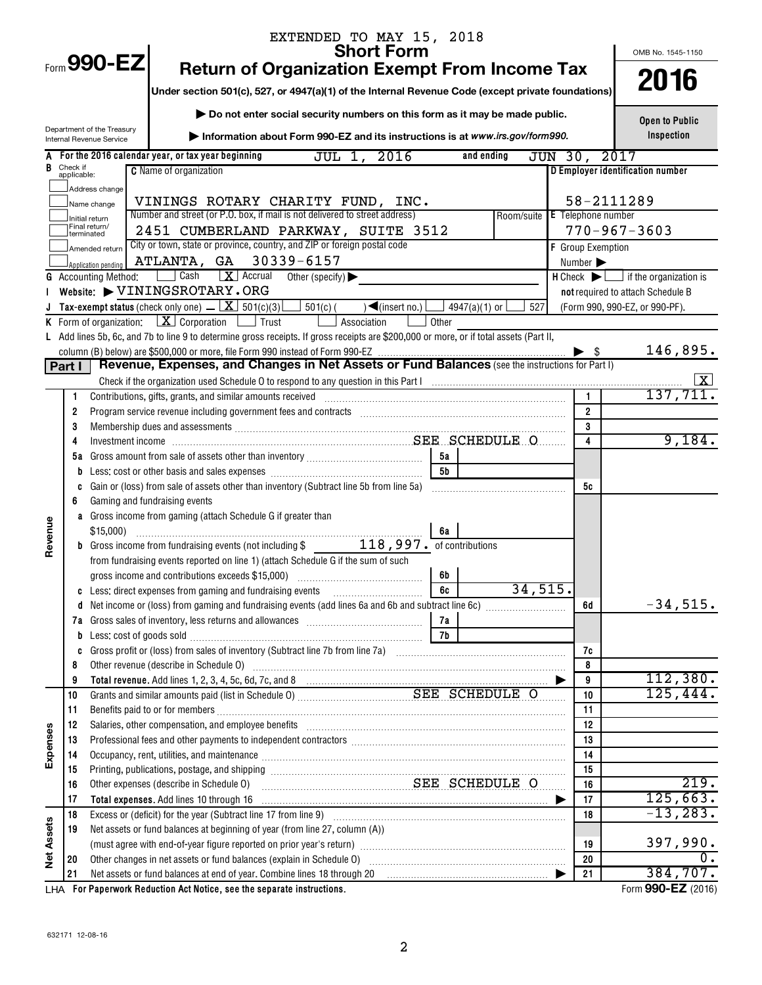| <b>Short Form</b><br>OMB No. 1545-1150                                                                                                                                                                                                                                                                                                    |             |
|-------------------------------------------------------------------------------------------------------------------------------------------------------------------------------------------------------------------------------------------------------------------------------------------------------------------------------------------|-------------|
| Form 990-EZ<br><b>Return of Organization Exempt From Income Tax</b>                                                                                                                                                                                                                                                                       |             |
| 2016<br>Under section 501(c), 527, or 4947(a)(1) of the Internal Revenue Code (except private foundations)                                                                                                                                                                                                                                |             |
| Do not enter social security numbers on this form as it may be made public.                                                                                                                                                                                                                                                               |             |
| <b>Open to Public</b><br>Department of the Treasury<br>Inspection<br>Information about Form 990-EZ and its instructions is at www.irs.gov/form990.<br>Internal Revenue Service                                                                                                                                                            |             |
| JUL 1, 2016<br>JUN 30, 2017<br>For the 2016 calendar year, or tax year beginning<br>and ending                                                                                                                                                                                                                                            |             |
| Check if<br>applicable:<br><b>C</b> Name of organization<br>D Employer identification number                                                                                                                                                                                                                                              |             |
| Address change                                                                                                                                                                                                                                                                                                                            |             |
| 58-2111289<br>VININGS ROTARY CHARITY FUND, INC.<br>Name change                                                                                                                                                                                                                                                                            |             |
| Number and street (or P.O. box, if mail is not delivered to street address)<br>Room/suite E Telephone number<br>Initial return                                                                                                                                                                                                            |             |
| Final return/<br>$770 - 967 - 3603$<br>2451 CUMBERLAND PARKWAY, SUITE 3512<br>terminated                                                                                                                                                                                                                                                  |             |
| City or town, state or province, country, and ZIP or foreign postal code<br><b>F</b> Group Exemption<br>Amended return                                                                                                                                                                                                                    |             |
| ATLANTA, GA 30339-6157<br>Number ><br>Application pending                                                                                                                                                                                                                                                                                 |             |
| Cash<br>$\boxed{\mathbf{X}}$ Accrual Other (specify)<br>$H$ Check $\blacktriangleright$ $\Box$ if the organization is<br><b>G</b> Accounting Method:                                                                                                                                                                                      |             |
| Website: VININGSROTARY.ORG<br>not required to attach Schedule B                                                                                                                                                                                                                                                                           |             |
| <b>Tax-exempt status</b> (check only one) $\underline{\mathbf{X}}$ 501(c)(3) $\underline{\mathbf{S}}$ 501(c)(<br>$\sqrt{\frac{2}{\text{S}}\left(\frac{1}{2}\right)}$<br>4947(a)(1) or<br>527<br>(Form 990, 990-EZ, or 990-PF).                                                                                                            |             |
| <b>K</b> Form of organization: $X \cdot \text{Corporation}$ $\Box$ Trust<br>Association<br>Other                                                                                                                                                                                                                                          |             |
| L Add lines 5b, 6c, and 7b to line 9 to determine gross receipts. If gross receipts are \$200,000 or more, or if total assets (Part II,                                                                                                                                                                                                   |             |
| $\blacktriangleright$ s<br>Revenue, Expenses, and Changes in Net Assets or Fund Balances (see the instructions for Part I)                                                                                                                                                                                                                | 146,895.    |
| Part I                                                                                                                                                                                                                                                                                                                                    |             |
| Check if the organization used Schedule O to respond to any question in this Part I manufactured in the organization used Schedule O to respond to any question in this Part I<br>$\mathbf{1}$<br>Contributions, gifts, grants, and similar amounts received manufactured contributions, gifts, grants, and similar amounts received<br>1 | 137,711.    |
| $\overline{2}$<br>Program service revenue including government fees and contracts [11, 11] manuscription contracts [11] Program Service revenue including government fees and contracts [11] manuscription of the service of the service of the<br>2                                                                                      |             |
| 3<br>3                                                                                                                                                                                                                                                                                                                                    |             |
| 4<br>4                                                                                                                                                                                                                                                                                                                                    | 9,184.      |
| 5а<br>5а                                                                                                                                                                                                                                                                                                                                  |             |
| 5 <sub>b</sub><br>b                                                                                                                                                                                                                                                                                                                       |             |
| Gain or (loss) from sale of assets other than inventory (Subtract line 5b from line 5a)<br>5с<br>C                                                                                                                                                                                                                                        |             |
| Gaming and fundraising events<br>6                                                                                                                                                                                                                                                                                                        |             |
| a Gross income from gaming (attach Schedule G if greater than                                                                                                                                                                                                                                                                             |             |
| Revenue                                                                                                                                                                                                                                                                                                                                   |             |
|                                                                                                                                                                                                                                                                                                                                           |             |
| from fundraising events reported on line 1) (attach Schedule G if the sum of such                                                                                                                                                                                                                                                         |             |
| 6b                                                                                                                                                                                                                                                                                                                                        |             |
| 34,515.<br>Less: direct expenses from gaming and fundraising events<br>6с<br>C                                                                                                                                                                                                                                                            |             |
| 6d<br>d                                                                                                                                                                                                                                                                                                                                   | $-34,515.$  |
| Gross sales of inventory, less returns and allowances [111] [11] [11] Gross sales of inventory, less returns and allowances [11] [11] [11] $\frac{1}{2}$<br>7a<br>7а                                                                                                                                                                      |             |
| Less: cost of goods sold with an annumerator and contact the state of goods sold<br>7b<br>b                                                                                                                                                                                                                                               |             |
| 7c<br>c<br>Other revenue (describe in Schedule O) manufactured and content to the schedule of the content of the content of the content of the content of the content of the content of the content of the content of the content of the<br>8<br>8                                                                                        |             |
| 9<br>9                                                                                                                                                                                                                                                                                                                                    | 112,380.    |
| Grants and similar amounts paid (list in Schedule 0) Material Material SEE SCHEDULE O<br>125,444.<br>10<br>10                                                                                                                                                                                                                             |             |
| 11<br>11                                                                                                                                                                                                                                                                                                                                  |             |
| Salaries, other compensation, and employee benefits [111] [12] manufactures in the compensation and employee benefits [11] manufactures in the compensation and employee benefits [12] manufactures in the competition of the<br>12<br>12                                                                                                 |             |
| Expenses<br>Professional fees and other payments to independent contractors [111] [11] professional fees and other payments to independent contractors [11] professional fees and other payments to independent contractors [11] professio<br>13<br>13                                                                                    |             |
| Occupancy, rent, utilities, and maintenance manufactured and according term of the manufacture of the manufacture<br>14<br>14                                                                                                                                                                                                             |             |
| 15<br>15                                                                                                                                                                                                                                                                                                                                  |             |
| SEE SCHEDULE O<br>Other expenses (describe in Schedule O)<br>16<br>16                                                                                                                                                                                                                                                                     | 219.        |
| 17<br>Total expenses. Add lines 10 through 16<br>17                                                                                                                                                                                                                                                                                       | 125,663.    |
| 18<br>18                                                                                                                                                                                                                                                                                                                                  | $-13, 283.$ |
| Net assets or fund balances at beginning of year (from line 27, column (A))<br>19                                                                                                                                                                                                                                                         |             |
| <b>Net Assets</b><br>19                                                                                                                                                                                                                                                                                                                   | 397,990.    |
| 20<br>20                                                                                                                                                                                                                                                                                                                                  | 384,707.    |
| Net assets or fund balances at end of year. Combine lines 18 through 20 [11] [20] [11] Met assets or fund balances at end of year. Combine lines 18 through 20<br>21<br>21<br>Form 990-EZ (2016)<br>LHA For Paperwork Reduction Act Notice, see the separate instructions.                                                                |             |

**990-EZ**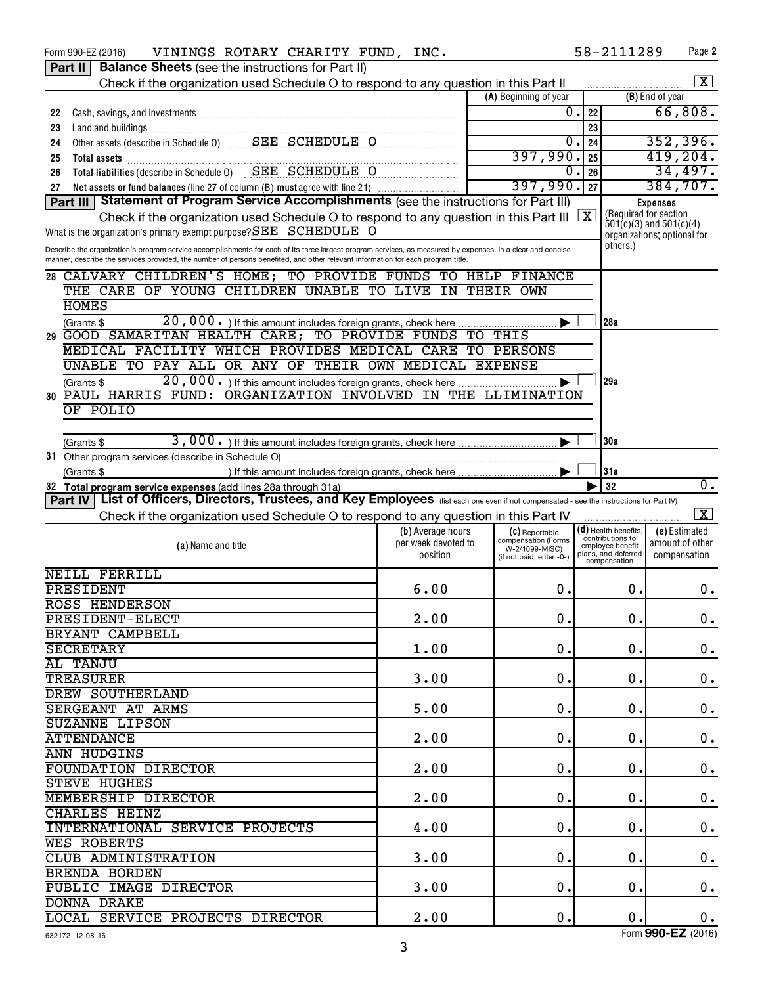|    | <b>Part II   Balance Sheets</b> (see the instructions for Part II)                                                                                                      |                     |                                       |                                            |                                                                             |  |  |  |  |  |  |  |  |  |
|----|-------------------------------------------------------------------------------------------------------------------------------------------------------------------------|---------------------|---------------------------------------|--------------------------------------------|-----------------------------------------------------------------------------|--|--|--|--|--|--|--|--|--|
|    | Check if the organization used Schedule O to respond to any question in this Part II                                                                                    |                     |                                       |                                            | $\vert$ X $\vert$                                                           |  |  |  |  |  |  |  |  |  |
|    |                                                                                                                                                                         |                     | (A) Beginning of year                 |                                            | (B) End of year                                                             |  |  |  |  |  |  |  |  |  |
| 22 |                                                                                                                                                                         |                     | 0.                                    | 22                                         | 66,808.                                                                     |  |  |  |  |  |  |  |  |  |
| 23 | Land and buildings                                                                                                                                                      |                     |                                       | 23                                         |                                                                             |  |  |  |  |  |  |  |  |  |
| 24 |                                                                                                                                                                         |                     | 0.                                    | 24                                         | 352,396.                                                                    |  |  |  |  |  |  |  |  |  |
| 25 |                                                                                                                                                                         |                     | 397,990.                              | 25                                         | 419,204.                                                                    |  |  |  |  |  |  |  |  |  |
| 26 | Total liabilities (describe in Schedule 0) SEE SCHEDULE O                                                                                                               |                     | 0.                                    | 26                                         | 34,497.                                                                     |  |  |  |  |  |  |  |  |  |
| 27 | Net assets or fund balances (line 27 of column (B) must agree with line 21)                                                                                             |                     | 397,990.                              | 27                                         | 384,707.                                                                    |  |  |  |  |  |  |  |  |  |
|    | Part III   Statement of Program Service Accomplishments (see the instructions for Part III)<br><b>Expenses</b>                                                          |                     |                                       |                                            |                                                                             |  |  |  |  |  |  |  |  |  |
|    | (Required for section<br>$\sqrt{x}$<br>Check if the organization used Schedule O to respond to any question in this Part III                                            |                     |                                       |                                            |                                                                             |  |  |  |  |  |  |  |  |  |
|    | $\dot{5}01(c)(3)$ and $501(c)(4)$<br>What is the organization's primary exempt purpose? SEE SCHEDULE O<br>organizations; optional for                                   |                     |                                       |                                            |                                                                             |  |  |  |  |  |  |  |  |  |
|    | others.)<br>Describe the organization's program service accomplishments for each of its three largest program services, as measured by expenses. In a clear and concise |                     |                                       |                                            |                                                                             |  |  |  |  |  |  |  |  |  |
|    | manner, describe the services provided, the number of persons benefited, and other relevant information for each program title.                                         |                     |                                       |                                            |                                                                             |  |  |  |  |  |  |  |  |  |
|    | 28 CALVARY CHILDREN'S HOME; TO PROVIDE FUNDS TO HELP FINANCE                                                                                                            |                     |                                       |                                            |                                                                             |  |  |  |  |  |  |  |  |  |
|    | THE CARE OF YOUNG CHILDREN UNABLE TO LIVE IN THEIR OWN                                                                                                                  |                     |                                       |                                            |                                                                             |  |  |  |  |  |  |  |  |  |
|    | <b>HOMES</b>                                                                                                                                                            |                     |                                       |                                            |                                                                             |  |  |  |  |  |  |  |  |  |
|    | (Grants \$                                                                                                                                                              |                     |                                       | 28a                                        |                                                                             |  |  |  |  |  |  |  |  |  |
|    | 29 GOOD SAMARITAN HEALTH CARE; TO PROVIDE FUNDS TO THIS                                                                                                                 |                     |                                       |                                            |                                                                             |  |  |  |  |  |  |  |  |  |
|    | MEDICAL FACILITY WHICH PROVIDES MEDICAL CARE TO PERSONS                                                                                                                 |                     |                                       |                                            |                                                                             |  |  |  |  |  |  |  |  |  |
|    | UNABLE TO PAY ALL OR ANY OF THEIR OWN MEDICAL EXPENSE                                                                                                                   |                     |                                       |                                            |                                                                             |  |  |  |  |  |  |  |  |  |
|    | 20,000. If this amount includes foreign grants, check here<br>(Grants \$                                                                                                |                     |                                       | 129a                                       |                                                                             |  |  |  |  |  |  |  |  |  |
|    | 30 PAUL HARRIS FUND: ORGANIZATION INVOLVED IN THE LLIMINATION                                                                                                           |                     |                                       |                                            |                                                                             |  |  |  |  |  |  |  |  |  |
|    | OF POLIO                                                                                                                                                                |                     |                                       |                                            |                                                                             |  |  |  |  |  |  |  |  |  |
|    |                                                                                                                                                                         |                     |                                       |                                            |                                                                             |  |  |  |  |  |  |  |  |  |
|    | (Grants \$                                                                                                                                                              |                     |                                       | 30a                                        |                                                                             |  |  |  |  |  |  |  |  |  |
|    |                                                                                                                                                                         |                     |                                       |                                            |                                                                             |  |  |  |  |  |  |  |  |  |
|    | (Grants \$                                                                                                                                                              |                     |                                       | 31a                                        |                                                                             |  |  |  |  |  |  |  |  |  |
|    | 32 Total program service expenses (add lines 28a through 31a)                                                                                                           |                     |                                       | 32                                         | 0.                                                                          |  |  |  |  |  |  |  |  |  |
|    | Part IV   List of Officers, Directors, Trustees, and Key Employees (list each one even if not compensated - see the instructions for Part IV)                           |                     |                                       |                                            |                                                                             |  |  |  |  |  |  |  |  |  |
|    | Check if the organization used Schedule O to respond to any question in this Part IV                                                                                    |                     |                                       |                                            | $\overline{\mathbf{x}}$                                                     |  |  |  |  |  |  |  |  |  |
|    |                                                                                                                                                                         | (b) Average hours   | (C) Reportable<br>compensation (Forms | $(d)$ Health benefits,<br>contributions to | (e) Estimated                                                               |  |  |  |  |  |  |  |  |  |
|    | (a) Name and title                                                                                                                                                      | per week devoted to | W-2/1099-MISC)                        | employee benefit                           | amount of other                                                             |  |  |  |  |  |  |  |  |  |
|    |                                                                                                                                                                         |                     |                                       | compensation                               | plans, and deferred<br>position<br>compensation<br>(if not paid, enter -0-) |  |  |  |  |  |  |  |  |  |
|    | <b>NEILL FERRILL</b>                                                                                                                                                    |                     |                                       |                                            |                                                                             |  |  |  |  |  |  |  |  |  |
|    | PRESIDENT                                                                                                                                                               | 6.00                | 0.                                    |                                            |                                                                             |  |  |  |  |  |  |  |  |  |
|    | <b>ROSS HENDERSON</b>                                                                                                                                                   |                     |                                       | 0.                                         | 0.                                                                          |  |  |  |  |  |  |  |  |  |
|    | <b>PRESIDENT-ELECT</b>                                                                                                                                                  |                     |                                       |                                            |                                                                             |  |  |  |  |  |  |  |  |  |
|    |                                                                                                                                                                         | 2.00                | $\mathbf 0$ .                         | $\mathbf 0$ .                              | $0$ .                                                                       |  |  |  |  |  |  |  |  |  |
|    | BRYANT CAMPBELL                                                                                                                                                         |                     |                                       |                                            |                                                                             |  |  |  |  |  |  |  |  |  |
|    | <b>SECRETARY</b>                                                                                                                                                        | 1.00                | 0.                                    | 0.                                         | 0.                                                                          |  |  |  |  |  |  |  |  |  |
|    | AL TANJU                                                                                                                                                                |                     |                                       |                                            |                                                                             |  |  |  |  |  |  |  |  |  |
|    | <b>TREASURER</b>                                                                                                                                                        | 3.00                | 0.                                    | 0.                                         | 0.                                                                          |  |  |  |  |  |  |  |  |  |
|    | <b>DREW SOUTHERLAND</b>                                                                                                                                                 |                     |                                       |                                            |                                                                             |  |  |  |  |  |  |  |  |  |
|    | SERGEANT AT ARMS                                                                                                                                                        | 5.00                | 0.                                    | 0.                                         | 0.                                                                          |  |  |  |  |  |  |  |  |  |
|    | <b>SUZANNE LIPSON</b>                                                                                                                                                   |                     |                                       |                                            |                                                                             |  |  |  |  |  |  |  |  |  |
|    | <b>ATTENDANCE</b>                                                                                                                                                       | 2.00                | 0.                                    | 0.                                         | 0.                                                                          |  |  |  |  |  |  |  |  |  |
|    | ANN HUDGINS                                                                                                                                                             |                     |                                       |                                            |                                                                             |  |  |  |  |  |  |  |  |  |
|    | FOUNDATION DIRECTOR                                                                                                                                                     | 2.00                | 0.                                    | 0.                                         | 0.                                                                          |  |  |  |  |  |  |  |  |  |
|    | <b>STEVE HUGHES</b>                                                                                                                                                     |                     |                                       |                                            |                                                                             |  |  |  |  |  |  |  |  |  |
|    | MEMBERSHIP DIRECTOR                                                                                                                                                     | 2.00                | 0.                                    | 0.                                         | 0.                                                                          |  |  |  |  |  |  |  |  |  |
|    | CHARLES HEINZ                                                                                                                                                           |                     |                                       |                                            |                                                                             |  |  |  |  |  |  |  |  |  |
|    | INTERNATIONAL SERVICE PROJECTS                                                                                                                                          | 4.00                | $\mathbf 0$ .                         | 0.                                         | 0.                                                                          |  |  |  |  |  |  |  |  |  |
|    | WES ROBERTS                                                                                                                                                             |                     |                                       |                                            |                                                                             |  |  |  |  |  |  |  |  |  |
|    | CLUB ADMINISTRATION                                                                                                                                                     | 3.00                | 0.                                    | 0.                                         | 0.                                                                          |  |  |  |  |  |  |  |  |  |
|    | BRENDA BORDEN                                                                                                                                                           |                     |                                       |                                            |                                                                             |  |  |  |  |  |  |  |  |  |
|    | PUBLIC IMAGE DIRECTOR                                                                                                                                                   | 3.00                | $\mathbf 0$ .                         | 0.                                         | 0.                                                                          |  |  |  |  |  |  |  |  |  |
|    | <b>DONNA DRAKE</b><br>LOCAL SERVICE PROJECTS DIRECTOR                                                                                                                   | 2.00                | 0.                                    | $\mathbf 0$ .                              | 0.                                                                          |  |  |  |  |  |  |  |  |  |

Form 990-EZ (2016) Page VININGS ROTARY CHARITY FUND, INC. 58-2111289

Form (2016) **990-EZ** 

**2**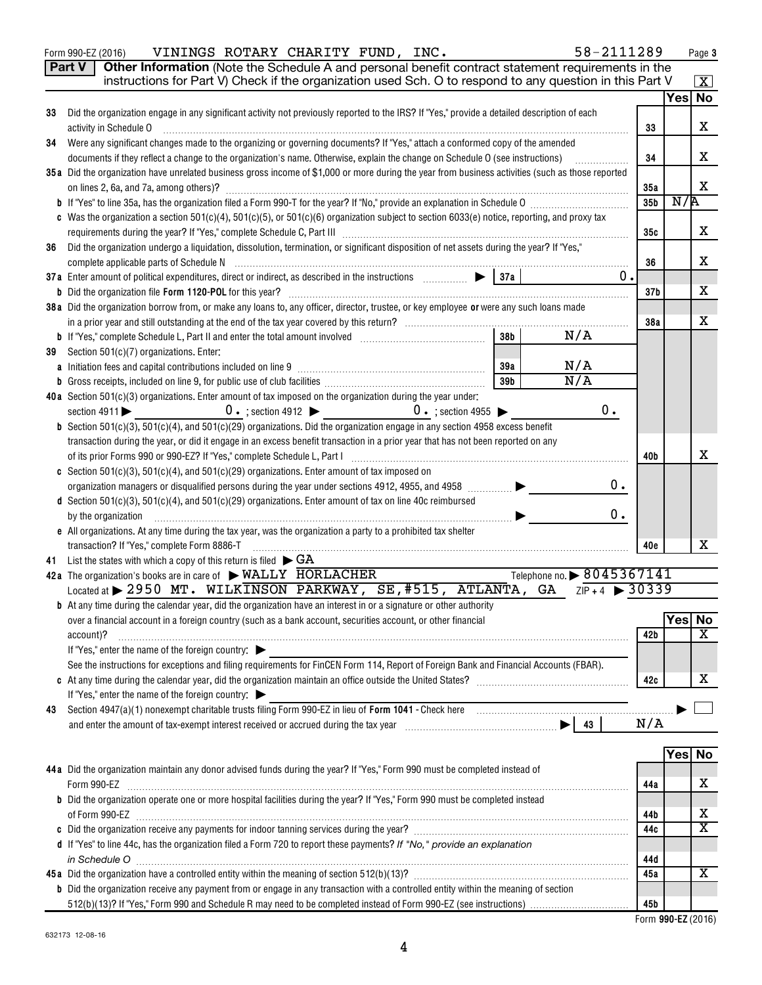|    | 58-2111289<br>VININGS ROTARY CHARITY FUND, INC.<br>Form 990-EZ (2016)                                                                                                                                                          |                 |        | Page 3             |  |  |  |  |
|----|--------------------------------------------------------------------------------------------------------------------------------------------------------------------------------------------------------------------------------|-----------------|--------|--------------------|--|--|--|--|
|    | Other Information (Note the Schedule A and personal benefit contract statement requirements in the<br>Part V                                                                                                                   |                 |        |                    |  |  |  |  |
|    | instructions for Part V) Check if the organization used Sch. O to respond to any question in this Part V                                                                                                                       |                 |        | $\boxed{\text{X}}$ |  |  |  |  |
|    |                                                                                                                                                                                                                                |                 | Yes No |                    |  |  |  |  |
| 33 | Did the organization engage in any significant activity not previously reported to the IRS? If "Yes," provide a detailed description of each                                                                                   |                 |        |                    |  |  |  |  |
|    | activity in Schedule O<br>33                                                                                                                                                                                                   |                 |        |                    |  |  |  |  |
| 34 | Were any significant changes made to the organizing or governing documents? If "Yes," attach a conformed copy of the amended                                                                                                   |                 |        |                    |  |  |  |  |
|    | documents if they reflect a change to the organization's name. Otherwise, explain the change on Schedule O (see instructions)                                                                                                  | 34              |        | х                  |  |  |  |  |
|    | 35a Did the organization have unrelated business gross income of \$1,000 or more during the year from business activities (such as those reported                                                                              |                 |        |                    |  |  |  |  |
|    | on lines 2, 6a, and 7a, among others)?                                                                                                                                                                                         | 35a             | N/R    | х                  |  |  |  |  |
|    |                                                                                                                                                                                                                                |                 |        |                    |  |  |  |  |
|    | c Was the organization a section 501(c)(4), 501(c)(5), or 501(c)(6) organization subject to section 6033(e) notice, reporting, and proxy tax                                                                                   |                 |        |                    |  |  |  |  |
|    |                                                                                                                                                                                                                                | 35с             |        | х                  |  |  |  |  |
| 36 | Did the organization undergo a liquidation, dissolution, termination, or significant disposition of net assets during the year? If "Yes,"                                                                                      |                 |        |                    |  |  |  |  |
|    |                                                                                                                                                                                                                                | 36              |        | x                  |  |  |  |  |
|    | 0.                                                                                                                                                                                                                             |                 |        |                    |  |  |  |  |
|    |                                                                                                                                                                                                                                | 37 <sub>b</sub> |        | x                  |  |  |  |  |
|    | 38a Did the organization borrow from, or make any loans to, any officer, director, trustee, or key employee or were any such loans made                                                                                        |                 |        |                    |  |  |  |  |
|    | 38 <sub>b</sub><br>N/A                                                                                                                                                                                                         | 38a             |        | x                  |  |  |  |  |
|    |                                                                                                                                                                                                                                |                 |        |                    |  |  |  |  |
| 39 | Section 501(c)(7) organizations. Enter:<br>N/A<br>39a                                                                                                                                                                          |                 |        |                    |  |  |  |  |
|    | N/A<br>39 <sub>b</sub>                                                                                                                                                                                                         |                 |        |                    |  |  |  |  |
|    | 40a Section 501(c)(3) organizations. Enter amount of tax imposed on the organization during the year under:                                                                                                                    |                 |        |                    |  |  |  |  |
|    | 0.<br>$0 \cdot$ ; section 4912 $\triangleright$ $0 \cdot$ ; section 4955 $\triangleright$<br>section $4911$                                                                                                                    |                 |        |                    |  |  |  |  |
|    | <b>b</b> Section $501(c)(3)$ , $501(c)(4)$ , and $501(c)(29)$ organizations. Did the organization engage in any section 4958 excess benefit                                                                                    |                 |        |                    |  |  |  |  |
|    | transaction during the year, or did it engage in an excess benefit transaction in a prior year that has not been reported on any                                                                                               |                 |        |                    |  |  |  |  |
|    | of its prior Forms 990 or 990-EZ? If "Yes," complete Schedule L, Part I [1] [1] [1] [1] [1] [1] [1] [1] [1] [1                                                                                                                 | 40b             |        | х                  |  |  |  |  |
|    | c Section 501(c)(3), 501(c)(4), and 501(c)(29) organizations. Enter amount of tax imposed on                                                                                                                                   |                 |        |                    |  |  |  |  |
|    | 0.<br>organization managers or disqualified persons during the year under sections 4912, 4955, and 4958                                                                                                                        |                 |        |                    |  |  |  |  |
|    | d Section 501(c)(3), 501(c)(4), and 501(c)(29) organizations. Enter amount of tax on line 40c reimbursed                                                                                                                       |                 |        |                    |  |  |  |  |
|    | 0.<br>by the organization                                                                                                                                                                                                      |                 |        |                    |  |  |  |  |
|    | e All organizations. At any time during the tax year, was the organization a party to a prohibited tax shelter                                                                                                                 |                 |        |                    |  |  |  |  |
|    | transaction? If "Yes," complete Form 8886-T                                                                                                                                                                                    | 40e             |        | x                  |  |  |  |  |
| 41 | List the states with which a copy of this return is filed $\blacktriangleright$ GA                                                                                                                                             |                 |        |                    |  |  |  |  |
|    | Telephone no. > 8045367141<br>42a The organization's books are in care of $\triangleright$ WALLY HORLACHER<br>Located at > 2950 MT. WILKINSON PARKWAY, SE, #515, ATLANTA, GA $ZIP+4$ > 30339                                   |                 |        |                    |  |  |  |  |
|    | <b>b</b> At any time during the calendar year, did the organization have an interest in or a signature or other authority                                                                                                      |                 |        |                    |  |  |  |  |
|    | over a financial account in a foreign country (such as a bank account, securities account, or other financial                                                                                                                  |                 | Yes No |                    |  |  |  |  |
|    | account)?                                                                                                                                                                                                                      | 42b             |        | х                  |  |  |  |  |
|    | If "Yes," enter the name of the foreign country:                                                                                                                                                                               |                 |        |                    |  |  |  |  |
|    | See the instructions for exceptions and filing requirements for FinCEN Form 114, Report of Foreign Bank and Financial Accounts (FBAR).                                                                                         |                 |        |                    |  |  |  |  |
|    |                                                                                                                                                                                                                                | 42c             |        | х                  |  |  |  |  |
|    | If "Yes," enter the name of the foreign country: $\blacktriangleright$                                                                                                                                                         |                 |        |                    |  |  |  |  |
| 43 | Section 4947(a)(1) nonexempt charitable trusts filing Form 990-EZ in lieu of Form 1041 - Check here manufactured and the manufactured with the Section 4947(a)(1) nonexempt charitable trusts filing Form 990-EZ in lieu of Fo |                 |        |                    |  |  |  |  |
|    |                                                                                                                                                                                                                                | N/A             |        |                    |  |  |  |  |
|    |                                                                                                                                                                                                                                |                 |        |                    |  |  |  |  |
|    |                                                                                                                                                                                                                                |                 | Yes No |                    |  |  |  |  |
|    | 44a Did the organization maintain any donor advised funds during the year? If "Yes," Form 990 must be completed instead of                                                                                                     |                 |        |                    |  |  |  |  |
|    | Form 990-EZ                                                                                                                                                                                                                    | 44a             |        | x                  |  |  |  |  |
|    | b Did the organization operate one or more hospital facilities during the year? If "Yes," Form 990 must be completed instead                                                                                                   |                 |        |                    |  |  |  |  |
|    |                                                                                                                                                                                                                                | 44 b            |        | x                  |  |  |  |  |
|    |                                                                                                                                                                                                                                | 44c             |        | х                  |  |  |  |  |
|    | d If "Yes" to line 44c, has the organization filed a Form 720 to report these payments? If "No," provide an explanation                                                                                                        |                 |        |                    |  |  |  |  |
|    | in Schedule O                                                                                                                                                                                                                  | 44d<br>45a      |        | x                  |  |  |  |  |
|    | <b>b</b> Did the organization receive any payment from or engage in any transaction with a controlled entity within the meaning of section                                                                                     |                 |        |                    |  |  |  |  |
|    |                                                                                                                                                                                                                                | 45b             |        |                    |  |  |  |  |
|    |                                                                                                                                                                                                                                |                 |        |                    |  |  |  |  |

| . |                    |  |
|---|--------------------|--|
|   | Form 990-EZ (2016) |  |

**Page 3**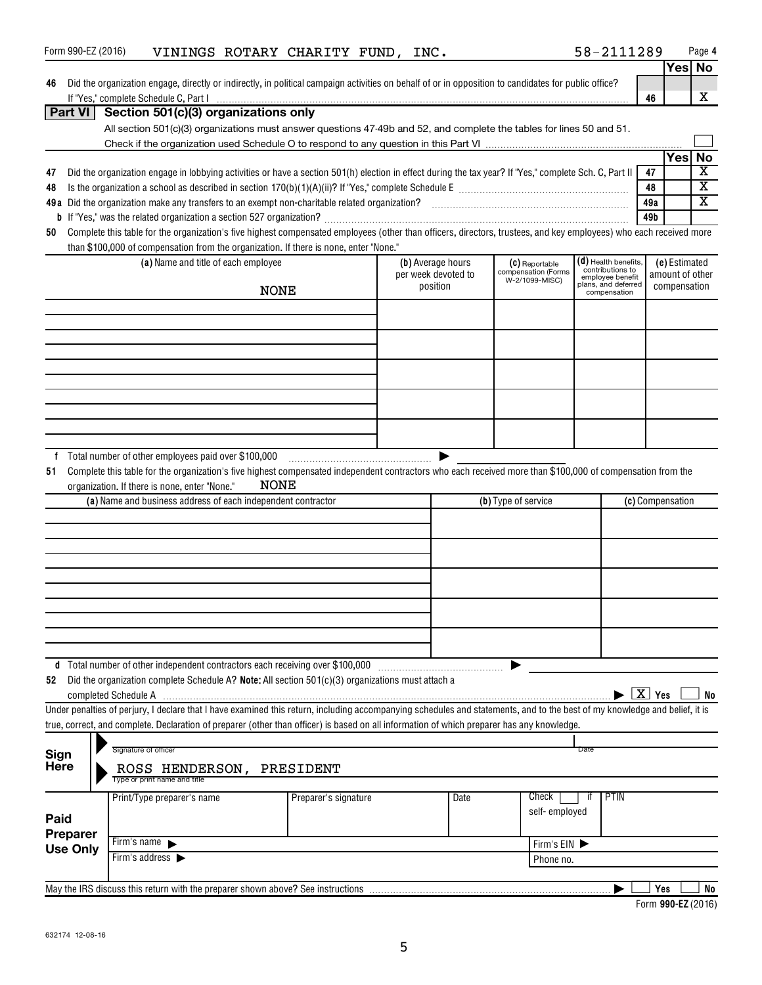|                     | Form 990-EZ (2016) |                                               | VININGS ROTARY CHARITY FUND, INC.                            |                                                                                                   |  |                                 |                                                                                                                                                                            |            | 58-2111289                                   |     |                                 | Page 4                  |
|---------------------|--------------------|-----------------------------------------------|--------------------------------------------------------------|---------------------------------------------------------------------------------------------------|--|---------------------------------|----------------------------------------------------------------------------------------------------------------------------------------------------------------------------|------------|----------------------------------------------|-----|---------------------------------|-------------------------|
|                     |                    |                                               |                                                              |                                                                                                   |  |                                 |                                                                                                                                                                            |            |                                              |     |                                 | Yes No                  |
| 46                  |                    |                                               |                                                              |                                                                                                   |  |                                 | Did the organization engage, directly or indirectly, in political campaign activities on behalf of or in opposition to candidates for public office?                       |            |                                              |     |                                 |                         |
|                     |                    |                                               |                                                              |                                                                                                   |  |                                 |                                                                                                                                                                            |            |                                              | 46  |                                 | X                       |
|                     | <b>Part VI</b>     |                                               | Section 501(c)(3) organizations only                         |                                                                                                   |  |                                 | All section 501(c)(3) organizations must answer questions 47-49b and 52, and complete the tables for lines 50 and 51.                                                      |            |                                              |     |                                 |                         |
|                     |                    |                                               |                                                              |                                                                                                   |  |                                 |                                                                                                                                                                            |            |                                              |     |                                 |                         |
|                     |                    |                                               |                                                              |                                                                                                   |  |                                 |                                                                                                                                                                            |            |                                              |     | Yes                             | No                      |
| 47                  |                    |                                               |                                                              |                                                                                                   |  |                                 | Did the organization engage in lobbying activities or have a section 501(h) election in effect during the tax year? If "Yes," complete Sch. C, Part II                     |            |                                              | 47  |                                 | $\overline{\textbf{X}}$ |
| 48                  |                    |                                               |                                                              |                                                                                                   |  |                                 |                                                                                                                                                                            |            |                                              | 48  |                                 | $\overline{\mathbf{X}}$ |
|                     |                    |                                               |                                                              |                                                                                                   |  |                                 |                                                                                                                                                                            |            |                                              | 49a |                                 | $\overline{\texttt{x}}$ |
|                     |                    |                                               |                                                              |                                                                                                   |  |                                 |                                                                                                                                                                            |            |                                              | 49b |                                 |                         |
| 50                  |                    |                                               |                                                              |                                                                                                   |  |                                 | Complete this table for the organization's five highest compensated employees (other than officers, directors, trustees, and key employees) who each received more         |            |                                              |     |                                 |                         |
|                     |                    |                                               |                                                              | than \$100,000 of compensation from the organization. If there is none, enter "None."             |  |                                 |                                                                                                                                                                            |            |                                              |     |                                 |                         |
|                     |                    |                                               | (a) Name and title of each employee                          |                                                                                                   |  | (b) Average hours               | (C) Reportable<br>compensation (Forms                                                                                                                                      |            | (d) Health benefits,<br>contributions to     |     | (e) Estimated                   |                         |
|                     |                    |                                               |                                                              |                                                                                                   |  | per week devoted to<br>position | W-2/1099-MISC)                                                                                                                                                             |            | employee benefit<br>plans, and deferred      |     | amount of other<br>compensation |                         |
|                     |                    |                                               | <b>NONE</b>                                                  |                                                                                                   |  |                                 |                                                                                                                                                                            |            | compensation                                 |     |                                 |                         |
|                     |                    |                                               |                                                              |                                                                                                   |  |                                 |                                                                                                                                                                            |            |                                              |     |                                 |                         |
|                     |                    |                                               |                                                              |                                                                                                   |  |                                 |                                                                                                                                                                            |            |                                              |     |                                 |                         |
|                     |                    |                                               |                                                              |                                                                                                   |  |                                 |                                                                                                                                                                            |            |                                              |     |                                 |                         |
|                     |                    |                                               |                                                              |                                                                                                   |  |                                 |                                                                                                                                                                            |            |                                              |     |                                 |                         |
|                     |                    |                                               |                                                              |                                                                                                   |  |                                 |                                                                                                                                                                            |            |                                              |     |                                 |                         |
|                     |                    |                                               |                                                              |                                                                                                   |  |                                 |                                                                                                                                                                            |            |                                              |     |                                 |                         |
|                     |                    |                                               |                                                              |                                                                                                   |  |                                 |                                                                                                                                                                            |            |                                              |     |                                 |                         |
|                     |                    |                                               |                                                              |                                                                                                   |  |                                 |                                                                                                                                                                            |            |                                              |     |                                 |                         |
|                     |                    |                                               |                                                              |                                                                                                   |  |                                 |                                                                                                                                                                            |            |                                              |     |                                 |                         |
| f                   |                    |                                               |                                                              |                                                                                                   |  |                                 |                                                                                                                                                                            |            |                                              |     |                                 |                         |
| 51                  |                    |                                               |                                                              |                                                                                                   |  |                                 | Complete this table for the organization's five highest compensated independent contractors who each received more than \$100,000 of compensation from the                 |            |                                              |     |                                 |                         |
|                     |                    | organization. If there is none, enter "None." | NONE                                                         |                                                                                                   |  |                                 |                                                                                                                                                                            |            |                                              |     |                                 |                         |
|                     |                    |                                               | (a) Name and business address of each independent contractor |                                                                                                   |  |                                 | (b) Type of service                                                                                                                                                        |            |                                              |     | (c) Compensation                |                         |
|                     |                    |                                               |                                                              |                                                                                                   |  |                                 |                                                                                                                                                                            |            |                                              |     |                                 |                         |
|                     |                    |                                               |                                                              |                                                                                                   |  |                                 |                                                                                                                                                                            |            |                                              |     |                                 |                         |
|                     |                    |                                               |                                                              |                                                                                                   |  |                                 |                                                                                                                                                                            |            |                                              |     |                                 |                         |
|                     |                    |                                               |                                                              |                                                                                                   |  |                                 |                                                                                                                                                                            |            |                                              |     |                                 |                         |
|                     |                    |                                               |                                                              |                                                                                                   |  |                                 |                                                                                                                                                                            |            |                                              |     |                                 |                         |
|                     |                    |                                               |                                                              |                                                                                                   |  |                                 |                                                                                                                                                                            |            |                                              |     |                                 |                         |
|                     |                    |                                               |                                                              |                                                                                                   |  |                                 |                                                                                                                                                                            |            |                                              |     |                                 |                         |
|                     |                    |                                               |                                                              |                                                                                                   |  |                                 |                                                                                                                                                                            |            |                                              |     |                                 |                         |
|                     |                    |                                               |                                                              |                                                                                                   |  |                                 |                                                                                                                                                                            |            |                                              |     |                                 |                         |
|                     |                    |                                               |                                                              | d Total number of other independent contractors each receiving over \$100,000                     |  |                                 |                                                                                                                                                                            |            |                                              |     |                                 |                         |
| 52                  |                    |                                               |                                                              | Did the organization complete Schedule A? Note: All section 501(c)(3) organizations must attach a |  |                                 |                                                                                                                                                                            |            |                                              |     |                                 |                         |
|                     |                    |                                               |                                                              |                                                                                                   |  |                                 |                                                                                                                                                                            |            | $\blacktriangleright$ $\boxed{\text{X}}$ Yes |     |                                 | No                      |
|                     |                    |                                               |                                                              |                                                                                                   |  |                                 | Under penalties of perjury, I declare that I have examined this return, including accompanying schedules and statements, and to the best of my knowledge and belief, it is |            |                                              |     |                                 |                         |
|                     |                    |                                               |                                                              |                                                                                                   |  |                                 | true, correct, and complete. Declaration of preparer (other than officer) is based on all information of which preparer has any knowledge.                                 |            |                                              |     |                                 |                         |
|                     |                    | Signature of officer                          |                                                              |                                                                                                   |  |                                 |                                                                                                                                                                            | Date       |                                              |     |                                 |                         |
| Sign<br><b>Here</b> |                    |                                               | ROSS HENDERSON, PRESIDENT                                    |                                                                                                   |  |                                 |                                                                                                                                                                            |            |                                              |     |                                 |                         |
|                     |                    | Type or print name and title                  |                                                              |                                                                                                   |  |                                 |                                                                                                                                                                            |            |                                              |     |                                 |                         |
|                     |                    | Print/Type preparer's name                    |                                                              | Preparer's signature                                                                              |  | Date                            | Check                                                                                                                                                                      | ït         | PTIN                                         |     |                                 |                         |
|                     |                    |                                               |                                                              |                                                                                                   |  |                                 | self-employed                                                                                                                                                              |            |                                              |     |                                 |                         |
| Paid                |                    |                                               |                                                              |                                                                                                   |  |                                 |                                                                                                                                                                            |            |                                              |     |                                 |                         |
|                     | <b>Preparer</b>    | Firm's name $\blacktriangleright$             |                                                              |                                                                                                   |  |                                 |                                                                                                                                                                            | Firm's EIN |                                              |     |                                 |                         |
|                     | <b>Use Only</b>    | Firm's address $\blacktriangleright$          |                                                              |                                                                                                   |  |                                 | Phone no.                                                                                                                                                                  |            |                                              |     |                                 |                         |
|                     |                    |                                               |                                                              |                                                                                                   |  |                                 |                                                                                                                                                                            |            |                                              |     |                                 |                         |
|                     |                    |                                               |                                                              | May the IRS discuss this return with the preparer shown above? See instructions                   |  |                                 |                                                                                                                                                                            |            |                                              | Yes |                                 | No                      |
|                     |                    |                                               |                                                              |                                                                                                   |  |                                 |                                                                                                                                                                            |            |                                              |     |                                 | $Form 000-E7/9016$      |

| Form 990-EZ (2016) |  |
|--------------------|--|
|                    |  |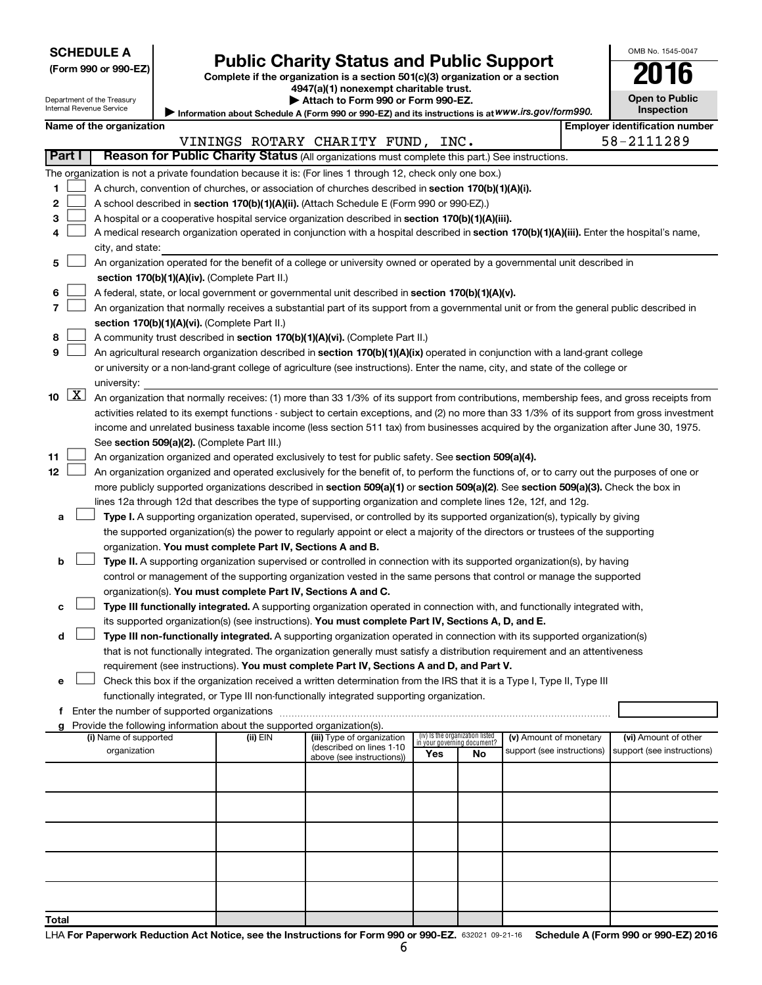| (Form 990 or 990-EZ |  |  |  |  |
|---------------------|--|--|--|--|
|---------------------|--|--|--|--|

# Form 990 or 990-EZ) **Public Charity Status and Public Support**<br>
Complete if the organization is a section 501(c)(3) organization or a section<br> **2016**

**4947(a)(1) nonexempt charitable trust.**

|                                                                                                   | Attach to Form 990 or Form 990-EZ. |  |
|---------------------------------------------------------------------------------------------------|------------------------------------|--|
| Information about Schedule A (Form 990 or 990-EZ) and its instructions is at WWW.irs.gov/form990. |                                    |  |

| 0-<br>IC                            |  |
|-------------------------------------|--|
| <b>Open to Public</b><br>Inspection |  |

1

OMB No. 1545-0047

Department of the Treasury Internal Revenue Service

|                             |                                                                                                                                                                                                              | Name of the organization                                                                                                                                                                                                        |          |                                                       |                             |                                 |                            |  | <b>Employer identification number</b> |  |
|-----------------------------|--------------------------------------------------------------------------------------------------------------------------------------------------------------------------------------------------------------|---------------------------------------------------------------------------------------------------------------------------------------------------------------------------------------------------------------------------------|----------|-------------------------------------------------------|-----------------------------|---------------------------------|----------------------------|--|---------------------------------------|--|
| Part I                      |                                                                                                                                                                                                              |                                                                                                                                                                                                                                 |          | VININGS ROTARY CHARITY FUND, INC.                     |                             |                                 |                            |  | 58-2111289                            |  |
|                             | Reason for Public Charity Status (All organizations must complete this part.) See instructions.<br>The organization is not a private foundation because it is: (For lines 1 through 12, check only one box.) |                                                                                                                                                                                                                                 |          |                                                       |                             |                                 |                            |  |                                       |  |
|                             |                                                                                                                                                                                                              |                                                                                                                                                                                                                                 |          |                                                       |                             |                                 |                            |  |                                       |  |
| 1.                          |                                                                                                                                                                                                              | A church, convention of churches, or association of churches described in section 170(b)(1)(A)(i).                                                                                                                              |          |                                                       |                             |                                 |                            |  |                                       |  |
| 2                           |                                                                                                                                                                                                              | A school described in section 170(b)(1)(A)(ii). (Attach Schedule E (Form 990 or 990-EZ).)                                                                                                                                       |          |                                                       |                             |                                 |                            |  |                                       |  |
| з                           |                                                                                                                                                                                                              | A hospital or a cooperative hospital service organization described in section 170(b)(1)(A)(iii).                                                                                                                               |          |                                                       |                             |                                 |                            |  |                                       |  |
| 4                           |                                                                                                                                                                                                              | A medical research organization operated in conjunction with a hospital described in section 170(b)(1)(A)(iii). Enter the hospital's name,                                                                                      |          |                                                       |                             |                                 |                            |  |                                       |  |
|                             |                                                                                                                                                                                                              | city, and state:<br>An organization operated for the benefit of a college or university owned or operated by a governmental unit described in                                                                                   |          |                                                       |                             |                                 |                            |  |                                       |  |
| 5                           |                                                                                                                                                                                                              | section 170(b)(1)(A)(iv). (Complete Part II.)                                                                                                                                                                                   |          |                                                       |                             |                                 |                            |  |                                       |  |
| 6                           |                                                                                                                                                                                                              | A federal, state, or local government or governmental unit described in section 170(b)(1)(A)(v).                                                                                                                                |          |                                                       |                             |                                 |                            |  |                                       |  |
| 7                           |                                                                                                                                                                                                              | An organization that normally receives a substantial part of its support from a governmental unit or from the general public described in                                                                                       |          |                                                       |                             |                                 |                            |  |                                       |  |
|                             |                                                                                                                                                                                                              | section 170(b)(1)(A)(vi). (Complete Part II.)                                                                                                                                                                                   |          |                                                       |                             |                                 |                            |  |                                       |  |
| 8                           |                                                                                                                                                                                                              | A community trust described in section 170(b)(1)(A)(vi). (Complete Part II.)                                                                                                                                                    |          |                                                       |                             |                                 |                            |  |                                       |  |
| 9                           |                                                                                                                                                                                                              | An agricultural research organization described in section 170(b)(1)(A)(ix) operated in conjunction with a land-grant college                                                                                                   |          |                                                       |                             |                                 |                            |  |                                       |  |
|                             |                                                                                                                                                                                                              | or university or a non-land-grant college of agriculture (see instructions). Enter the name, city, and state of the college or                                                                                                  |          |                                                       |                             |                                 |                            |  |                                       |  |
|                             |                                                                                                                                                                                                              | university:                                                                                                                                                                                                                     |          |                                                       |                             |                                 |                            |  |                                       |  |
| $10 \quad \boxed{\text{X}}$ |                                                                                                                                                                                                              | An organization that normally receives: (1) more than 33 1/3% of its support from contributions, membership fees, and gross receipts from                                                                                       |          |                                                       |                             |                                 |                            |  |                                       |  |
|                             |                                                                                                                                                                                                              | activities related to its exempt functions - subject to certain exceptions, and (2) no more than 33 1/3% of its support from gross investment                                                                                   |          |                                                       |                             |                                 |                            |  |                                       |  |
|                             |                                                                                                                                                                                                              | income and unrelated business taxable income (less section 511 tax) from businesses acquired by the organization after June 30, 1975.                                                                                           |          |                                                       |                             |                                 |                            |  |                                       |  |
|                             |                                                                                                                                                                                                              | See section 509(a)(2). (Complete Part III.)                                                                                                                                                                                     |          |                                                       |                             |                                 |                            |  |                                       |  |
| 11                          |                                                                                                                                                                                                              | An organization organized and operated exclusively to test for public safety. See section 509(a)(4).                                                                                                                            |          |                                                       |                             |                                 |                            |  |                                       |  |
| 12                          |                                                                                                                                                                                                              | An organization organized and operated exclusively for the benefit of, to perform the functions of, or to carry out the purposes of one or                                                                                      |          |                                                       |                             |                                 |                            |  |                                       |  |
|                             |                                                                                                                                                                                                              | more publicly supported organizations described in section 509(a)(1) or section 509(a)(2). See section 509(a)(3). Check the box in                                                                                              |          |                                                       |                             |                                 |                            |  |                                       |  |
|                             |                                                                                                                                                                                                              | lines 12a through 12d that describes the type of supporting organization and complete lines 12e, 12f, and 12g.                                                                                                                  |          |                                                       |                             |                                 |                            |  |                                       |  |
| а                           |                                                                                                                                                                                                              | Type I. A supporting organization operated, supervised, or controlled by its supported organization(s), typically by giving                                                                                                     |          |                                                       |                             |                                 |                            |  |                                       |  |
|                             |                                                                                                                                                                                                              | the supported organization(s) the power to regularly appoint or elect a majority of the directors or trustees of the supporting                                                                                                 |          |                                                       |                             |                                 |                            |  |                                       |  |
|                             |                                                                                                                                                                                                              | organization. You must complete Part IV, Sections A and B.                                                                                                                                                                      |          |                                                       |                             |                                 |                            |  |                                       |  |
| b                           |                                                                                                                                                                                                              | Type II. A supporting organization supervised or controlled in connection with its supported organization(s), by having                                                                                                         |          |                                                       |                             |                                 |                            |  |                                       |  |
|                             |                                                                                                                                                                                                              | control or management of the supporting organization vested in the same persons that control or manage the supported                                                                                                            |          |                                                       |                             |                                 |                            |  |                                       |  |
|                             |                                                                                                                                                                                                              | organization(s). You must complete Part IV, Sections A and C.                                                                                                                                                                   |          |                                                       |                             |                                 |                            |  |                                       |  |
| с                           |                                                                                                                                                                                                              | Type III functionally integrated. A supporting organization operated in connection with, and functionally integrated with,                                                                                                      |          |                                                       |                             |                                 |                            |  |                                       |  |
| d                           |                                                                                                                                                                                                              | its supported organization(s) (see instructions). You must complete Part IV, Sections A, D, and E.<br>Type III non-functionally integrated. A supporting organization operated in connection with its supported organization(s) |          |                                                       |                             |                                 |                            |  |                                       |  |
|                             |                                                                                                                                                                                                              | that is not functionally integrated. The organization generally must satisfy a distribution requirement and an attentiveness                                                                                                    |          |                                                       |                             |                                 |                            |  |                                       |  |
|                             |                                                                                                                                                                                                              | requirement (see instructions). You must complete Part IV, Sections A and D, and Part V.                                                                                                                                        |          |                                                       |                             |                                 |                            |  |                                       |  |
|                             |                                                                                                                                                                                                              | Check this box if the organization received a written determination from the IRS that it is a Type I, Type II, Type III                                                                                                         |          |                                                       |                             |                                 |                            |  |                                       |  |
|                             |                                                                                                                                                                                                              | functionally integrated, or Type III non-functionally integrated supporting organization.                                                                                                                                       |          |                                                       |                             |                                 |                            |  |                                       |  |
|                             |                                                                                                                                                                                                              | f Enter the number of supported organizations                                                                                                                                                                                   |          |                                                       |                             |                                 |                            |  |                                       |  |
|                             |                                                                                                                                                                                                              | g Provide the following information about the supported organization(s).                                                                                                                                                        |          |                                                       |                             |                                 |                            |  |                                       |  |
|                             |                                                                                                                                                                                                              | (i) Name of supported                                                                                                                                                                                                           | (ii) EIN | (iii) Type of organization                            | in your governing document? | (iv) Is the organization listed | (v) Amount of monetary     |  | (vi) Amount of other                  |  |
|                             |                                                                                                                                                                                                              | organization                                                                                                                                                                                                                    |          | (described on lines 1-10<br>above (see instructions)) | Yes                         | No                              | support (see instructions) |  | support (see instructions)            |  |
|                             |                                                                                                                                                                                                              |                                                                                                                                                                                                                                 |          |                                                       |                             |                                 |                            |  |                                       |  |
|                             |                                                                                                                                                                                                              |                                                                                                                                                                                                                                 |          |                                                       |                             |                                 |                            |  |                                       |  |
|                             |                                                                                                                                                                                                              |                                                                                                                                                                                                                                 |          |                                                       |                             |                                 |                            |  |                                       |  |
|                             |                                                                                                                                                                                                              |                                                                                                                                                                                                                                 |          |                                                       |                             |                                 |                            |  |                                       |  |
|                             |                                                                                                                                                                                                              |                                                                                                                                                                                                                                 |          |                                                       |                             |                                 |                            |  |                                       |  |
|                             |                                                                                                                                                                                                              |                                                                                                                                                                                                                                 |          |                                                       |                             |                                 |                            |  |                                       |  |
|                             |                                                                                                                                                                                                              |                                                                                                                                                                                                                                 |          |                                                       |                             |                                 |                            |  |                                       |  |
|                             |                                                                                                                                                                                                              |                                                                                                                                                                                                                                 |          |                                                       |                             |                                 |                            |  |                                       |  |
|                             |                                                                                                                                                                                                              |                                                                                                                                                                                                                                 |          |                                                       |                             |                                 |                            |  |                                       |  |
|                             |                                                                                                                                                                                                              |                                                                                                                                                                                                                                 |          |                                                       |                             |                                 |                            |  |                                       |  |
| Total                       |                                                                                                                                                                                                              |                                                                                                                                                                                                                                 |          |                                                       |                             |                                 |                            |  |                                       |  |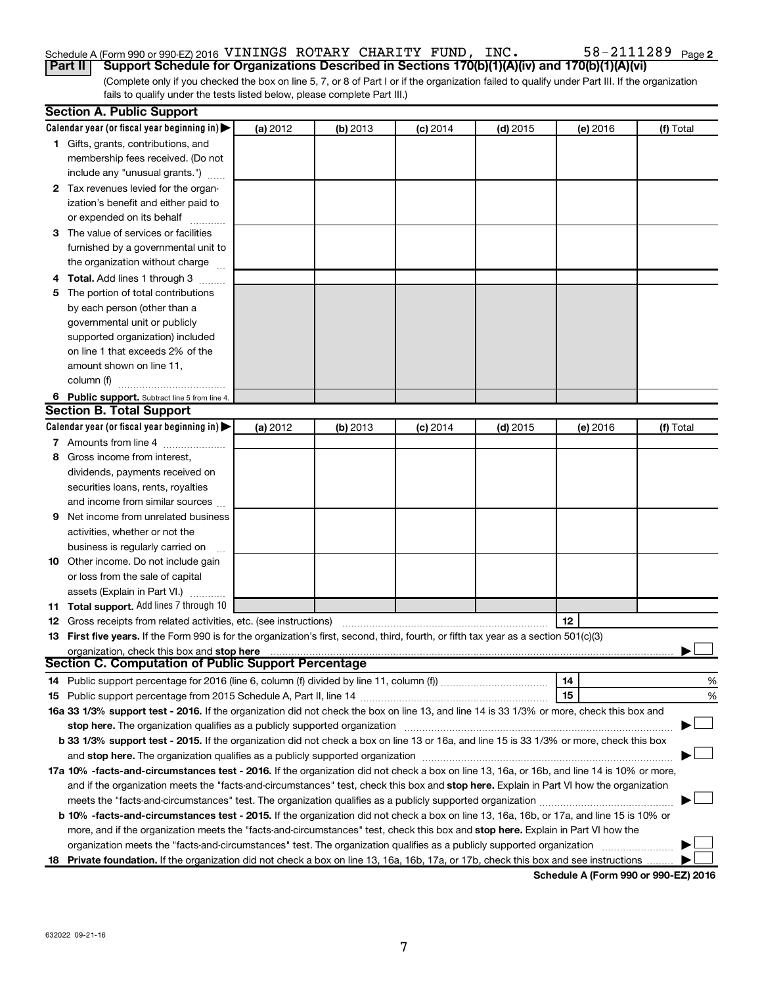### Schedule A (Form 990 or 990-EZ) 2016 <code>VININGS ROTARY CHARITY FUND</code> , <code>INC</code> .  $58-2111289$  <code>Page</code>

(Complete only if you checked the box on line 5, 7, or 8 of Part I or if the organization failed to qualify under Part III. If the organization fails to qualify under the tests listed below, please complete Part III.) **Part II Support Schedule for Organizations Described in Sections 170(b)(1)(A)(iv) and 170(b)(1)(A)(vi)**

|   | <b>Section A. Public Support</b>                                                                                                                                                                                               |          |          |            |            |          |           |
|---|--------------------------------------------------------------------------------------------------------------------------------------------------------------------------------------------------------------------------------|----------|----------|------------|------------|----------|-----------|
|   | Calendar year (or fiscal year beginning in)                                                                                                                                                                                    | (a) 2012 | (b) 2013 | $(c)$ 2014 | $(d)$ 2015 | (e) 2016 | (f) Total |
|   | 1 Gifts, grants, contributions, and                                                                                                                                                                                            |          |          |            |            |          |           |
|   | membership fees received. (Do not                                                                                                                                                                                              |          |          |            |            |          |           |
|   | include any "unusual grants.")                                                                                                                                                                                                 |          |          |            |            |          |           |
|   | 2 Tax revenues levied for the organ-                                                                                                                                                                                           |          |          |            |            |          |           |
|   | ization's benefit and either paid to                                                                                                                                                                                           |          |          |            |            |          |           |
|   | or expended on its behalf                                                                                                                                                                                                      |          |          |            |            |          |           |
|   | 3 The value of services or facilities                                                                                                                                                                                          |          |          |            |            |          |           |
|   | furnished by a governmental unit to                                                                                                                                                                                            |          |          |            |            |          |           |
|   | the organization without charge                                                                                                                                                                                                |          |          |            |            |          |           |
|   | 4 Total. Add lines 1 through 3                                                                                                                                                                                                 |          |          |            |            |          |           |
|   | 5 The portion of total contributions                                                                                                                                                                                           |          |          |            |            |          |           |
|   | by each person (other than a                                                                                                                                                                                                   |          |          |            |            |          |           |
|   | governmental unit or publicly                                                                                                                                                                                                  |          |          |            |            |          |           |
|   | supported organization) included                                                                                                                                                                                               |          |          |            |            |          |           |
|   | on line 1 that exceeds 2% of the                                                                                                                                                                                               |          |          |            |            |          |           |
|   | amount shown on line 11,                                                                                                                                                                                                       |          |          |            |            |          |           |
|   | column (f)                                                                                                                                                                                                                     |          |          |            |            |          |           |
|   | 6 Public support. Subtract line 5 from line 4.                                                                                                                                                                                 |          |          |            |            |          |           |
|   | <b>Section B. Total Support</b>                                                                                                                                                                                                |          |          |            |            |          |           |
|   | Calendar year (or fiscal year beginning in)                                                                                                                                                                                    | (a) 2012 | (b) 2013 | $(c)$ 2014 | $(d)$ 2015 | (e) 2016 | (f) Total |
|   | 7 Amounts from line 4                                                                                                                                                                                                          |          |          |            |            |          |           |
| 8 | Gross income from interest,                                                                                                                                                                                                    |          |          |            |            |          |           |
|   | dividends, payments received on                                                                                                                                                                                                |          |          |            |            |          |           |
|   | securities loans, rents, royalties                                                                                                                                                                                             |          |          |            |            |          |           |
|   | and income from similar sources                                                                                                                                                                                                |          |          |            |            |          |           |
| 9 | Net income from unrelated business                                                                                                                                                                                             |          |          |            |            |          |           |
|   | activities, whether or not the                                                                                                                                                                                                 |          |          |            |            |          |           |
|   | business is regularly carried on                                                                                                                                                                                               |          |          |            |            |          |           |
|   | 10 Other income. Do not include gain                                                                                                                                                                                           |          |          |            |            |          |           |
|   | or loss from the sale of capital                                                                                                                                                                                               |          |          |            |            |          |           |
|   | assets (Explain in Part VI.)                                                                                                                                                                                                   |          |          |            |            |          |           |
|   | 11 Total support. Add lines 7 through 10                                                                                                                                                                                       |          |          |            |            |          |           |
|   | <b>12</b> Gross receipts from related activities, etc. (see instructions)                                                                                                                                                      |          |          |            |            | 12       |           |
|   | 13 First five years. If the Form 990 is for the organization's first, second, third, fourth, or fifth tax year as a section 501(c)(3)                                                                                          |          |          |            |            |          |           |
|   | organization, check this box and stop here                                                                                                                                                                                     |          |          |            |            |          |           |
|   | <b>Section C. Computation of Public Support Percentage</b>                                                                                                                                                                     |          |          |            |            |          |           |
|   |                                                                                                                                                                                                                                |          |          |            |            | 14       | %         |
|   |                                                                                                                                                                                                                                |          |          |            |            | 15       | %         |
|   | 16a 33 1/3% support test - 2016. If the organization did not check the box on line 13, and line 14 is 33 1/3% or more, check this box and                                                                                      |          |          |            |            |          |           |
|   | stop here. The organization qualifies as a publicly supported organization manufaction manufacture or the organization manufacture or the organization manufacture or the organization manufacture or the state of the state o |          |          |            |            |          |           |
|   | b 33 1/3% support test - 2015. If the organization did not check a box on line 13 or 16a, and line 15 is 33 1/3% or more, check this box                                                                                       |          |          |            |            |          |           |
|   |                                                                                                                                                                                                                                |          |          |            |            |          |           |
|   | 17a 10% -facts-and-circumstances test - 2016. If the organization did not check a box on line 13, 16a, or 16b, and line 14 is 10% or more,                                                                                     |          |          |            |            |          |           |
|   | and if the organization meets the "facts-and-circumstances" test, check this box and stop here. Explain in Part VI how the organization                                                                                        |          |          |            |            |          |           |
|   |                                                                                                                                                                                                                                |          |          |            |            |          |           |
|   | b 10% -facts-and-circumstances test - 2015. If the organization did not check a box on line 13, 16a, 16b, or 17a, and line 15 is 10% or                                                                                        |          |          |            |            |          |           |
|   | more, and if the organization meets the "facts-and-circumstances" test, check this box and stop here. Explain in Part VI how the                                                                                               |          |          |            |            |          |           |
|   | organization meets the "facts-and-circumstances" test. The organization qualifies as a publicly supported organization                                                                                                         |          |          |            |            |          |           |
|   | 18 Private foundation. If the organization did not check a box on line 13, 16a, 16b, 17a, or 17b, check this box and see instructions                                                                                          |          |          |            |            |          |           |
|   |                                                                                                                                                                                                                                |          |          |            |            |          |           |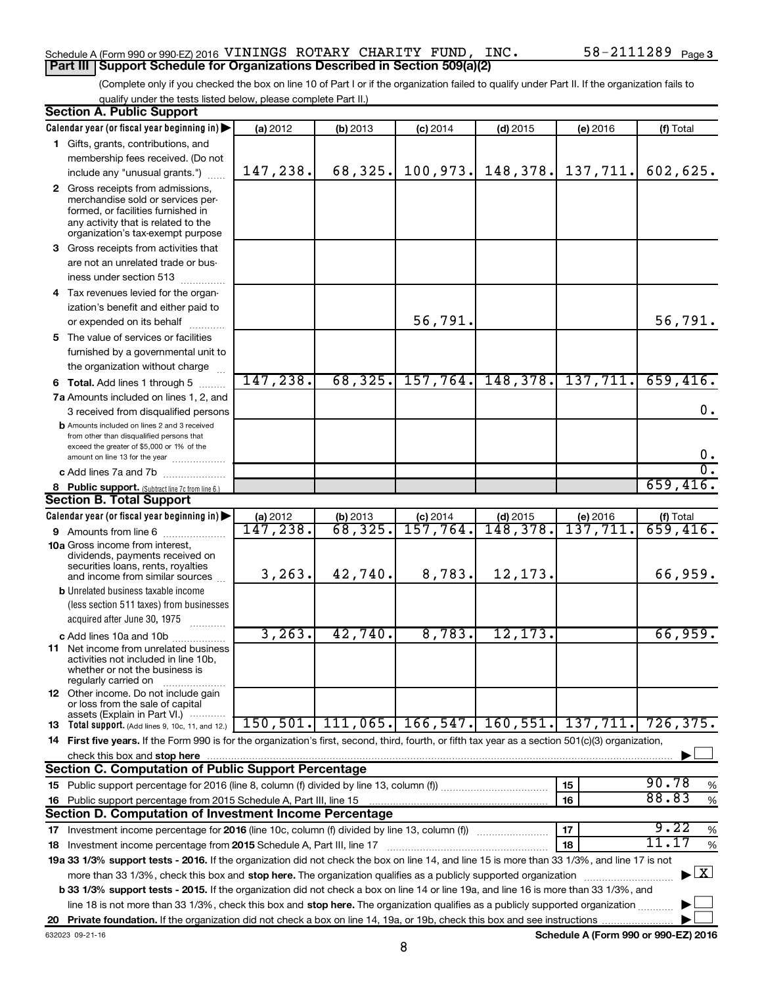#### Schedule A (Form 990 or 990-EZ) 2016 <code>VININGS ROTARY CHARITY FUND</code> , <code>INC</code> .  $58-2111289$  <code>Page</code> **Part III Support Schedule for Organizations Described in Section 509(a)(2)**

(Complete only if you checked the box on line 10 of Part I or if the organization failed to qualify under Part II. If the organization fails to qualify under the tests listed below, please complete Part II.)

|    | <b>Section A. Public Support</b>                                                                                                                                                 |                                |                              |                        |            |          |                          |
|----|----------------------------------------------------------------------------------------------------------------------------------------------------------------------------------|--------------------------------|------------------------------|------------------------|------------|----------|--------------------------|
|    | Calendar year (or fiscal year beginning in)                                                                                                                                      | (a) 2012                       | (b) 2013                     | $(c)$ 2014             | $(d)$ 2015 | (e) 2016 | (f) Total                |
|    | 1 Gifts, grants, contributions, and                                                                                                                                              |                                |                              |                        |            |          |                          |
|    | membership fees received. (Do not                                                                                                                                                |                                |                              |                        |            |          |                          |
|    | include any "unusual grants.")                                                                                                                                                   | 147,238.                       | 68,325.                      | 100,973.               | 148,378.   | 137,711. | 602,625.                 |
|    | 2 Gross receipts from admissions,                                                                                                                                                |                                |                              |                        |            |          |                          |
|    | merchandise sold or services per-<br>formed, or facilities furnished in<br>any activity that is related to the<br>organization's tax-exempt purpose                              |                                |                              |                        |            |          |                          |
|    | 3 Gross receipts from activities that                                                                                                                                            |                                |                              |                        |            |          |                          |
|    | are not an unrelated trade or bus-                                                                                                                                               |                                |                              |                        |            |          |                          |
|    | iness under section 513                                                                                                                                                          |                                |                              |                        |            |          |                          |
|    | 4 Tax revenues levied for the organ-                                                                                                                                             |                                |                              |                        |            |          |                          |
|    | ization's benefit and either paid to                                                                                                                                             |                                |                              |                        |            |          |                          |
|    | or expended on its behalf                                                                                                                                                        |                                |                              | 56,791.                |            |          | 56,791.                  |
|    | 5 The value of services or facilities                                                                                                                                            |                                |                              |                        |            |          |                          |
|    | furnished by a governmental unit to                                                                                                                                              |                                |                              |                        |            |          |                          |
|    | the organization without charge                                                                                                                                                  |                                |                              |                        |            |          |                          |
|    | 6 Total. Add lines 1 through 5                                                                                                                                                   | 147,238.                       | 68, 325.                     | 157,764.               | 148,378.   | 137,711. | 659,416.                 |
|    | 7a Amounts included on lines 1, 2, and                                                                                                                                           |                                |                              |                        |            |          |                          |
|    | 3 received from disqualified persons                                                                                                                                             |                                |                              |                        |            |          | $0$ .                    |
|    | <b>b</b> Amounts included on lines 2 and 3 received<br>from other than disqualified persons that<br>exceed the greater of \$5,000 or 1% of the<br>amount on line 13 for the year |                                |                              |                        |            |          | $0$ .                    |
|    | c Add lines 7a and 7b                                                                                                                                                            |                                |                              |                        |            |          | σ.                       |
|    | 8 Public support. (Subtract line 7c from line 6.)                                                                                                                                |                                |                              |                        |            |          | 659,416.                 |
|    | <b>Section B. Total Support</b>                                                                                                                                                  |                                |                              |                        |            |          |                          |
|    | Calendar year (or fiscal year beginning in)                                                                                                                                      |                                |                              | $(c)$ 2014             | $(d)$ 2015 | (e) 2016 |                          |
|    | <b>9</b> Amounts from line 6                                                                                                                                                     | $\frac{$ (a) 2012<br>147, 238. | (b) $2013$<br>$68$ , $325$ . | $\overline{157,764}$ . | 148,378.   | 137,711  | $(t)$ Total<br>659, 416. |
|    | <b>10a</b> Gross income from interest,<br>dividends, payments received on<br>securities loans, rents, royalties<br>and income from similar sources                               | 3, 263.                        | 42,740.                      | 8,783.                 | 12,173.    |          | 66,959.                  |
|    | <b>b</b> Unrelated business taxable income                                                                                                                                       |                                |                              |                        |            |          |                          |
|    | (less section 511 taxes) from businesses                                                                                                                                         |                                |                              |                        |            |          |                          |
|    | acquired after June 30, 1975                                                                                                                                                     |                                |                              |                        |            |          |                          |
|    | c Add lines 10a and 10b                                                                                                                                                          | 3, 263.                        | 42,740.                      | 8,783.                 | 12, 173.   |          | 66,959.                  |
|    | <b>11</b> Net income from unrelated business<br>activities not included in line 10b.<br>whether or not the business is<br>regularly carried on                                   |                                |                              |                        |            |          |                          |
|    | <b>12</b> Other income. Do not include gain<br>or loss from the sale of capital                                                                                                  |                                |                              |                        |            |          |                          |
|    | assets (Explain in Part VI.)<br><b>13</b> Total support. (Add lines 9, 10c, 11, and 12.)                                                                                         | 150, 501.                      | 111,065.                     | 166, 547.              | 160,551.   | 137,711. | 726, 375.                |
|    | 14 First five years. If the Form 990 is for the organization's first, second, third, fourth, or fifth tax year as a section 501(c)(3) organization,                              |                                |                              |                        |            |          |                          |
|    | check this box and stop here                                                                                                                                                     |                                |                              |                        |            |          |                          |
|    | <b>Section C. Computation of Public Support Percentage</b>                                                                                                                       |                                |                              |                        |            |          |                          |
|    |                                                                                                                                                                                  |                                |                              |                        |            | 15       | 90.78                    |
|    |                                                                                                                                                                                  |                                |                              |                        |            | 16       | %<br>88.83               |
| 16 | Public support percentage from 2015 Schedule A, Part III, line 15<br><b>Section D. Computation of Investment Income Percentage</b>                                               |                                |                              |                        |            |          | $\%$                     |
|    |                                                                                                                                                                                  |                                |                              |                        |            |          | 9.22                     |
|    |                                                                                                                                                                                  |                                |                              |                        |            | 17       | $\%$<br>11.17            |
|    | 18 Investment income percentage from 2015 Schedule A, Part III, line 17                                                                                                          |                                |                              |                        |            | 18       | $\%$                     |
|    | 19a 33 1/3% support tests - 2016. If the organization did not check the box on line 14, and line 15 is more than 33 1/3%, and line 17 is not                                     |                                |                              |                        |            |          |                          |
|    | more than 33 1/3%, check this box and stop here. The organization qualifies as a publicly supported organization                                                                 |                                |                              |                        |            |          | $\mathbf{X}$             |
|    | b 33 1/3% support tests - 2015. If the organization did not check a box on line 14 or line 19a, and line 16 is more than 33 1/3%, and                                            |                                |                              |                        |            |          |                          |
|    | line 18 is not more than 33 1/3%, check this box and stop here. The organization qualifies as a publicly supported organization                                                  |                                |                              |                        |            |          |                          |
|    |                                                                                                                                                                                  |                                |                              |                        |            |          |                          |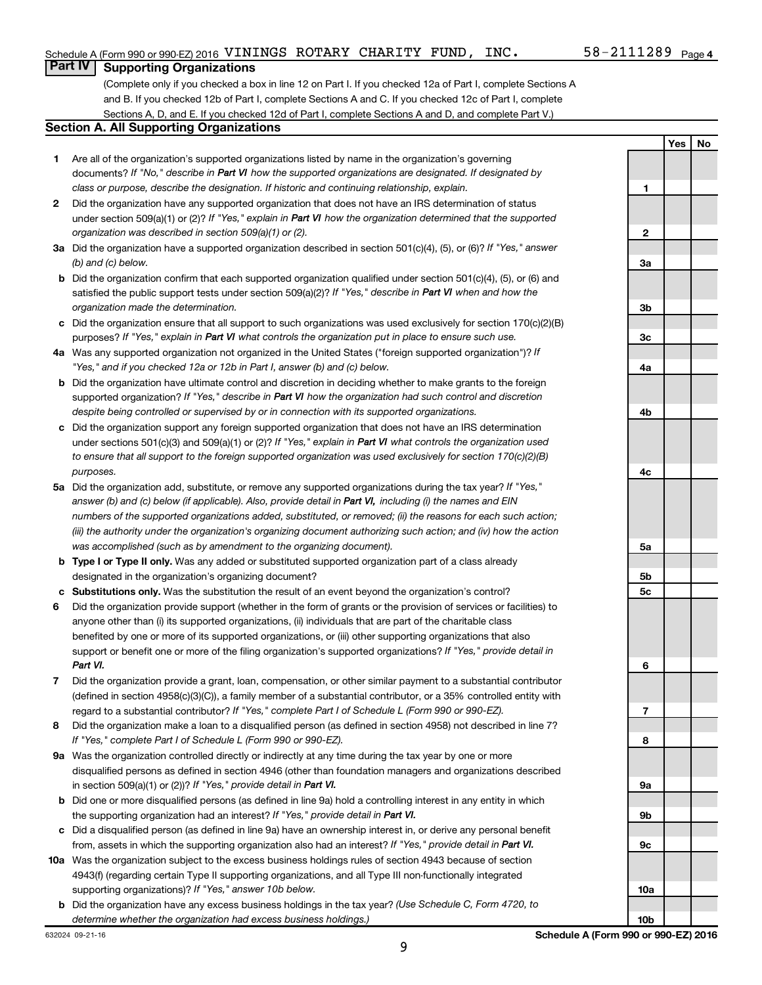**Yes No**

#### **Part IV Supporting Organizations**

(Complete only if you checked a box in line 12 on Part I. If you checked 12a of Part I, complete Sections A and B. If you checked 12b of Part I, complete Sections A and C. If you checked 12c of Part I, complete Sections A, D, and E. If you checked 12d of Part I, complete Sections A and D, and complete Part V.)

#### **Section A. All Supporting Organizations**

- **1** Are all of the organization's supported organizations listed by name in the organization's governing documents? If "No," describe in Part VI how the supported organizations are designated. If designated by *class or purpose, describe the designation. If historic and continuing relationship, explain.*
- **2** Did the organization have any supported organization that does not have an IRS determination of status under section 509(a)(1) or (2)? If "Yes," explain in Part VI how the organization determined that the supported *organization was described in section 509(a)(1) or (2).*
- **3a** Did the organization have a supported organization described in section 501(c)(4), (5), or (6)? If "Yes," answer *(b) and (c) below.*
- **b** Did the organization confirm that each supported organization qualified under section 501(c)(4), (5), or (6) and satisfied the public support tests under section 509(a)(2)? If "Yes," describe in Part VI when and how the *organization made the determination.*
- **c** Did the organization ensure that all support to such organizations was used exclusively for section 170(c)(2)(B) purposes? If "Yes," explain in Part VI what controls the organization put in place to ensure such use.
- **4 a** *If* Was any supported organization not organized in the United States ("foreign supported organization")? *"Yes," and if you checked 12a or 12b in Part I, answer (b) and (c) below.*
- **b** Did the organization have ultimate control and discretion in deciding whether to make grants to the foreign supported organization? If "Yes," describe in Part VI how the organization had such control and discretion *despite being controlled or supervised by or in connection with its supported organizations.*
- **c** Did the organization support any foreign supported organization that does not have an IRS determination under sections 501(c)(3) and 509(a)(1) or (2)? If "Yes," explain in Part VI what controls the organization used *to ensure that all support to the foreign supported organization was used exclusively for section 170(c)(2)(B) purposes.*
- **5a** Did the organization add, substitute, or remove any supported organizations during the tax year? If "Yes," answer (b) and (c) below (if applicable). Also, provide detail in Part VI, including (i) the names and EIN *numbers of the supported organizations added, substituted, or removed; (ii) the reasons for each such action; (iii) the authority under the organization's organizing document authorizing such action; and (iv) how the action was accomplished (such as by amendment to the organizing document).*
- **b** Type I or Type II only. Was any added or substituted supported organization part of a class already designated in the organization's organizing document?
- **c Substitutions only.**  Was the substitution the result of an event beyond the organization's control?
- **6** Did the organization provide support (whether in the form of grants or the provision of services or facilities) to support or benefit one or more of the filing organization's supported organizations? If "Yes," provide detail in anyone other than (i) its supported organizations, (ii) individuals that are part of the charitable class benefited by one or more of its supported organizations, or (iii) other supporting organizations that also *Part VI.*
- **7** Did the organization provide a grant, loan, compensation, or other similar payment to a substantial contributor regard to a substantial contributor? If "Yes," complete Part I of Schedule L (Form 990 or 990-EZ). (defined in section 4958(c)(3)(C)), a family member of a substantial contributor, or a 35% controlled entity with
- **8** Did the organization make a loan to a disqualified person (as defined in section 4958) not described in line 7? *If "Yes," complete Part I of Schedule L (Form 990 or 990-EZ).*
- **9 a** Was the organization controlled directly or indirectly at any time during the tax year by one or more in section 509(a)(1) or (2))? If "Yes," provide detail in Part VI. disqualified persons as defined in section 4946 (other than foundation managers and organizations described
- **b** Did one or more disqualified persons (as defined in line 9a) hold a controlling interest in any entity in which the supporting organization had an interest? If "Yes," provide detail in Part VI.
- **c** Did a disqualified person (as defined in line 9a) have an ownership interest in, or derive any personal benefit from, assets in which the supporting organization also had an interest? If "Yes," provide detail in Part VI.
- **10 a** Was the organization subject to the excess business holdings rules of section 4943 because of section supporting organizations)? If "Yes," answer 10b below. 4943(f) (regarding certain Type II supporting organizations, and all Type III non-functionally integrated
- **b** Did the organization have any excess business holdings in the tax year? (Use Schedule C, Form 4720, to *determine whether the organization had excess business holdings.)*

**1 2 3a 3b 3c 4a 4b 4c 5a 5b 5c 6 7 8 9a 9b 9c**

**10a**

**10b**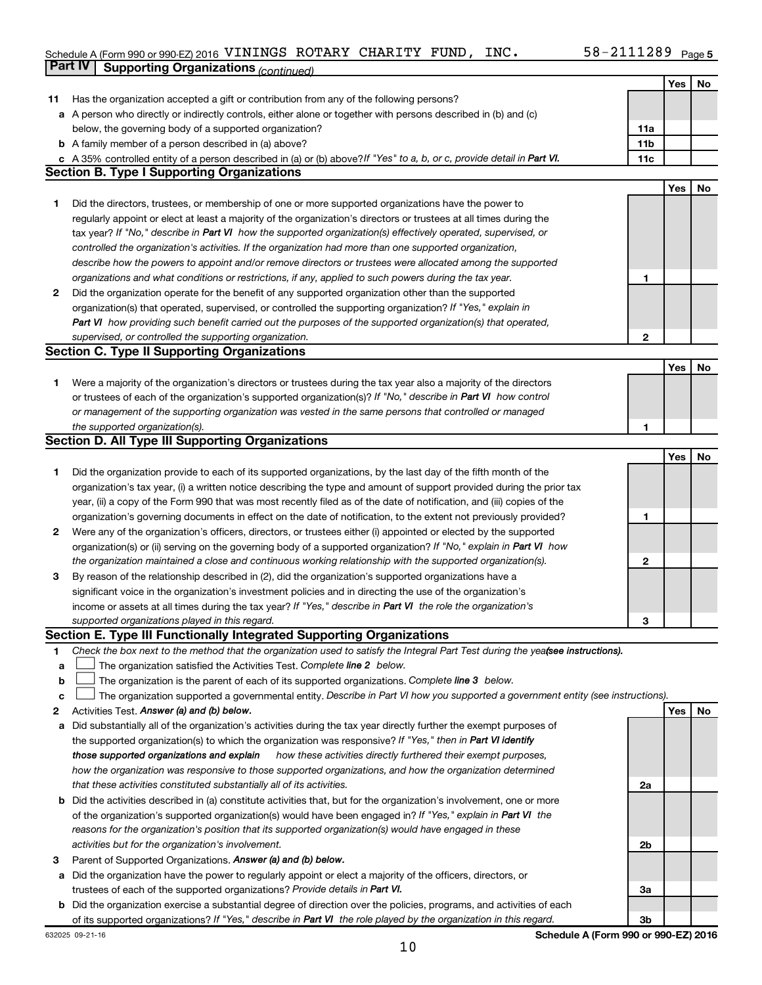#### Schedule A (Form 990 or 990-EZ) 2016 <code>VININGS ROTARY CHARITY FUND</code> , <code>INC</code> .  $58-2111289$  <code>Page</code> **Part IV Supporting Organizations** *(continued)*

|        |                                                                                                                                                                               |              | Yes | No |
|--------|-------------------------------------------------------------------------------------------------------------------------------------------------------------------------------|--------------|-----|----|
| 11     | Has the organization accepted a gift or contribution from any of the following persons?                                                                                       |              |     |    |
|        | a A person who directly or indirectly controls, either alone or together with persons described in (b) and (c)                                                                |              |     |    |
|        | below, the governing body of a supported organization?                                                                                                                        | 11a          |     |    |
|        | <b>b</b> A family member of a person described in (a) above?                                                                                                                  | 11b          |     |    |
|        | c A 35% controlled entity of a person described in (a) or (b) above? If "Yes" to a, b, or c, provide detail in Part VI.                                                       | 11c          |     |    |
|        | <b>Section B. Type I Supporting Organizations</b>                                                                                                                             |              |     |    |
|        |                                                                                                                                                                               |              | Yes | No |
| 1      | Did the directors, trustees, or membership of one or more supported organizations have the power to                                                                           |              |     |    |
|        | regularly appoint or elect at least a majority of the organization's directors or trustees at all times during the                                                            |              |     |    |
|        | tax year? If "No," describe in Part VI how the supported organization(s) effectively operated, supervised, or                                                                 |              |     |    |
|        | controlled the organization's activities. If the organization had more than one supported organization,                                                                       |              |     |    |
|        | describe how the powers to appoint and/or remove directors or trustees were allocated among the supported                                                                     |              |     |    |
|        | organizations and what conditions or restrictions, if any, applied to such powers during the tax year.                                                                        | 1            |     |    |
| 2      | Did the organization operate for the benefit of any supported organization other than the supported                                                                           |              |     |    |
|        | organization(s) that operated, supervised, or controlled the supporting organization? If "Yes," explain in                                                                    |              |     |    |
|        | Part VI how providing such benefit carried out the purposes of the supported organization(s) that operated,                                                                   |              |     |    |
|        | supervised, or controlled the supporting organization.                                                                                                                        | 2            |     |    |
|        | <b>Section C. Type II Supporting Organizations</b>                                                                                                                            |              |     |    |
|        |                                                                                                                                                                               |              | Yes | No |
| 1      | Were a majority of the organization's directors or trustees during the tax year also a majority of the directors                                                              |              |     |    |
|        | or trustees of each of the organization's supported organization(s)? If "No," describe in Part VI how control                                                                 |              |     |    |
|        | or management of the supporting organization was vested in the same persons that controlled or managed                                                                        |              |     |    |
|        | the supported organization(s).                                                                                                                                                | 1            |     |    |
|        | <b>Section D. All Type III Supporting Organizations</b>                                                                                                                       |              |     |    |
|        |                                                                                                                                                                               |              | Yes | No |
| 1      | Did the organization provide to each of its supported organizations, by the last day of the fifth month of the                                                                |              |     |    |
|        | organization's tax year, (i) a written notice describing the type and amount of support provided during the prior tax                                                         |              |     |    |
|        | year, (ii) a copy of the Form 990 that was most recently filed as of the date of notification, and (iii) copies of the                                                        |              |     |    |
|        | organization's governing documents in effect on the date of notification, to the extent not previously provided?                                                              | 1            |     |    |
| 2      | Were any of the organization's officers, directors, or trustees either (i) appointed or elected by the supported                                                              |              |     |    |
|        | organization(s) or (ii) serving on the governing body of a supported organization? If "No," explain in Part VI how                                                            |              |     |    |
|        | the organization maintained a close and continuous working relationship with the supported organization(s).                                                                   | $\mathbf{2}$ |     |    |
| 3      | By reason of the relationship described in (2), did the organization's supported organizations have a                                                                         |              |     |    |
|        | significant voice in the organization's investment policies and in directing the use of the organization's                                                                    |              |     |    |
|        | income or assets at all times during the tax year? If "Yes," describe in Part VI the role the organization's                                                                  |              |     |    |
|        | supported organizations played in this regard.                                                                                                                                | 3            |     |    |
|        | Section E. Type III Functionally Integrated Supporting Organizations                                                                                                          |              |     |    |
| 1      | Check the box next to the method that the organization used to satisfy the Integral Part Test during the yealsee instructions).                                               |              |     |    |
| a<br>b | The organization satisfied the Activities Test. Complete line 2 below.<br>The organization is the parent of each of its supported organizations. Complete line 3 below.       |              |     |    |
|        |                                                                                                                                                                               |              |     |    |
| C<br>2 | The organization supported a governmental entity. Describe in Part VI how you supported a government entity (see instructions).<br>Activities Test. Answer (a) and (b) below. |              | Yes | No |
| а      | Did substantially all of the organization's activities during the tax year directly further the exempt purposes of                                                            |              |     |    |
|        | the supported organization(s) to which the organization was responsive? If "Yes," then in Part VI identify                                                                    |              |     |    |
|        | how these activities directly furthered their exempt purposes,<br>those supported organizations and explain                                                                   |              |     |    |
|        | how the organization was responsive to those supported organizations, and how the organization determined                                                                     |              |     |    |
|        | that these activities constituted substantially all of its activities.                                                                                                        | 2a           |     |    |
|        | <b>b</b> Did the activities described in (a) constitute activities that, but for the organization's involvement, one or more                                                  |              |     |    |
|        | of the organization's supported organization(s) would have been engaged in? If "Yes," explain in Part VI the                                                                  |              |     |    |
|        | reasons for the organization's position that its supported organization(s) would have engaged in these                                                                        |              |     |    |
|        | activities but for the organization's involvement.                                                                                                                            | 2b           |     |    |
| 3      | Parent of Supported Organizations. Answer (a) and (b) below.                                                                                                                  |              |     |    |
| а      | Did the organization have the power to regularly appoint or elect a majority of the officers, directors, or                                                                   |              |     |    |
|        | trustees of each of the supported organizations? Provide details in Part VI.                                                                                                  | За           |     |    |
|        | <b>b</b> Did the organization exercise a substantial degree of direction over the policies, programs, and activities of each                                                  |              |     |    |
|        | of its supported organizations? If "Yes," describe in Part VI the role played by the organization in this regard.                                                             | Зb           |     |    |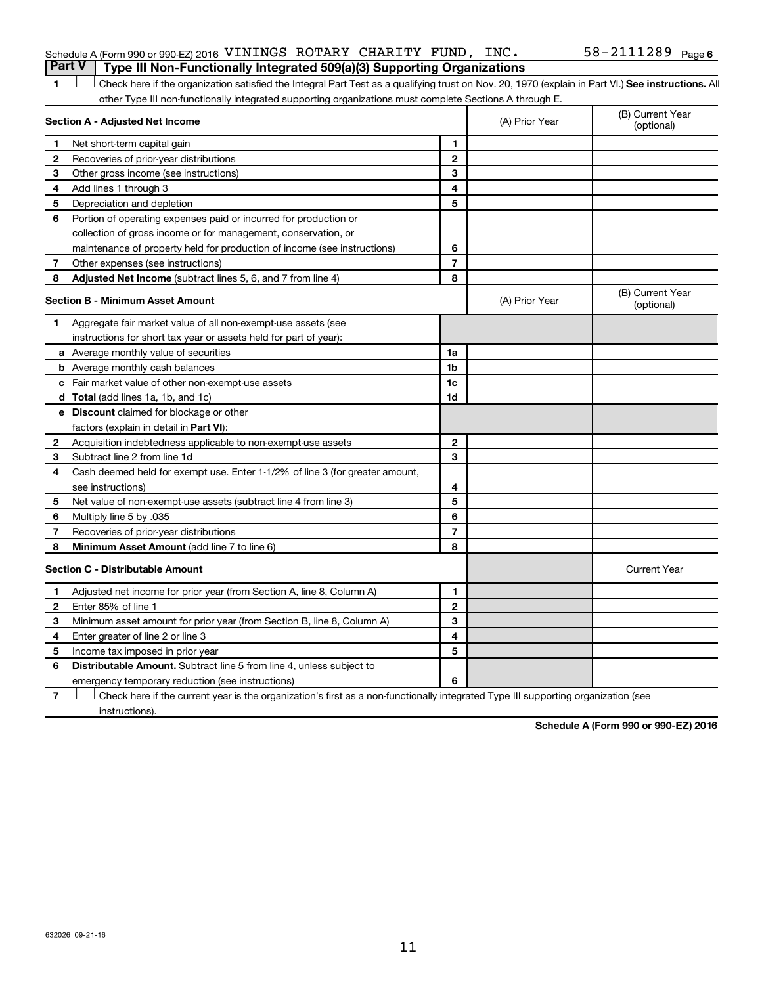#### Schedule A (Form 990 or 990-EZ) 2016 <code>VININGS ROTARY CHARITY FUND</code> , <code>INC</code> .  $58-2111289$  <code>Page</code> **Part V Type III Non-Functionally Integrated 509(a)(3) Supporting Organizations**

1 **Letter See instructions.** All Check here if the organization satisfied the Integral Part Test as a qualifying trust on Nov. 20, 1970 (explain in Part VI.) See instructions. All other Type III non-functionally integrated supporting organizations must complete Sections A through E.

|   | Section A - Adjusted Net Income                                              | (A) Prior Year | (B) Current Year<br>(optional) |                                |
|---|------------------------------------------------------------------------------|----------------|--------------------------------|--------------------------------|
| 1 | Net short-term capital gain                                                  | 1              |                                |                                |
| 2 | Recoveries of prior-year distributions                                       | $\mathbf{2}$   |                                |                                |
| З | Other gross income (see instructions)                                        | 3              |                                |                                |
| 4 | Add lines 1 through 3                                                        | 4              |                                |                                |
| 5 | Depreciation and depletion                                                   | 5              |                                |                                |
| 6 | Portion of operating expenses paid or incurred for production or             |                |                                |                                |
|   | collection of gross income or for management, conservation, or               |                |                                |                                |
|   | maintenance of property held for production of income (see instructions)     | 6              |                                |                                |
| 7 | Other expenses (see instructions)                                            | $\overline{7}$ |                                |                                |
| 8 | Adjusted Net Income (subtract lines 5, 6, and 7 from line 4)                 | 8              |                                |                                |
|   | <b>Section B - Minimum Asset Amount</b>                                      |                | (A) Prior Year                 | (B) Current Year<br>(optional) |
| 1 | Aggregate fair market value of all non-exempt-use assets (see                |                |                                |                                |
|   | instructions for short tax year or assets held for part of year):            |                |                                |                                |
|   | a Average monthly value of securities                                        | 1a             |                                |                                |
|   | <b>b</b> Average monthly cash balances                                       | 1 <sub>b</sub> |                                |                                |
|   | <b>c</b> Fair market value of other non-exempt-use assets                    | 1c             |                                |                                |
|   | d Total (add lines 1a, 1b, and 1c)                                           | 1d             |                                |                                |
|   | <b>e</b> Discount claimed for blockage or other                              |                |                                |                                |
|   | factors (explain in detail in <b>Part VI</b> ):                              |                |                                |                                |
| 2 | Acquisition indebtedness applicable to non-exempt-use assets                 | $\mathbf{2}$   |                                |                                |
| З | Subtract line 2 from line 1d                                                 | 3              |                                |                                |
| 4 | Cash deemed held for exempt use. Enter 1-1/2% of line 3 (for greater amount, |                |                                |                                |
|   | see instructions)                                                            | 4              |                                |                                |
| 5 | Net value of non-exempt-use assets (subtract line 4 from line 3)             | 5              |                                |                                |
| 6 | Multiply line 5 by .035                                                      | 6              |                                |                                |
| 7 | Recoveries of prior-year distributions                                       | $\overline{7}$ |                                |                                |
| 8 | <b>Minimum Asset Amount (add line 7 to line 6)</b>                           | 8              |                                |                                |
|   | <b>Section C - Distributable Amount</b>                                      |                |                                | <b>Current Year</b>            |
| 1 | Adjusted net income for prior year (from Section A, line 8, Column A)        | $\mathbf{1}$   |                                |                                |
| 2 | Enter 85% of line 1                                                          | $\mathbf{2}$   |                                |                                |
| 3 | Minimum asset amount for prior year (from Section B, line 8, Column A)       | 3              |                                |                                |
| 4 | Enter greater of line 2 or line 3                                            | 4              |                                |                                |
| 5 | Income tax imposed in prior year                                             | 5              |                                |                                |
| 6 | <b>Distributable Amount.</b> Subtract line 5 from line 4, unless subject to  |                |                                |                                |
|   | emergency temporary reduction (see instructions)                             | 6              |                                |                                |
|   |                                                                              |                |                                |                                |

**7** Let Check here if the current year is the organization's first as a non-functionally integrated Type III supporting organization (see instructions).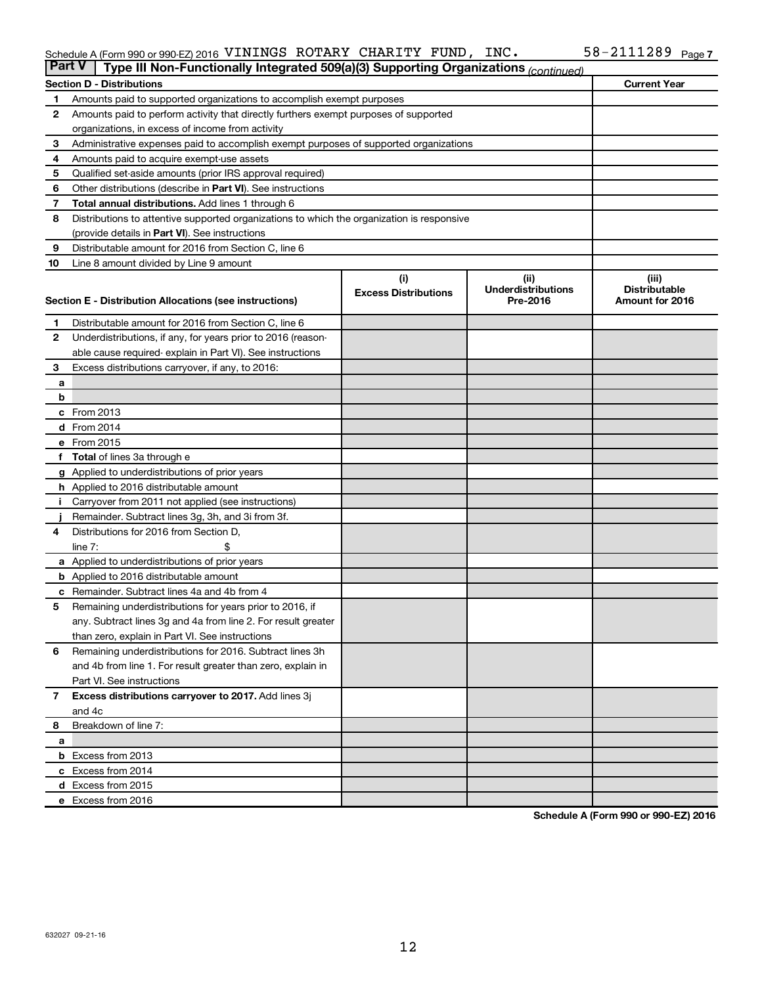#### Schedule A (Form 990 or 990-EZ) 2016 VININGS ROTARY CHARITY FUND, INC.  $58-2111289$  Page VININGS ROTARY CHARITY FUND, INC. 58-2111289

| <b>Part V</b> | Type III Non-Functionally Integrated 509(a)(3) Supporting Organizations (continued)                 |                             |                                       |                                         |  |  |  |  |
|---------------|-----------------------------------------------------------------------------------------------------|-----------------------------|---------------------------------------|-----------------------------------------|--|--|--|--|
|               | <b>Current Year</b><br><b>Section D - Distributions</b>                                             |                             |                                       |                                         |  |  |  |  |
| 1             | Amounts paid to supported organizations to accomplish exempt purposes                               |                             |                                       |                                         |  |  |  |  |
| 2             | Amounts paid to perform activity that directly furthers exempt purposes of supported                |                             |                                       |                                         |  |  |  |  |
|               | organizations, in excess of income from activity                                                    |                             |                                       |                                         |  |  |  |  |
| 3             | Administrative expenses paid to accomplish exempt purposes of supported organizations               |                             |                                       |                                         |  |  |  |  |
| 4             | Amounts paid to acquire exempt-use assets                                                           |                             |                                       |                                         |  |  |  |  |
| 5             | Qualified set-aside amounts (prior IRS approval required)                                           |                             |                                       |                                         |  |  |  |  |
| 6             | Other distributions (describe in Part VI). See instructions                                         |                             |                                       |                                         |  |  |  |  |
| 7             | <b>Total annual distributions.</b> Add lines 1 through 6                                            |                             |                                       |                                         |  |  |  |  |
| 8             | Distributions to attentive supported organizations to which the organization is responsive          |                             |                                       |                                         |  |  |  |  |
|               | (provide details in Part VI). See instructions                                                      |                             |                                       |                                         |  |  |  |  |
| 9             | Distributable amount for 2016 from Section C, line 6                                                |                             |                                       |                                         |  |  |  |  |
| 10            | Line 8 amount divided by Line 9 amount                                                              |                             |                                       |                                         |  |  |  |  |
|               |                                                                                                     | (i)                         | (ii)                                  | (iii)                                   |  |  |  |  |
|               | Section E - Distribution Allocations (see instructions)                                             | <b>Excess Distributions</b> | <b>Underdistributions</b><br>Pre-2016 | <b>Distributable</b><br>Amount for 2016 |  |  |  |  |
|               |                                                                                                     |                             |                                       |                                         |  |  |  |  |
| 1             | Distributable amount for 2016 from Section C, line 6                                                |                             |                                       |                                         |  |  |  |  |
| $\mathbf{2}$  | Underdistributions, if any, for years prior to 2016 (reason-                                        |                             |                                       |                                         |  |  |  |  |
|               | able cause required- explain in Part VI). See instructions                                          |                             |                                       |                                         |  |  |  |  |
| 3             | Excess distributions carryover, if any, to 2016:                                                    |                             |                                       |                                         |  |  |  |  |
| а             |                                                                                                     |                             |                                       |                                         |  |  |  |  |
| b             |                                                                                                     |                             |                                       |                                         |  |  |  |  |
|               | c From 2013                                                                                         |                             |                                       |                                         |  |  |  |  |
|               | <b>d</b> From 2014                                                                                  |                             |                                       |                                         |  |  |  |  |
|               | e From 2015                                                                                         |                             |                                       |                                         |  |  |  |  |
|               | f Total of lines 3a through e                                                                       |                             |                                       |                                         |  |  |  |  |
|               | <b>g</b> Applied to underdistributions of prior years                                               |                             |                                       |                                         |  |  |  |  |
|               | <b>h</b> Applied to 2016 distributable amount<br>Carryover from 2011 not applied (see instructions) |                             |                                       |                                         |  |  |  |  |
|               | Remainder. Subtract lines 3g, 3h, and 3i from 3f.                                                   |                             |                                       |                                         |  |  |  |  |
| 4             | Distributions for 2016 from Section D,                                                              |                             |                                       |                                         |  |  |  |  |
|               | $line 7$ :                                                                                          |                             |                                       |                                         |  |  |  |  |
|               | a Applied to underdistributions of prior years                                                      |                             |                                       |                                         |  |  |  |  |
|               | <b>b</b> Applied to 2016 distributable amount                                                       |                             |                                       |                                         |  |  |  |  |
| с             | Remainder. Subtract lines 4a and 4b from 4                                                          |                             |                                       |                                         |  |  |  |  |
| 5             | Remaining underdistributions for years prior to 2016, if                                            |                             |                                       |                                         |  |  |  |  |
|               | any. Subtract lines 3g and 4a from line 2. For result greater                                       |                             |                                       |                                         |  |  |  |  |
|               | than zero, explain in Part VI. See instructions                                                     |                             |                                       |                                         |  |  |  |  |
| 6             | Remaining underdistributions for 2016. Subtract lines 3h                                            |                             |                                       |                                         |  |  |  |  |
|               | and 4b from line 1. For result greater than zero, explain in                                        |                             |                                       |                                         |  |  |  |  |
|               | Part VI. See instructions                                                                           |                             |                                       |                                         |  |  |  |  |
| $\mathbf{7}$  | Excess distributions carryover to 2017. Add lines 3j                                                |                             |                                       |                                         |  |  |  |  |
|               | and 4c                                                                                              |                             |                                       |                                         |  |  |  |  |
| 8             | Breakdown of line 7:                                                                                |                             |                                       |                                         |  |  |  |  |
| a             |                                                                                                     |                             |                                       |                                         |  |  |  |  |
|               | <b>b</b> Excess from 2013                                                                           |                             |                                       |                                         |  |  |  |  |
|               | c Excess from 2014                                                                                  |                             |                                       |                                         |  |  |  |  |
|               | d Excess from 2015                                                                                  |                             |                                       |                                         |  |  |  |  |
|               | e Excess from 2016                                                                                  |                             |                                       |                                         |  |  |  |  |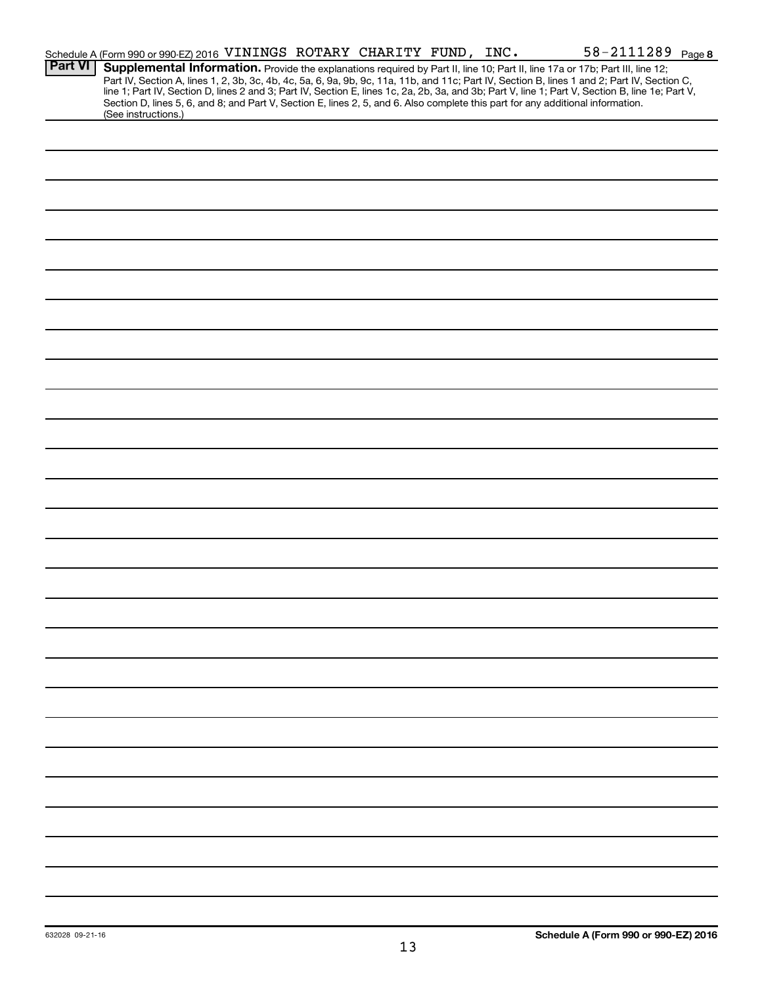|                | Schedule A (Form 990 or 990-EZ) 2016 VININGS ROTARY CHARITY FUND, INC.                                                                                                                                                                                                                  |  |  | 58-2111289 Page 8                                                                                                                                                                                                                                                                                |
|----------------|-----------------------------------------------------------------------------------------------------------------------------------------------------------------------------------------------------------------------------------------------------------------------------------------|--|--|--------------------------------------------------------------------------------------------------------------------------------------------------------------------------------------------------------------------------------------------------------------------------------------------------|
| <b>Part VI</b> | Supplemental Information. Provide the explanations required by Part II, line 10; Part II, line 17a or 17b; Part III, line 12;<br>Section D, lines 5, 6, and 8; and Part V, Section E, lines 2, 5, and 6. Also complete this part for any additional information.<br>(See instructions.) |  |  | Part IV, Section A, lines 1, 2, 3b, 3c, 4b, 4c, 5a, 6, 9a, 9b, 9c, 11a, 11b, and 11c; Part IV, Section B, lines 1 and 2; Part IV, Section C,<br>line 1; Part IV, Section D, lines 2 and 3; Part IV, Section E, lines 1c, 2a, 2b, 3a, and 3b; Part V, line 1; Part V, Section B, line 1e; Part V, |
|                |                                                                                                                                                                                                                                                                                         |  |  |                                                                                                                                                                                                                                                                                                  |
|                |                                                                                                                                                                                                                                                                                         |  |  |                                                                                                                                                                                                                                                                                                  |
|                |                                                                                                                                                                                                                                                                                         |  |  |                                                                                                                                                                                                                                                                                                  |
|                |                                                                                                                                                                                                                                                                                         |  |  |                                                                                                                                                                                                                                                                                                  |
|                |                                                                                                                                                                                                                                                                                         |  |  |                                                                                                                                                                                                                                                                                                  |
|                |                                                                                                                                                                                                                                                                                         |  |  |                                                                                                                                                                                                                                                                                                  |
|                |                                                                                                                                                                                                                                                                                         |  |  |                                                                                                                                                                                                                                                                                                  |
|                |                                                                                                                                                                                                                                                                                         |  |  |                                                                                                                                                                                                                                                                                                  |
|                |                                                                                                                                                                                                                                                                                         |  |  |                                                                                                                                                                                                                                                                                                  |
|                |                                                                                                                                                                                                                                                                                         |  |  |                                                                                                                                                                                                                                                                                                  |
|                |                                                                                                                                                                                                                                                                                         |  |  |                                                                                                                                                                                                                                                                                                  |
|                |                                                                                                                                                                                                                                                                                         |  |  |                                                                                                                                                                                                                                                                                                  |
|                |                                                                                                                                                                                                                                                                                         |  |  |                                                                                                                                                                                                                                                                                                  |
|                |                                                                                                                                                                                                                                                                                         |  |  |                                                                                                                                                                                                                                                                                                  |
|                |                                                                                                                                                                                                                                                                                         |  |  |                                                                                                                                                                                                                                                                                                  |
|                |                                                                                                                                                                                                                                                                                         |  |  |                                                                                                                                                                                                                                                                                                  |
|                |                                                                                                                                                                                                                                                                                         |  |  |                                                                                                                                                                                                                                                                                                  |
|                |                                                                                                                                                                                                                                                                                         |  |  |                                                                                                                                                                                                                                                                                                  |
|                |                                                                                                                                                                                                                                                                                         |  |  |                                                                                                                                                                                                                                                                                                  |
|                |                                                                                                                                                                                                                                                                                         |  |  |                                                                                                                                                                                                                                                                                                  |
|                |                                                                                                                                                                                                                                                                                         |  |  |                                                                                                                                                                                                                                                                                                  |
|                |                                                                                                                                                                                                                                                                                         |  |  |                                                                                                                                                                                                                                                                                                  |
|                |                                                                                                                                                                                                                                                                                         |  |  |                                                                                                                                                                                                                                                                                                  |
|                |                                                                                                                                                                                                                                                                                         |  |  |                                                                                                                                                                                                                                                                                                  |
|                |                                                                                                                                                                                                                                                                                         |  |  |                                                                                                                                                                                                                                                                                                  |
|                |                                                                                                                                                                                                                                                                                         |  |  |                                                                                                                                                                                                                                                                                                  |
|                |                                                                                                                                                                                                                                                                                         |  |  |                                                                                                                                                                                                                                                                                                  |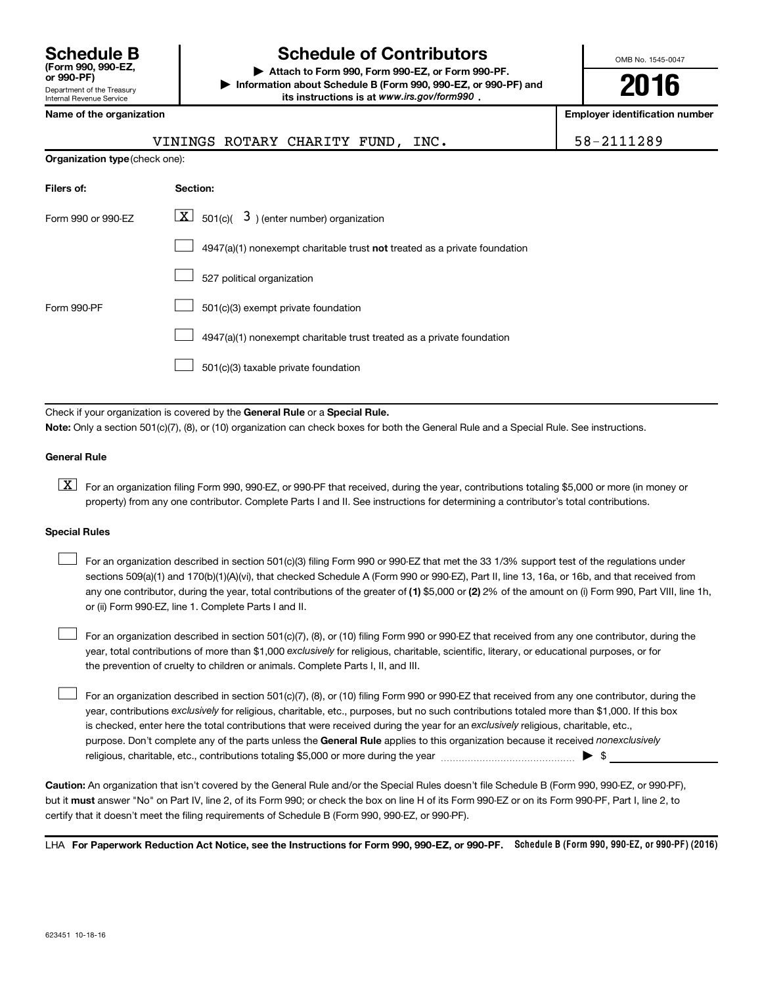| <b>Schedule B</b><br>(Form 990, 990-EZ.<br>or 990-PF)         |
|---------------------------------------------------------------|
| Department of the Treasury<br><b>Internal Revenue Service</b> |

### **Schedule of Contributors**

**or 990-PF) | Attach to Form 990, Form 990-EZ, or Form 990-PF. | Information about Schedule B (Form 990, 990-EZ, or 990-PF) and** its instructions is at www.irs.gov/form990.

OMB No. 1545-0047

**2016**

**Employer identification number** 

| VININGS ROTARY CHARITY FUND, INC. |  |
|-----------------------------------|--|
|-----------------------------------|--|

58-2111289

| <b>Organization type (check one):</b> |                                                                           |  |  |  |  |  |  |  |
|---------------------------------------|---------------------------------------------------------------------------|--|--|--|--|--|--|--|
| Filers of:                            | Section:                                                                  |  |  |  |  |  |  |  |
| Form 990 or 990-EZ                    | $\lfloor x \rfloor$ 501(c)( 3) (enter number) organization                |  |  |  |  |  |  |  |
|                                       | 4947(a)(1) nonexempt charitable trust not treated as a private foundation |  |  |  |  |  |  |  |
|                                       | 527 political organization                                                |  |  |  |  |  |  |  |
| Form 990-PF                           | 501(c)(3) exempt private foundation                                       |  |  |  |  |  |  |  |
|                                       | 4947(a)(1) nonexempt charitable trust treated as a private foundation     |  |  |  |  |  |  |  |
|                                       | 501(c)(3) taxable private foundation                                      |  |  |  |  |  |  |  |

Check if your organization is covered by the General Rule or a Special Rule.

**Note:**  Only a section 501(c)(7), (8), or (10) organization can check boxes for both the General Rule and a Special Rule. See instructions.

#### **General Rule**

**K** For an organization filing Form 990, 990-EZ, or 990-PF that received, during the year, contributions totaling \$5,000 or more (in money or property) from any one contributor. Complete Parts I and II. See instructions for determining a contributor's total contributions.

#### **Special Rules**

 $\Box$ 

any one contributor, during the year, total contributions of the greater of **(1)** \$5,000 or **(2)** 2% of the amount on (i) Form 990, Part VIII, line 1h, For an organization described in section 501(c)(3) filing Form 990 or 990-EZ that met the 33 1/3% support test of the regulations under sections 509(a)(1) and 170(b)(1)(A)(vi), that checked Schedule A (Form 990 or 990-EZ), Part II, line 13, 16a, or 16b, and that received from or (ii) Form 990-EZ, line 1. Complete Parts I and II.  $\Box$ 

year, total contributions of more than \$1,000 *exclusively* for religious, charitable, scientific, literary, or educational purposes, or for For an organization described in section 501(c)(7), (8), or (10) filing Form 990 or 990-EZ that received from any one contributor, during the the prevention of cruelty to children or animals. Complete Parts I, II, and III.  $\Box$ 

purpose. Don't complete any of the parts unless the General Rule applies to this organization because it received nonexclusively year, contributions exclusively for religious, charitable, etc., purposes, but no such contributions totaled more than \$1,000. If this box is checked, enter here the total contributions that were received during the year for an exclusively religious, charitable, etc., For an organization described in section 501(c)(7), (8), or (10) filing Form 990 or 990-EZ that received from any one contributor, during the religious, charitable, etc., contributions totaling \$5,000 or more during the year  $\ldots$  $\ldots$  $\ldots$  $\ldots$  $\ldots$  $\ldots$ 

**Caution:**  An organization that isn't covered by the General Rule and/or the Special Rules doesn't file Schedule B (Form 990, 990-EZ, or 990-PF),  **must** but it answer "No" on Part IV, line 2, of its Form 990; or check the box on line H of its Form 990-EZ or on its Form 990-PF, Part I, line 2, to certify that it doesn't meet the filing requirements of Schedule B (Form 990, 990-EZ, or 990-PF).

LHA For Paperwork Reduction Act Notice, see the Instructions for Form 990, 990-EZ, or 990-PF. Schedule B (Form 990, 990-EZ, or 990-PF) (2016)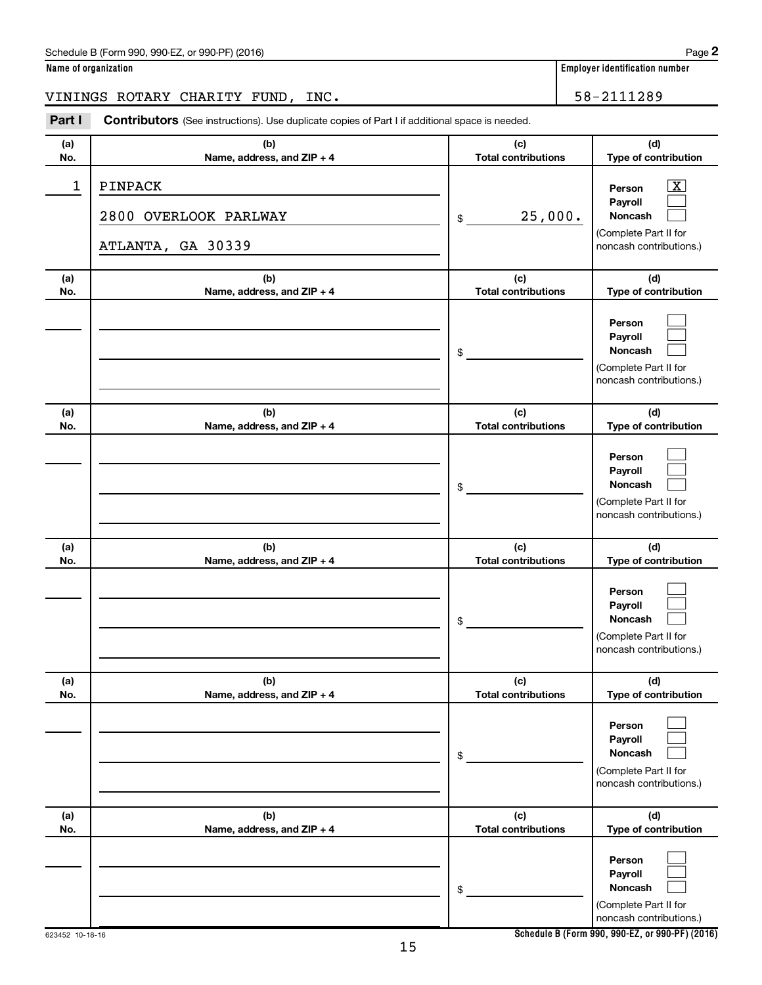| Schedule B (Form 990, 990-EZ, or 990-PF) (2016) | Page |
|-------------------------------------------------|------|
|-------------------------------------------------|------|

| Name of organization |  |  |  |
|----------------------|--|--|--|
|                      |  |  |  |

**Name of organization Employer identification number** 

VININGS ROTARY CHARITY FUND, INC. 58-2111289

**Part I** Contributors (See instructions). Use duplicate copies of Part I if additional space is needed.

| (a)<br>No. | (b)<br>Name, address, and ZIP + 4                            | (c)<br><b>Total contributions</b> | (d)<br>Type of contribution                                                                                 |
|------------|--------------------------------------------------------------|-----------------------------------|-------------------------------------------------------------------------------------------------------------|
| 1          | <b>PINPACK</b><br>2800 OVERLOOK PARLWAY<br>ATLANTA, GA 30339 | 25,000.<br>\$                     | $\overline{\mathbf{X}}$<br>Person<br>Pavroll<br>Noncash<br>(Complete Part II for<br>noncash contributions.) |
| (a)<br>No. | (b)<br>Name, address, and ZIP + 4                            | (c)<br><b>Total contributions</b> | (d)<br>Type of contribution                                                                                 |
|            |                                                              | \$                                | Person<br>Payroll<br>Noncash<br>(Complete Part II for<br>noncash contributions.)                            |
| (a)<br>No. | (b)<br>Name, address, and ZIP + 4                            | (c)<br><b>Total contributions</b> | (d)<br>Type of contribution                                                                                 |
|            |                                                              | \$                                | Person<br>Payroll<br>Noncash<br>(Complete Part II for<br>noncash contributions.)                            |
| (a)<br>No. | (b)<br>Name, address, and ZIP + 4                            | (c)<br><b>Total contributions</b> | (d)<br>Type of contribution                                                                                 |
|            |                                                              | \$                                | Person<br>Payroll<br><b>Noncash</b><br>(Complete Part II for<br>noncash contributions.)                     |
| (a)<br>No. | (b)<br>Name, address, and ZIP + 4                            | (c)<br><b>Total contributions</b> | (d)<br>Type of contribution                                                                                 |
|            |                                                              | $\,$                              | Person<br>Payroll<br>Noncash<br>(Complete Part II for<br>noncash contributions.)                            |
| (a)<br>No. | (b)<br>Name, address, and ZIP + 4                            | (c)<br><b>Total contributions</b> | (d)<br>Type of contribution                                                                                 |
|            |                                                              | \$                                | Person<br>Payroll<br>Noncash<br>(Complete Part II for<br>noncash contributions.)                            |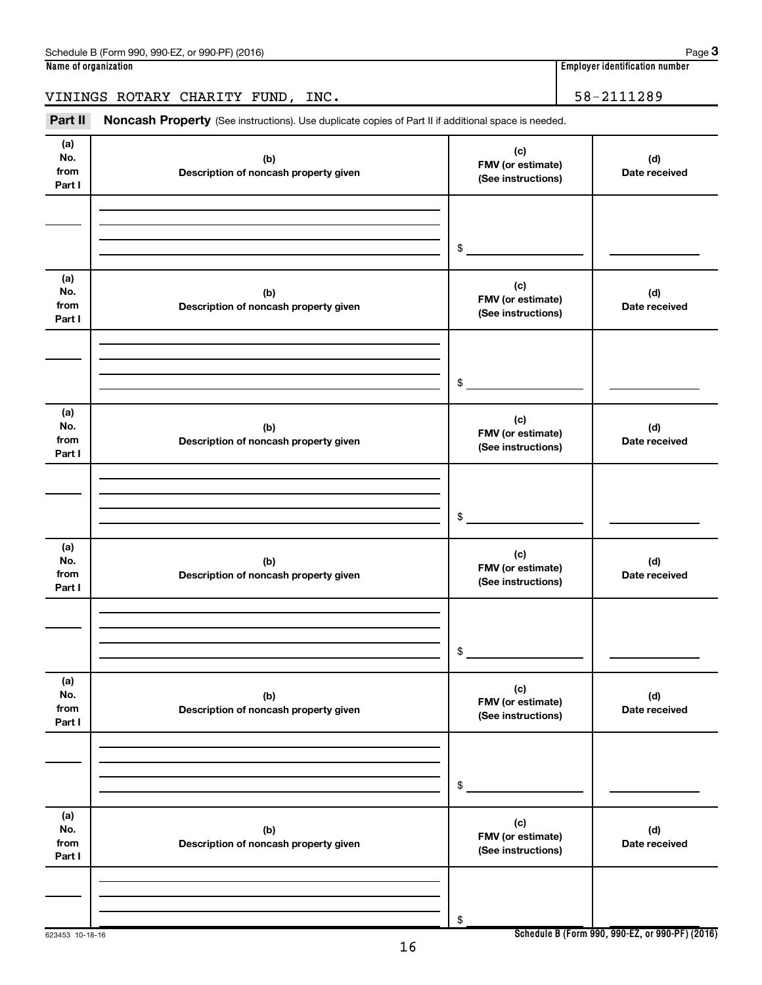| Part II                      | Noncash Property (See instructions). Use duplicate copies of Part II if additional space is needed. |                                                |                                                 |
|------------------------------|-----------------------------------------------------------------------------------------------------|------------------------------------------------|-------------------------------------------------|
| (a)<br>No.<br>from<br>Part I | (b)<br>Description of noncash property given                                                        | (c)<br>FMV (or estimate)<br>(See instructions) | (d)<br>Date received                            |
|                              |                                                                                                     | \$                                             |                                                 |
| (a)<br>No.<br>from<br>Part I | (b)<br>Description of noncash property given                                                        | (c)<br>FMV (or estimate)<br>(See instructions) | (d)<br>Date received                            |
|                              |                                                                                                     | \$                                             |                                                 |
| (a)<br>No.<br>from<br>Part I | (b)<br>Description of noncash property given                                                        | (c)<br>FMV (or estimate)<br>(See instructions) | (d)<br>Date received                            |
|                              |                                                                                                     | \$                                             |                                                 |
| (a)<br>No.<br>from<br>Part I | (b)<br>Description of noncash property given                                                        | (c)<br>FMV (or estimate)<br>(See instructions) | (d)<br>Date received                            |
|                              |                                                                                                     | \$                                             |                                                 |
| (a)<br>No.<br>from<br>Part I | (b)<br>Description of noncash property given                                                        | (c)<br>FMV (or estimate)<br>(See instructions) | (d)<br>Date received                            |
|                              |                                                                                                     | \$                                             |                                                 |
| (a)<br>No.<br>from<br>Part I | (b)<br>Description of noncash property given                                                        | (c)<br>FMV (or estimate)<br>(See instructions) | (d)<br>Date received                            |
|                              |                                                                                                     | \$                                             |                                                 |
| 623453 10-18-16              |                                                                                                     |                                                | Schedule B (Form 990, 990-EZ, or 990-PF) (2016) |

**Schedule B (Form 990, 990-EZ, or 990-PF) (2016)**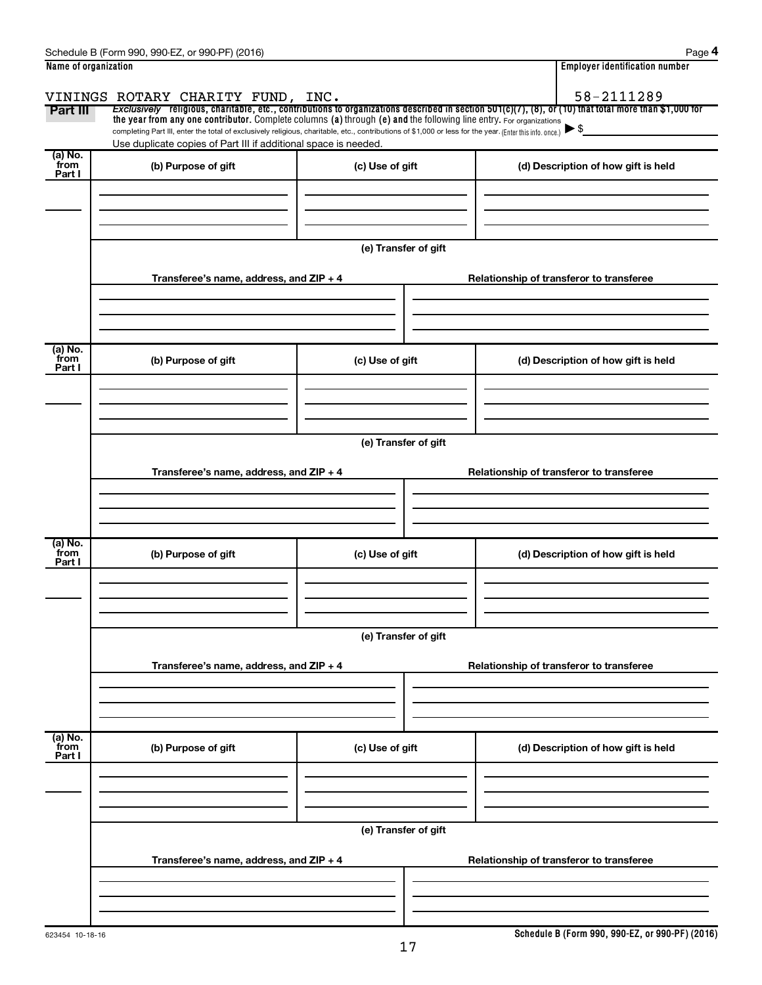|                           | Schedule B (Form 990, 990-EZ, or 990-PF) (2016)                                                                                                                                                                                                                                 |                      | Page 4                                                                                                                                                |  |  |  |  |  |
|---------------------------|---------------------------------------------------------------------------------------------------------------------------------------------------------------------------------------------------------------------------------------------------------------------------------|----------------------|-------------------------------------------------------------------------------------------------------------------------------------------------------|--|--|--|--|--|
| Name of organization      |                                                                                                                                                                                                                                                                                 |                      | <b>Employer identification number</b>                                                                                                                 |  |  |  |  |  |
|                           | VININGS ROTARY CHARITY FUND, INC.                                                                                                                                                                                                                                               |                      | 58-2111289                                                                                                                                            |  |  |  |  |  |
| Part III                  |                                                                                                                                                                                                                                                                                 |                      | Exclusively religious, charitable, etc., contributions to organizations described in section 501(c)(7), (8), or (10) that total more than \$1,000 for |  |  |  |  |  |
|                           | the year from any one contributor. Complete columns (a) through (e) and the following line entry. For organizations<br>completing Part III, enter the total of exclusively religious, charitable, etc., contributions of \$1,000 or less for the year. (Enter this info. once.) |                      |                                                                                                                                                       |  |  |  |  |  |
|                           | Use duplicate copies of Part III if additional space is needed.                                                                                                                                                                                                                 |                      |                                                                                                                                                       |  |  |  |  |  |
| (a) No.<br>from<br>Part I | (b) Purpose of gift                                                                                                                                                                                                                                                             | (c) Use of gift      | (d) Description of how gift is held                                                                                                                   |  |  |  |  |  |
|                           |                                                                                                                                                                                                                                                                                 |                      |                                                                                                                                                       |  |  |  |  |  |
|                           |                                                                                                                                                                                                                                                                                 |                      |                                                                                                                                                       |  |  |  |  |  |
|                           |                                                                                                                                                                                                                                                                                 | (e) Transfer of gift |                                                                                                                                                       |  |  |  |  |  |
|                           | Transferee's name, address, and ZIP + 4                                                                                                                                                                                                                                         |                      | Relationship of transferor to transferee                                                                                                              |  |  |  |  |  |
|                           |                                                                                                                                                                                                                                                                                 |                      |                                                                                                                                                       |  |  |  |  |  |
| (a) No.<br>from<br>Part I | (b) Purpose of gift                                                                                                                                                                                                                                                             | (c) Use of gift      | (d) Description of how gift is held                                                                                                                   |  |  |  |  |  |
|                           |                                                                                                                                                                                                                                                                                 |                      |                                                                                                                                                       |  |  |  |  |  |
|                           |                                                                                                                                                                                                                                                                                 |                      |                                                                                                                                                       |  |  |  |  |  |
|                           |                                                                                                                                                                                                                                                                                 | (e) Transfer of gift |                                                                                                                                                       |  |  |  |  |  |
|                           | Transferee's name, address, and ZIP + 4                                                                                                                                                                                                                                         |                      | Relationship of transferor to transferee                                                                                                              |  |  |  |  |  |
|                           |                                                                                                                                                                                                                                                                                 |                      |                                                                                                                                                       |  |  |  |  |  |
| (a) No.<br>from<br>Part I | (b) Purpose of gift                                                                                                                                                                                                                                                             | (c) Use of gift      | (d) Description of how gift is held                                                                                                                   |  |  |  |  |  |
|                           |                                                                                                                                                                                                                                                                                 |                      |                                                                                                                                                       |  |  |  |  |  |
|                           |                                                                                                                                                                                                                                                                                 |                      |                                                                                                                                                       |  |  |  |  |  |
|                           |                                                                                                                                                                                                                                                                                 | (e) Transfer of gift |                                                                                                                                                       |  |  |  |  |  |
|                           | Transferee's name, address, and ZIP + 4                                                                                                                                                                                                                                         |                      | Relationship of transferor to transferee                                                                                                              |  |  |  |  |  |
|                           |                                                                                                                                                                                                                                                                                 |                      |                                                                                                                                                       |  |  |  |  |  |
| (a) No.<br>from           | (b) Purpose of gift                                                                                                                                                                                                                                                             | (c) Use of gift      | (d) Description of how gift is held                                                                                                                   |  |  |  |  |  |
| Part I                    |                                                                                                                                                                                                                                                                                 |                      |                                                                                                                                                       |  |  |  |  |  |
|                           |                                                                                                                                                                                                                                                                                 |                      |                                                                                                                                                       |  |  |  |  |  |
|                           | (e) Transfer of gift                                                                                                                                                                                                                                                            |                      |                                                                                                                                                       |  |  |  |  |  |
|                           | Transferee's name, address, and ZIP + 4                                                                                                                                                                                                                                         |                      | Relationship of transferor to transferee                                                                                                              |  |  |  |  |  |
|                           |                                                                                                                                                                                                                                                                                 |                      |                                                                                                                                                       |  |  |  |  |  |
|                           |                                                                                                                                                                                                                                                                                 |                      |                                                                                                                                                       |  |  |  |  |  |

**Schedule B (Form 990, 990-EZ, or 990-PF) (2016)**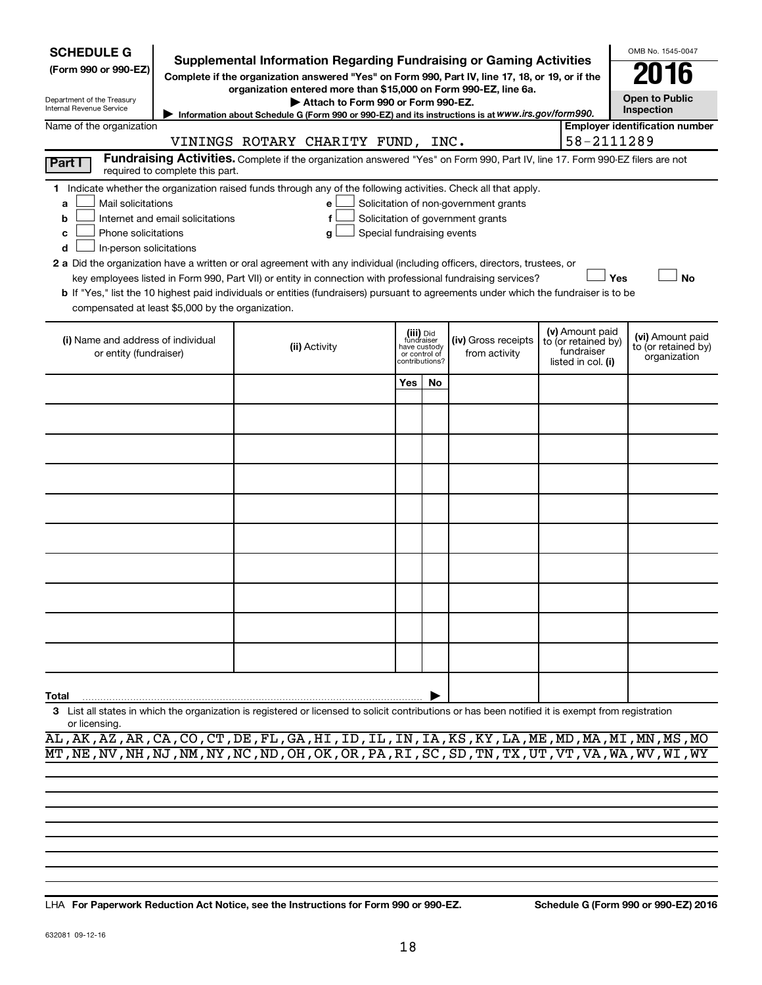| <b>SCHEDULE G</b>                                                                                                                                                                                                                                                                                                                                                                                                                                                                                                                                                                                                                                                                                                                                                                                                                                |                                                                                                                                                                                                                                                    |  |                                   |                                                               |           |                                                                                                                                                                               |  |                                                                            | OMB No. 1545-0047                                       |  |
|--------------------------------------------------------------------------------------------------------------------------------------------------------------------------------------------------------------------------------------------------------------------------------------------------------------------------------------------------------------------------------------------------------------------------------------------------------------------------------------------------------------------------------------------------------------------------------------------------------------------------------------------------------------------------------------------------------------------------------------------------------------------------------------------------------------------------------------------------|----------------------------------------------------------------------------------------------------------------------------------------------------------------------------------------------------------------------------------------------------|--|-----------------------------------|---------------------------------------------------------------|-----------|-------------------------------------------------------------------------------------------------------------------------------------------------------------------------------|--|----------------------------------------------------------------------------|---------------------------------------------------------|--|
| (Form 990 or 990-EZ)                                                                                                                                                                                                                                                                                                                                                                                                                                                                                                                                                                                                                                                                                                                                                                                                                             |                                                                                                                                                                                                                                                    |  |                                   |                                                               |           | <b>Supplemental Information Regarding Fundraising or Gaming Activities</b><br>Complete if the organization answered "Yes" on Form 990, Part IV, line 17, 18, or 19, or if the |  |                                                                            |                                                         |  |
| Department of the Treasury<br>Internal Revenue Service                                                                                                                                                                                                                                                                                                                                                                                                                                                                                                                                                                                                                                                                                                                                                                                           | organization entered more than \$15,000 on Form 990-EZ, line 6a.<br><b>Open to Public</b><br>Attach to Form 990 or Form 990-EZ.<br>Inspection<br>Information about Schedule G (Form 990 or 990-EZ) and its instructions is at www.irs.gov/form990. |  |                                   |                                                               |           |                                                                                                                                                                               |  |                                                                            |                                                         |  |
| Name of the organization                                                                                                                                                                                                                                                                                                                                                                                                                                                                                                                                                                                                                                                                                                                                                                                                                         |                                                                                                                                                                                                                                                    |  |                                   |                                                               |           |                                                                                                                                                                               |  |                                                                            | <b>Employer identification number</b>                   |  |
|                                                                                                                                                                                                                                                                                                                                                                                                                                                                                                                                                                                                                                                                                                                                                                                                                                                  |                                                                                                                                                                                                                                                    |  | VININGS ROTARY CHARITY FUND, INC. |                                                               |           |                                                                                                                                                                               |  | 58-2111289                                                                 |                                                         |  |
| Part I                                                                                                                                                                                                                                                                                                                                                                                                                                                                                                                                                                                                                                                                                                                                                                                                                                           | required to complete this part.                                                                                                                                                                                                                    |  |                                   |                                                               |           | Fundraising Activities. Complete if the organization answered "Yes" on Form 990, Part IV, line 17. Form 990-EZ filers are not                                                 |  |                                                                            |                                                         |  |
| 1 Indicate whether the organization raised funds through any of the following activities. Check all that apply.<br>Mail solicitations<br>Solicitation of non-government grants<br>e<br>a<br>Internet and email solicitations<br>f<br>Solicitation of government grants<br>b<br>Phone solicitations<br>Special fundraising events<br>c<br>g<br>In-person solicitations<br>d<br>2 a Did the organization have a written or oral agreement with any individual (including officers, directors, trustees, or<br>Yes<br><b>No</b><br>key employees listed in Form 990, Part VII) or entity in connection with professional fundraising services?<br><b>b</b> If "Yes," list the 10 highest paid individuals or entities (fundraisers) pursuant to agreements under which the fundraiser is to be<br>compensated at least \$5,000 by the organization. |                                                                                                                                                                                                                                                    |  |                                   |                                                               |           |                                                                                                                                                                               |  |                                                                            |                                                         |  |
| (i) Name and address of individual<br>or entity (fundraiser)                                                                                                                                                                                                                                                                                                                                                                                                                                                                                                                                                                                                                                                                                                                                                                                     |                                                                                                                                                                                                                                                    |  | (ii) Activity                     | fundraiser<br>have custody<br>or control of<br>contributions? | (iii) Did | (iv) Gross receipts<br>from activity                                                                                                                                          |  | (v) Amount paid<br>to (or retained by)<br>fundraiser<br>listed in col. (i) | (vi) Amount paid<br>to (or retained by)<br>organization |  |
|                                                                                                                                                                                                                                                                                                                                                                                                                                                                                                                                                                                                                                                                                                                                                                                                                                                  |                                                                                                                                                                                                                                                    |  |                                   | Yes                                                           | No.       |                                                                                                                                                                               |  |                                                                            |                                                         |  |
|                                                                                                                                                                                                                                                                                                                                                                                                                                                                                                                                                                                                                                                                                                                                                                                                                                                  |                                                                                                                                                                                                                                                    |  |                                   |                                                               |           |                                                                                                                                                                               |  |                                                                            |                                                         |  |
|                                                                                                                                                                                                                                                                                                                                                                                                                                                                                                                                                                                                                                                                                                                                                                                                                                                  |                                                                                                                                                                                                                                                    |  |                                   |                                                               |           |                                                                                                                                                                               |  |                                                                            |                                                         |  |
|                                                                                                                                                                                                                                                                                                                                                                                                                                                                                                                                                                                                                                                                                                                                                                                                                                                  |                                                                                                                                                                                                                                                    |  |                                   |                                                               |           |                                                                                                                                                                               |  |                                                                            |                                                         |  |
|                                                                                                                                                                                                                                                                                                                                                                                                                                                                                                                                                                                                                                                                                                                                                                                                                                                  |                                                                                                                                                                                                                                                    |  |                                   |                                                               |           |                                                                                                                                                                               |  |                                                                            |                                                         |  |
|                                                                                                                                                                                                                                                                                                                                                                                                                                                                                                                                                                                                                                                                                                                                                                                                                                                  |                                                                                                                                                                                                                                                    |  |                                   |                                                               |           |                                                                                                                                                                               |  |                                                                            |                                                         |  |
|                                                                                                                                                                                                                                                                                                                                                                                                                                                                                                                                                                                                                                                                                                                                                                                                                                                  |                                                                                                                                                                                                                                                    |  |                                   |                                                               |           |                                                                                                                                                                               |  |                                                                            |                                                         |  |
|                                                                                                                                                                                                                                                                                                                                                                                                                                                                                                                                                                                                                                                                                                                                                                                                                                                  |                                                                                                                                                                                                                                                    |  |                                   |                                                               |           |                                                                                                                                                                               |  |                                                                            |                                                         |  |
|                                                                                                                                                                                                                                                                                                                                                                                                                                                                                                                                                                                                                                                                                                                                                                                                                                                  |                                                                                                                                                                                                                                                    |  |                                   |                                                               |           |                                                                                                                                                                               |  |                                                                            |                                                         |  |
|                                                                                                                                                                                                                                                                                                                                                                                                                                                                                                                                                                                                                                                                                                                                                                                                                                                  |                                                                                                                                                                                                                                                    |  |                                   |                                                               |           |                                                                                                                                                                               |  |                                                                            |                                                         |  |
| Total                                                                                                                                                                                                                                                                                                                                                                                                                                                                                                                                                                                                                                                                                                                                                                                                                                            |                                                                                                                                                                                                                                                    |  |                                   |                                                               |           |                                                                                                                                                                               |  |                                                                            |                                                         |  |
| 3 List all states in which the organization is registered or licensed to solicit contributions or has been notified it is exempt from registration<br>or licensing.                                                                                                                                                                                                                                                                                                                                                                                                                                                                                                                                                                                                                                                                              |                                                                                                                                                                                                                                                    |  |                                   |                                                               |           |                                                                                                                                                                               |  |                                                                            |                                                         |  |

AL,AK,AZ,AR,CA,CO,CT,DE,FL,GA,HI,ID,IL,IN,IA,KS,KY,LA,ME,MD,MA,MI,MN,MS,MO MT,NE,NV,NH,NJ,NM,NY,NC,ND,OH,OK,OR,PA,RI,SC,SD,TN,TX,UT,VT,VA,WA,WV,WI,WY

**For Paperwork Reduction Act Notice, see the Instructions for Form 990 or 990-EZ. Schedule G (Form 990 or 990-EZ) 2016** LHA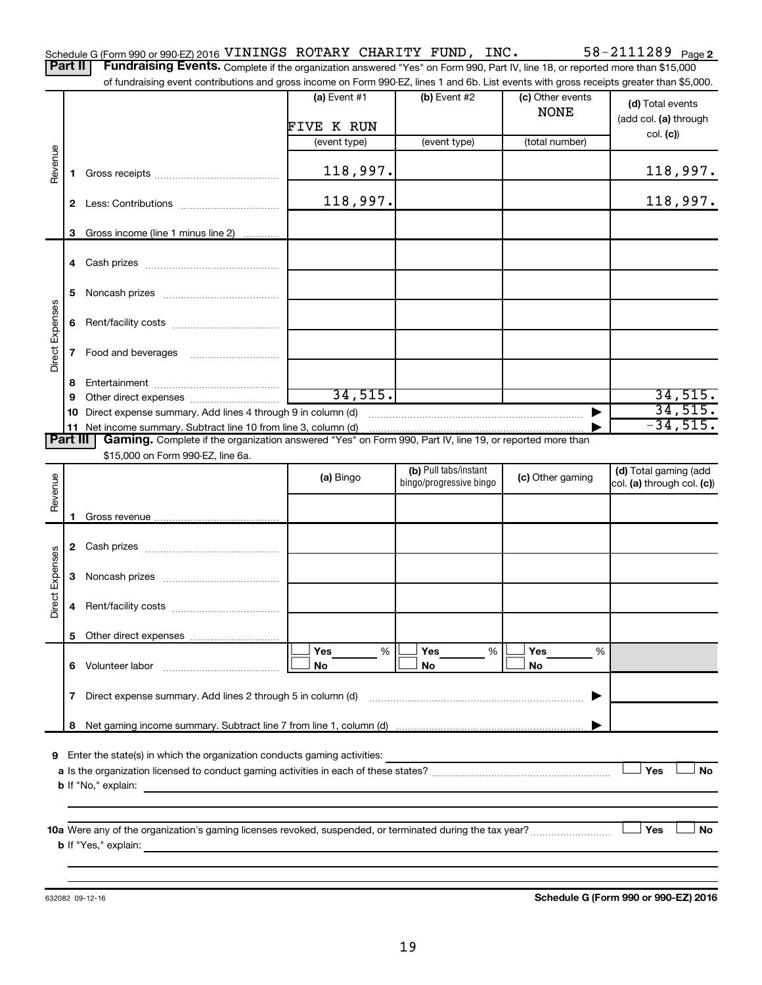| Schedule G (Form 990 or 990-EZ) 2016 VININGS ROTARY CHARITY FUND, INC. |  |  | $58 - 2111289$ Page 2                                                                                                                          |
|------------------------------------------------------------------------|--|--|------------------------------------------------------------------------------------------------------------------------------------------------|
|                                                                        |  |  | <b>Part II   Fundraising Events.</b> Complete if the organization answered "Yes" on Form 990, Part IV, line 18, or reported more than \$15,000 |

of fundraising event contributions and gross income on Form 990-EZ, lines 1 and 6b. List events with gross receipts greater than \$5,000.

|                 |              |                                                                                                                                                                             | (a) Event #1 | (b) Event #2            | (c) Other events<br><b>NONE</b> | (d) Total events<br>(add col. (a) through |
|-----------------|--------------|-----------------------------------------------------------------------------------------------------------------------------------------------------------------------------|--------------|-------------------------|---------------------------------|-------------------------------------------|
|                 |              |                                                                                                                                                                             | FIVE K RUN   |                         | (total number)                  | col. (c)                                  |
|                 |              |                                                                                                                                                                             | (event type) | (event type)            |                                 |                                           |
| Revenue         | 1.           |                                                                                                                                                                             | 118,997.     |                         |                                 | 118,997.                                  |
|                 | $\mathbf{2}$ |                                                                                                                                                                             | 118,997.     |                         |                                 | 118,997.                                  |
|                 | 3            | Gross income (line 1 minus line 2)                                                                                                                                          |              |                         |                                 |                                           |
|                 |              |                                                                                                                                                                             |              |                         |                                 |                                           |
|                 | 5.           |                                                                                                                                                                             |              |                         |                                 |                                           |
| Direct Expenses |              |                                                                                                                                                                             |              |                         |                                 |                                           |
|                 |              |                                                                                                                                                                             |              |                         |                                 |                                           |
|                 | 8.           |                                                                                                                                                                             |              |                         |                                 |                                           |
|                 | 9            |                                                                                                                                                                             | 34, 515.     |                         |                                 | 34,515.                                   |
|                 | 10           | Direct expense summary. Add lines 4 through 9 in column (d)                                                                                                                 |              |                         | ▶                               | 34,515.                                   |
| <b>Part III</b> |              | 11 Net income summary. Subtract line 10 from line 3, column (d)<br>Gaming. Complete if the organization answered "Yes" on Form 990, Part IV, line 19, or reported more than |              |                         |                                 | $-34,515.$                                |
|                 |              | \$15,000 on Form 990-EZ, line 6a.                                                                                                                                           |              |                         |                                 |                                           |
|                 |              |                                                                                                                                                                             |              | (b) Pull tabs/instant   |                                 | (d) Total gaming (add                     |
|                 |              |                                                                                                                                                                             | (a) Bingo    | bingo/progressive bingo | (c) Other gaming                | col. (a) through col. (c))                |
| Revenue         |              |                                                                                                                                                                             |              |                         |                                 |                                           |
|                 |              |                                                                                                                                                                             |              |                         |                                 |                                           |
|                 |              |                                                                                                                                                                             |              |                         |                                 |                                           |
|                 |              |                                                                                                                                                                             |              |                         |                                 |                                           |
| Direct Expenses |              |                                                                                                                                                                             |              |                         |                                 |                                           |
|                 | 4            |                                                                                                                                                                             |              |                         |                                 |                                           |
|                 |              |                                                                                                                                                                             |              |                         |                                 |                                           |
|                 |              |                                                                                                                                                                             | %<br>Yes     | Yes<br>%                | Yes<br>%                        |                                           |
|                 |              | 6 Volunteer labor<br><u> 1986 - Jan Barbarat, martin a</u>                                                                                                                  | No           | No                      | No                              |                                           |
|                 | 7            | Direct expense summary. Add lines 2 through 5 in column (d)                                                                                                                 |              |                         |                                 |                                           |
|                 |              |                                                                                                                                                                             |              |                         |                                 |                                           |
|                 | 8            |                                                                                                                                                                             |              |                         |                                 |                                           |
| 9               |              | Enter the state(s) in which the organization conducts gaming activities:                                                                                                    |              |                         |                                 |                                           |
|                 |              |                                                                                                                                                                             |              |                         |                                 | Yes<br><b>No</b>                          |
|                 |              | <b>b</b> If "No," explain:<br>the control of the control of the control of the control of the control of                                                                    |              |                         |                                 |                                           |
|                 |              |                                                                                                                                                                             |              |                         |                                 |                                           |
|                 |              |                                                                                                                                                                             |              |                         |                                 |                                           |
|                 |              |                                                                                                                                                                             |              |                         |                                 | Yes<br><b>No</b>                          |
|                 |              | <b>b</b> If "Yes," explain:                                                                                                                                                 |              |                         |                                 |                                           |
|                 |              |                                                                                                                                                                             |              |                         |                                 |                                           |

632082 09-12-16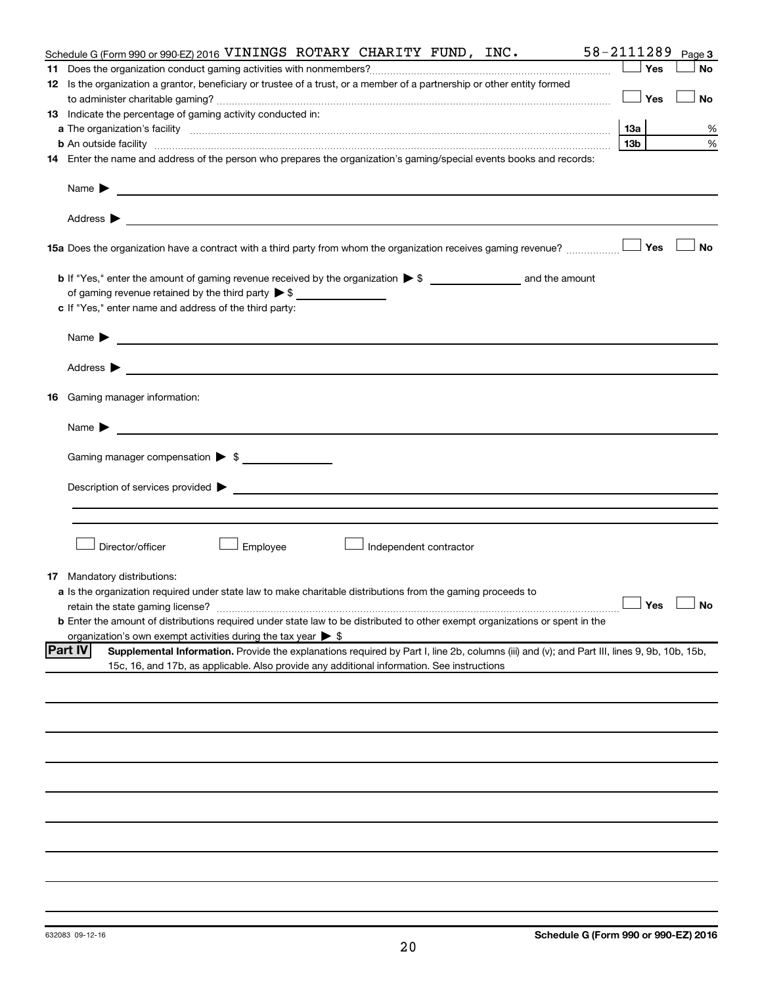|    | 58-2111289<br>Schedule G (Form 990 or 990-EZ) 2016 VININGS ROTARY CHARITY FUND, INC.                                                                          |                 |     | Page 3               |
|----|---------------------------------------------------------------------------------------------------------------------------------------------------------------|-----------------|-----|----------------------|
| 11 |                                                                                                                                                               |                 | Yes | No                   |
|    | 12 Is the organization a grantor, beneficiary or trustee of a trust, or a member of a partnership or other entity formed                                      |                 |     |                      |
|    |                                                                                                                                                               |                 | Yes | No                   |
|    | 13 Indicate the percentage of gaming activity conducted in:                                                                                                   |                 |     |                      |
|    |                                                                                                                                                               |                 |     | %                    |
|    |                                                                                                                                                               | 13 <sub>b</sub> |     | %                    |
|    | 14 Enter the name and address of the person who prepares the organization's gaming/special events books and records:                                          |                 |     |                      |
|    |                                                                                                                                                               |                 |     |                      |
|    |                                                                                                                                                               |                 |     |                      |
|    |                                                                                                                                                               |                 |     |                      |
|    | 15a Does the organization have a contract with a third party from whom the organization receives gaming revenue?                                              |                 | Yes | <b>No</b>            |
|    |                                                                                                                                                               |                 |     |                      |
|    |                                                                                                                                                               |                 |     |                      |
|    |                                                                                                                                                               |                 |     |                      |
|    | c If "Yes," enter name and address of the third party:                                                                                                        |                 |     |                      |
|    |                                                                                                                                                               |                 |     |                      |
|    |                                                                                                                                                               |                 |     |                      |
|    | 16 Gaming manager information:                                                                                                                                |                 |     |                      |
|    |                                                                                                                                                               |                 |     |                      |
|    |                                                                                                                                                               |                 |     |                      |
|    | Gaming manager compensation > \$                                                                                                                              |                 |     |                      |
|    |                                                                                                                                                               |                 |     |                      |
|    |                                                                                                                                                               |                 |     |                      |
|    | Director/officer<br>Employee<br>Independent contractor                                                                                                        |                 |     |                      |
|    |                                                                                                                                                               |                 |     |                      |
| 17 | Mandatory distributions:                                                                                                                                      |                 |     |                      |
|    | a Is the organization required under state law to make charitable distributions from the gaming proceeds to                                                   |                 |     |                      |
|    | retain the state gaming license?                                                                                                                              |                 |     | $\Box$ Yes $\Box$ No |
|    | <b>b</b> Enter the amount of distributions required under state law to be distributed to other exempt organizations or spent in the                           |                 |     |                      |
|    | organization's own exempt activities during the tax year $\triangleright$ \$                                                                                  |                 |     |                      |
|    | <b>Part IV</b><br>Supplemental Information. Provide the explanations required by Part I, line 2b, columns (iii) and (v); and Part III, lines 9, 9b, 10b, 15b, |                 |     |                      |
|    | 15c, 16, and 17b, as applicable. Also provide any additional information. See instructions                                                                    |                 |     |                      |
|    |                                                                                                                                                               |                 |     |                      |
|    |                                                                                                                                                               |                 |     |                      |
|    |                                                                                                                                                               |                 |     |                      |
|    |                                                                                                                                                               |                 |     |                      |
|    |                                                                                                                                                               |                 |     |                      |
|    |                                                                                                                                                               |                 |     |                      |
|    |                                                                                                                                                               |                 |     |                      |
|    |                                                                                                                                                               |                 |     |                      |
|    |                                                                                                                                                               |                 |     |                      |
|    |                                                                                                                                                               |                 |     |                      |
|    |                                                                                                                                                               |                 |     |                      |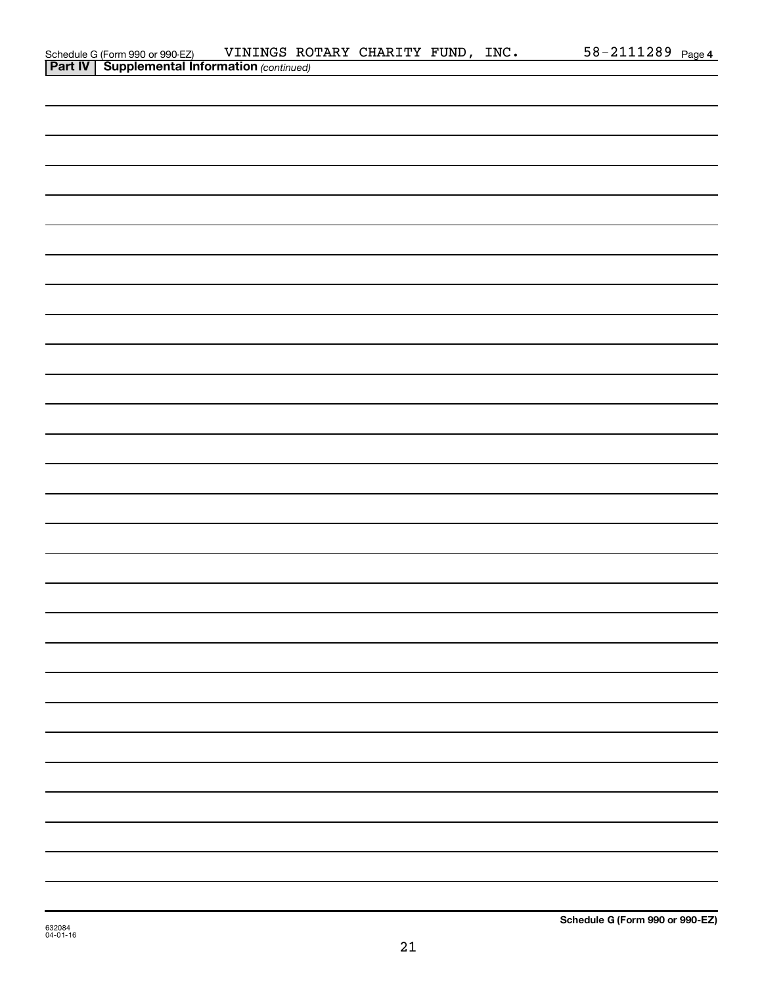| Schedule G (Form 990 or 990-EZ) VININGS RO<br><b>Part IV   Supplemental Information</b> (continued) | VININGS ROTARY CHARITY FUND, INC. |  |  | 58-2111289 Page 4 |  |
|-----------------------------------------------------------------------------------------------------|-----------------------------------|--|--|-------------------|--|
|                                                                                                     |                                   |  |  |                   |  |
|                                                                                                     |                                   |  |  |                   |  |
|                                                                                                     |                                   |  |  |                   |  |
|                                                                                                     |                                   |  |  |                   |  |
|                                                                                                     |                                   |  |  |                   |  |
|                                                                                                     |                                   |  |  |                   |  |
|                                                                                                     |                                   |  |  |                   |  |
|                                                                                                     |                                   |  |  |                   |  |
|                                                                                                     |                                   |  |  |                   |  |
|                                                                                                     |                                   |  |  |                   |  |
|                                                                                                     |                                   |  |  |                   |  |
|                                                                                                     |                                   |  |  |                   |  |
|                                                                                                     |                                   |  |  |                   |  |
|                                                                                                     |                                   |  |  |                   |  |
|                                                                                                     |                                   |  |  |                   |  |
|                                                                                                     |                                   |  |  |                   |  |
|                                                                                                     |                                   |  |  |                   |  |
|                                                                                                     |                                   |  |  |                   |  |
|                                                                                                     |                                   |  |  |                   |  |
|                                                                                                     |                                   |  |  |                   |  |
|                                                                                                     |                                   |  |  |                   |  |
|                                                                                                     |                                   |  |  |                   |  |
|                                                                                                     |                                   |  |  |                   |  |
|                                                                                                     |                                   |  |  |                   |  |
|                                                                                                     |                                   |  |  |                   |  |
|                                                                                                     |                                   |  |  |                   |  |
|                                                                                                     |                                   |  |  |                   |  |
|                                                                                                     |                                   |  |  |                   |  |
|                                                                                                     |                                   |  |  |                   |  |
|                                                                                                     |                                   |  |  |                   |  |
|                                                                                                     |                                   |  |  |                   |  |
|                                                                                                     |                                   |  |  |                   |  |
|                                                                                                     |                                   |  |  |                   |  |
|                                                                                                     |                                   |  |  |                   |  |
|                                                                                                     |                                   |  |  |                   |  |
|                                                                                                     |                                   |  |  |                   |  |
|                                                                                                     |                                   |  |  |                   |  |
|                                                                                                     |                                   |  |  |                   |  |
|                                                                                                     |                                   |  |  |                   |  |
|                                                                                                     |                                   |  |  |                   |  |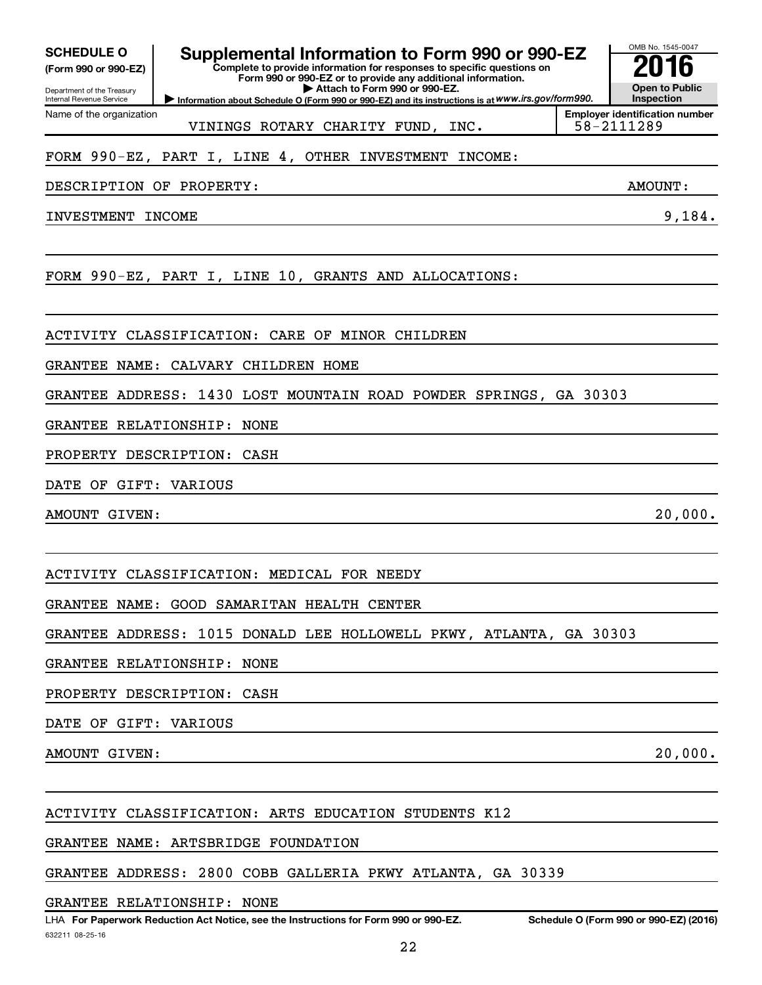**(Form 990 or 990-EZ)**

Department of the Treasury Internal Revenue Service Name of the organization

## **SCHEDULE O Supplemental Information to Form 990 or 990-EZ 2016**

**Complete to provide information for responses to specific questions on Form 990 or 990-EZ or to provide any additional information. | Attach to Form 990 or 990-EZ.**

**Information about Schedule O (Form 990 or 990-EZ) and its instructions is at WWW.irs.gov/form990.** 

VININGS ROTARY CHARITY FUND, INC.  $\vert$  58-2111289

#### FORM 990-EZ, PART I, LINE 4, OTHER INVESTMENT INCOME:

DESCRIPTION OF PROPERTY: AMOUNT:

INVESTMENT INCOME 9,184.

FORM 990-EZ, PART I, LINE 10, GRANTS AND ALLOCATIONS:

ACTIVITY CLASSIFICATION: CARE OF MINOR CHILDREN

GRANTEE NAME: CALVARY CHILDREN HOME

GRANTEE ADDRESS: 1430 LOST MOUNTAIN ROAD POWDER SPRINGS, GA 30303

GRANTEE RELATIONSHIP: NONE

PROPERTY DESCRIPTION: CASH

DATE OF GIFT: VARIOUS

AMOUNT GIVEN: 20,000.

ACTIVITY CLASSIFICATION: MEDICAL FOR NEEDY

GRANTEE NAME: GOOD SAMARITAN HEALTH CENTER

GRANTEE ADDRESS: 1015 DONALD LEE HOLLOWELL PKWY, ATLANTA, GA 30303

GRANTEE RELATIONSHIP: NONE

PROPERTY DESCRIPTION: CASH

DATE OF GIFT: VARIOUS

AMOUNT GIVEN: 20,000.

ACTIVITY CLASSIFICATION: ARTS EDUCATION STUDENTS K12

GRANTEE NAME: ARTSBRIDGE FOUNDATION

GRANTEE ADDRESS: 2800 COBB GALLERIA PKWY ATLANTA, GA 30339

GRANTEE RELATIONSHIP: NONE

**Employer identification number**

**Open to Public Inspection**

OMB No. 1545-0047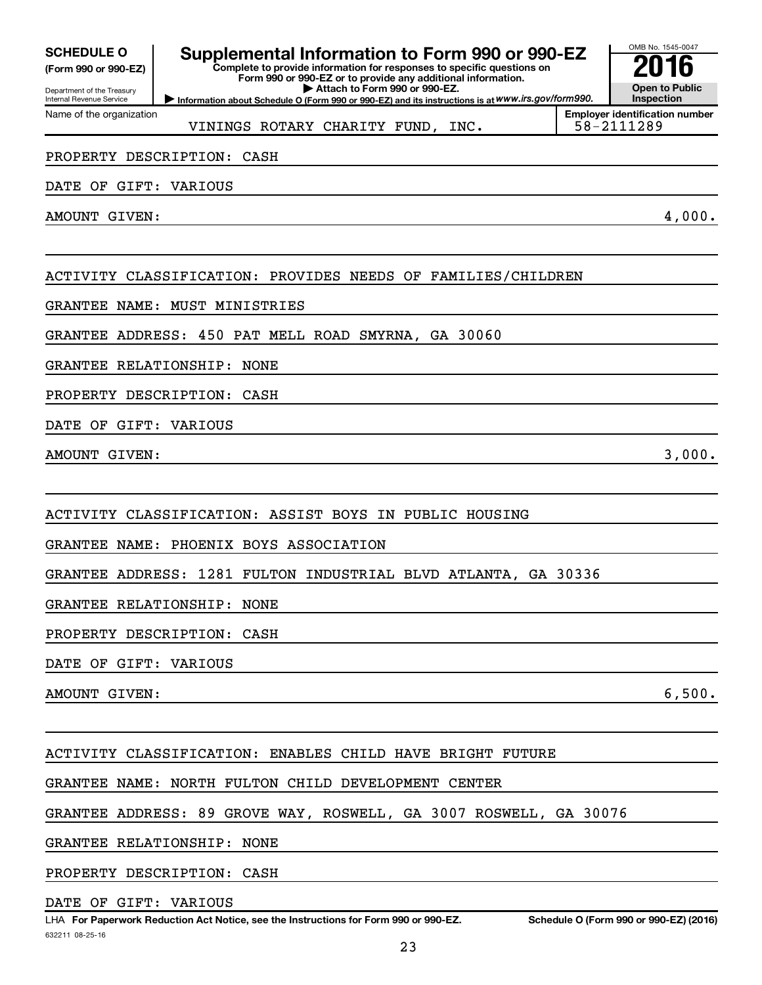| <b>SCHEDULE O</b> |  |
|-------------------|--|
|-------------------|--|

Department of the Treasury **(Form 990 or 990-EZ)**

Name of the organization

Internal Revenue Service

### **Supplemental Information to Form 990 or 990-EZ**<br>Complete to provide information for responses to specific questions on

**Complete to provide information for responses to specific questions on Form 990 or 990-EZ or to provide any additional information. | Attach to Form 990 or 990-EZ.**

**Information about Schedule O (Form 990 or 990-EZ) and its instructions is at WWW.irs.gov/form990.** 

**Employer identification number** VININGS ROTARY CHARITY FUND, INC.  $\vert$  58-2111289

#### PROPERTY DESCRIPTION: CASH

DATE OF GIFT: VARIOUS

AMOUNT GIVEN: 4,000.

OMB No. 1545-0047

**Open to Public Inspection**

ACTIVITY CLASSIFICATION: PROVIDES NEEDS OF FAMILIES/CHILDREN

GRANTEE NAME: MUST MINISTRIES

GRANTEE ADDRESS: 450 PAT MELL ROAD SMYRNA, GA 30060

GRANTEE RELATIONSHIP: NONE

PROPERTY DESCRIPTION: CASH

DATE OF GIFT: VARIOUS

AMOUNT GIVEN:  $3,000$ .

ACTIVITY CLASSIFICATION: ASSIST BOYS IN PUBLIC HOUSING

GRANTEE NAME: PHOENIX BOYS ASSOCIATION

GRANTEE ADDRESS: 1281 FULTON INDUSTRIAL BLVD ATLANTA, GA 30336

GRANTEE RELATIONSHIP: NONE

PROPERTY DESCRIPTION: CASH

DATE OF GIFT: VARIOUS

AMOUNT GIVEN: 6,500.

ACTIVITY CLASSIFICATION: ENABLES CHILD HAVE BRIGHT FUTURE

GRANTEE NAME: NORTH FULTON CHILD DEVELOPMENT CENTER

GRANTEE ADDRESS: 89 GROVE WAY, ROSWELL, GA 3007 ROSWELL, GA 30076

GRANTEE RELATIONSHIP: NONE

PROPERTY DESCRIPTION: CASH

DATE OF GIFT: VARIOUS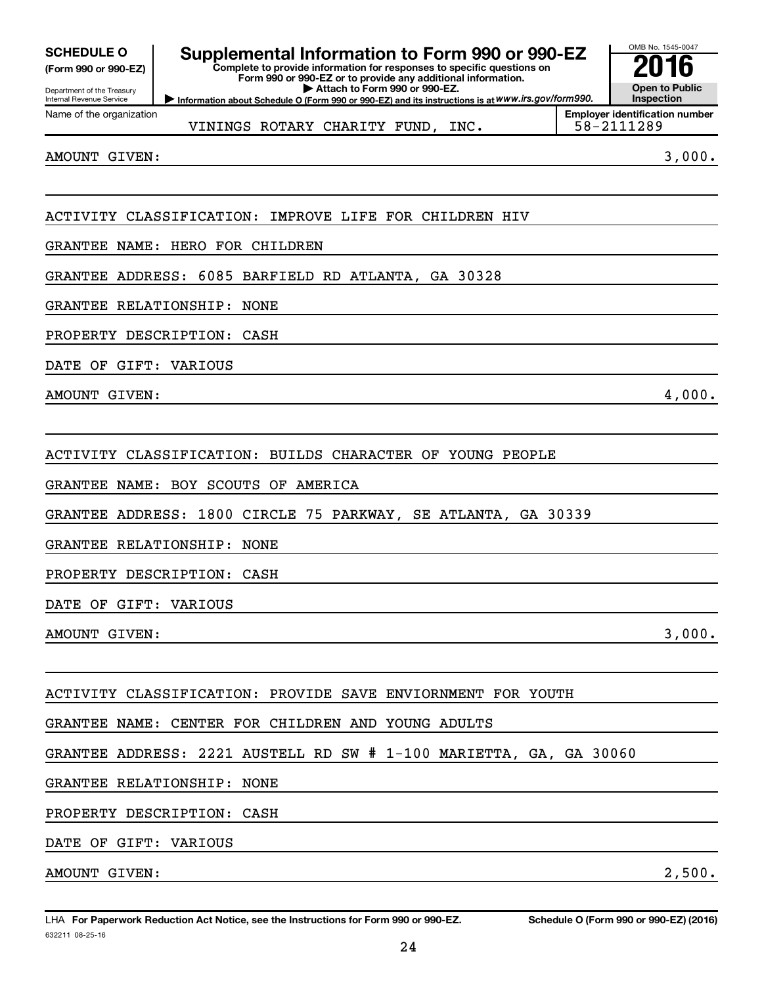| <b>SCHEDULE O</b> |  |
|-------------------|--|
|                   |  |

#### **(Form 990 or 990-EZ)**

Department of the Treasury Internal Revenue Service Name of the organization

## **Supplemental Information to Form 990 or 990-EZ**<br>Complete to provide information for responses to specific questions on

**Information about Schedule O (Form 990 or 990-EZ) and its instructions is at WWW.irs.gov/form990. Complete to provide information for responses to specific questions on Form 990 or 990-EZ or to provide any additional information. | Attach to Form 990 or 990-EZ.**



**Employer identification number**

VININGS ROTARY CHARITY FUND, INC.  $\vert$  58-2111289

AMOUNT GIVEN:  $3,000$ .

ACTIVITY CLASSIFICATION: IMPROVE LIFE FOR CHILDREN HIV

GRANTEE NAME: HERO FOR CHILDREN

GRANTEE ADDRESS: 6085 BARFIELD RD ATLANTA, GA 30328

GRANTEE RELATIONSHIP: NONE

PROPERTY DESCRIPTION: CASH

DATE OF GIFT: VARIOUS

AMOUNT GIVEN: 4,000.

ACTIVITY CLASSIFICATION: BUILDS CHARACTER OF YOUNG PEOPLE

GRANTEE NAME: BOY SCOUTS OF AMERICA

GRANTEE ADDRESS: 1800 CIRCLE 75 PARKWAY, SE ATLANTA, GA 30339

GRANTEE RELATIONSHIP: NONE

PROPERTY DESCRIPTION: CASH

DATE OF GIFT: VARIOUS

AMOUNT GIVEN:  $3,000$ .

ACTIVITY CLASSIFICATION: PROVIDE SAVE ENVIORNMENT FOR YOUTH

GRANTEE NAME: CENTER FOR CHILDREN AND YOUNG ADULTS

GRANTEE ADDRESS: 2221 AUSTELL RD SW # 1-100 MARIETTA, GA, GA 30060

GRANTEE RELATIONSHIP: NONE

PROPERTY DESCRIPTION: CASH

DATE OF GIFT: VARIOUS

AMOUNT GIVEN: 2,500.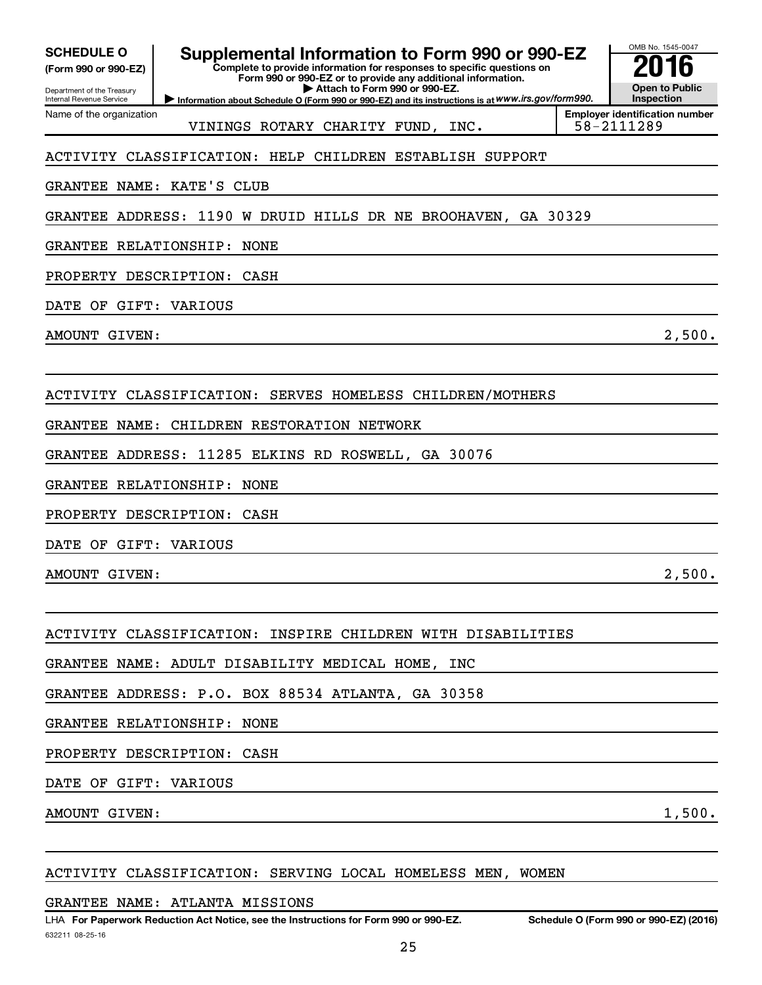| <b>SCHEDULE O</b> |
|-------------------|
|-------------------|

**(Form 990 or 990-EZ)**

Department of the Treasury Internal Revenue Service Name of the organization

### **Supplemental Information to Form 990 or 990-EZ**<br>Complete to provide information for responses to specific questions on

**Complete to provide information for responses to specific questions on Form 990 or 990-EZ or to provide any additional information. | Attach to Form 990 or 990-EZ.**

**Information about Schedule O (Form 990 or 990-EZ) and its instructions is at WWW.irs.gov/form990.** 



VININGS ROTARY CHARITY FUND, INC.  $\vert$  58-2111289

**Employer identification number**

#### ACTIVITY CLASSIFICATION: HELP CHILDREN ESTABLISH SUPPORT

#### GRANTEE NAME: KATE'S CLUB

GRANTEE ADDRESS: 1190 W DRUID HILLS DR NE BROOHAVEN, GA 30329

#### GRANTEE RELATIONSHIP: NONE

PROPERTY DESCRIPTION: CASH

DATE OF GIFT: VARIOUS

AMOUNT GIVEN:  $2,500$ .

#### ACTIVITY CLASSIFICATION: SERVES HOMELESS CHILDREN/MOTHERS

GRANTEE NAME: CHILDREN RESTORATION NETWORK

GRANTEE ADDRESS: 11285 ELKINS RD ROSWELL, GA 30076

GRANTEE RELATIONSHIP: NONE

PROPERTY DESCRIPTION: CASH

DATE OF GIFT: VARIOUS

AMOUNT GIVEN:  $2,500$ .

#### ACTIVITY CLASSIFICATION: INSPIRE CHILDREN WITH DISABILITIES

GRANTEE NAME: ADULT DISABILITY MEDICAL HOME, INC

GRANTEE ADDRESS: P.O. BOX 88534 ATLANTA, GA 30358

GRANTEE RELATIONSHIP: NONE

PROPERTY DESCRIPTION: CASH

DATE OF GIFT: VARIOUS

AMOUNT GIVEN: 1,500.

#### ACTIVITY CLASSIFICATION: SERVING LOCAL HOMELESS MEN, WOMEN

GRANTEE NAME: ATLANTA MISSIONS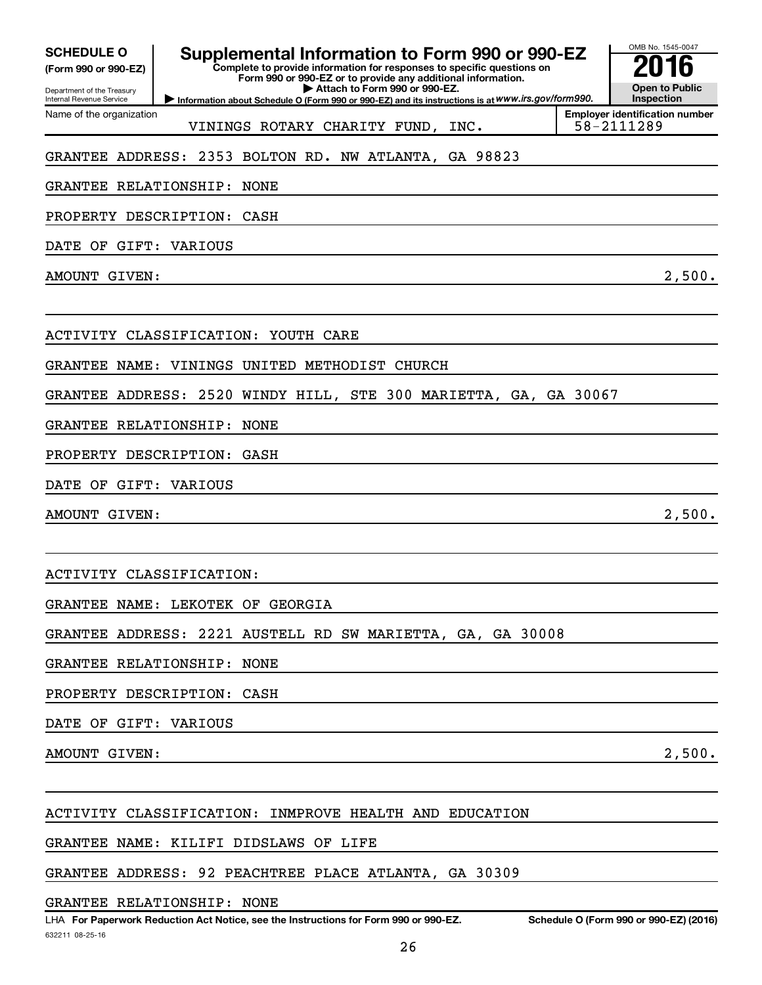| <b>SCHEDULE O</b>                                          | Supplemental Information to Form 990 or 990-EZ<br>Complete to provide information for responses to specific questions on |                               |  | OMB No. 1545-0047                                   |
|------------------------------------------------------------|--------------------------------------------------------------------------------------------------------------------------|-------------------------------|--|-----------------------------------------------------|
| (Form 990 or 990-EZ)<br>Department of the Treasury         | Form 990 or 990-EZ or to provide any additional information.                                                             | Attach to Form 990 or 990-EZ. |  | <b>Open to Public</b>                               |
| <b>Internal Revenue Service</b>                            | Information about Schedule O (Form 990 or 990-EZ) and its instructions is at WWW.irs.gov/form990.                        |                               |  | <b>Inspection</b>                                   |
| Name of the organization                                   | VININGS ROTARY CHARITY FUND, INC.                                                                                        |                               |  | <b>Employer identification number</b><br>58-2111289 |
| GRANTEE ADDRESS: 2353 BOLTON RD. NW ATLANTA, GA 98823      |                                                                                                                          |                               |  |                                                     |
| GRANTEE RELATIONSHIP:                                      | NONE                                                                                                                     |                               |  |                                                     |
| PROPERTY DESCRIPTION:                                      | CASH                                                                                                                     |                               |  |                                                     |
| DATE OF GIFT: VARIOUS                                      |                                                                                                                          |                               |  |                                                     |
| AMOUNT GIVEN:                                              |                                                                                                                          |                               |  | 2,500.                                              |
| ACTIVITY CLASSIFICATION: YOUTH CARE                        |                                                                                                                          |                               |  |                                                     |
| GRANTEE NAME:                                              | VININGS UNITED METHODIST CHURCH                                                                                          |                               |  |                                                     |
| GRANTEE ADDRESS:                                           | 2520 WINDY HILL, STE 300 MARIETTA, GA, GA 30067                                                                          |                               |  |                                                     |
| GRANTEE RELATIONSHIP:                                      | NONE                                                                                                                     |                               |  |                                                     |
| PROPERTY DESCRIPTION:                                      | GASH                                                                                                                     |                               |  |                                                     |
| DATE OF GIFT: VARIOUS                                      |                                                                                                                          |                               |  |                                                     |
| AMOUNT GIVEN:                                              |                                                                                                                          |                               |  | 2,500.                                              |
| ACTIVITY CLASSIFICATION:                                   |                                                                                                                          |                               |  |                                                     |
| GRANTEE NAME: LEKOTEK OF GEORGIA                           |                                                                                                                          |                               |  |                                                     |
| GRANTEE ADDRESS: 2221 AUSTELL RD SW MARIETTA, GA, GA 30008 |                                                                                                                          |                               |  |                                                     |
| GRANTEE RELATIONSHIP: NONE                                 |                                                                                                                          |                               |  |                                                     |
| PROPERTY DESCRIPTION: CASH                                 |                                                                                                                          |                               |  |                                                     |
| DATE OF GIFT: VARIOUS                                      |                                                                                                                          |                               |  |                                                     |
| AMOUNT GIVEN:                                              |                                                                                                                          |                               |  | 2,500.                                              |
| ACTIVITY CLASSIFICATION: INMPROVE HEALTH AND EDUCATION     |                                                                                                                          |                               |  |                                                     |

GRANTEE NAME: KILIFI DIDSLAWS OF LIFE

GRANTEE ADDRESS: 92 PEACHTREE PLACE ATLANTA, GA 30309

GRANTEE RELATIONSHIP: NONE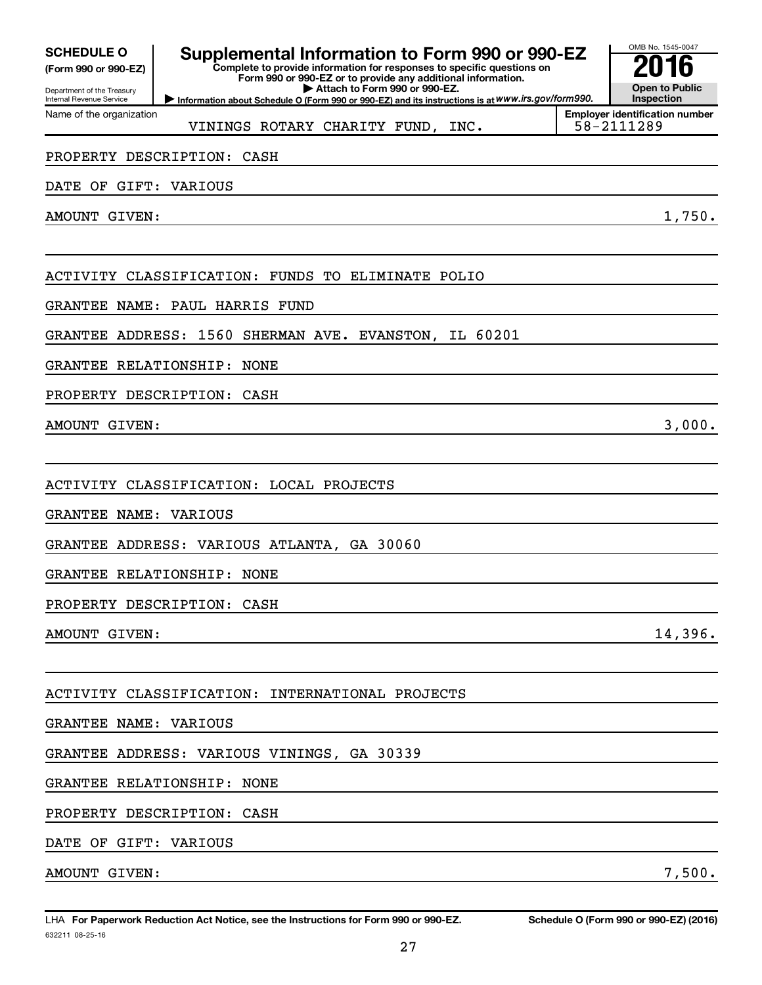| <b>SCHEDULE O</b> |  |
|-------------------|--|
|-------------------|--|

|                            |  | (Form 990 or 990-EZ) |
|----------------------------|--|----------------------|
| Department of the Treasury |  |                      |

Name of the organization

Internal Revenue Service

### **Supplemental Information to Form 990 or 990-EZ**<br>Complete to provide information for responses to specific questions on

**Complete to provide information for responses to specific questions on Form 990 or 990-EZ or to provide any additional information. | Attach to Form 990 or 990-EZ.**

**Information about Schedule O (Form 990 or 990-EZ) and its instructions is at WWW.irs.gov/form990.** 

**Employer identification number** VININGS ROTARY CHARITY FUND, INC. | 58-2111289

#### PROPERTY DESCRIPTION: CASH

DATE OF GIFT: VARIOUS

AMOUNT GIVEN: 1,750.

ACTIVITY CLASSIFICATION: FUNDS TO ELIMINATE POLIO

GRANTEE NAME: PAUL HARRIS FUND

GRANTEE ADDRESS: 1560 SHERMAN AVE. EVANSTON, IL 60201

GRANTEE RELATIONSHIP: NONE

PROPERTY DESCRIPTION: CASH

AMOUNT GIVEN:  $3,000$ .

ACTIVITY CLASSIFICATION: LOCAL PROJECTS

GRANTEE NAME: VARIOUS

GRANTEE ADDRESS: VARIOUS ATLANTA, GA 30060

GRANTEE RELATIONSHIP: NONE

PROPERTY DESCRIPTION: CASH

AMOUNT GIVEN: 14,396.

OMB No. 1545-0047

**Open to Public Inspection**

ACTIVITY CLASSIFICATION: INTERNATIONAL PROJECTS

GRANTEE NAME: VARIOUS

GRANTEE ADDRESS: VARIOUS VININGS, GA 30339

GRANTEE RELATIONSHIP: NONE

PROPERTY DESCRIPTION: CASH

DATE OF GIFT: VARIOUS

AMOUNT GIVEN: 7,500.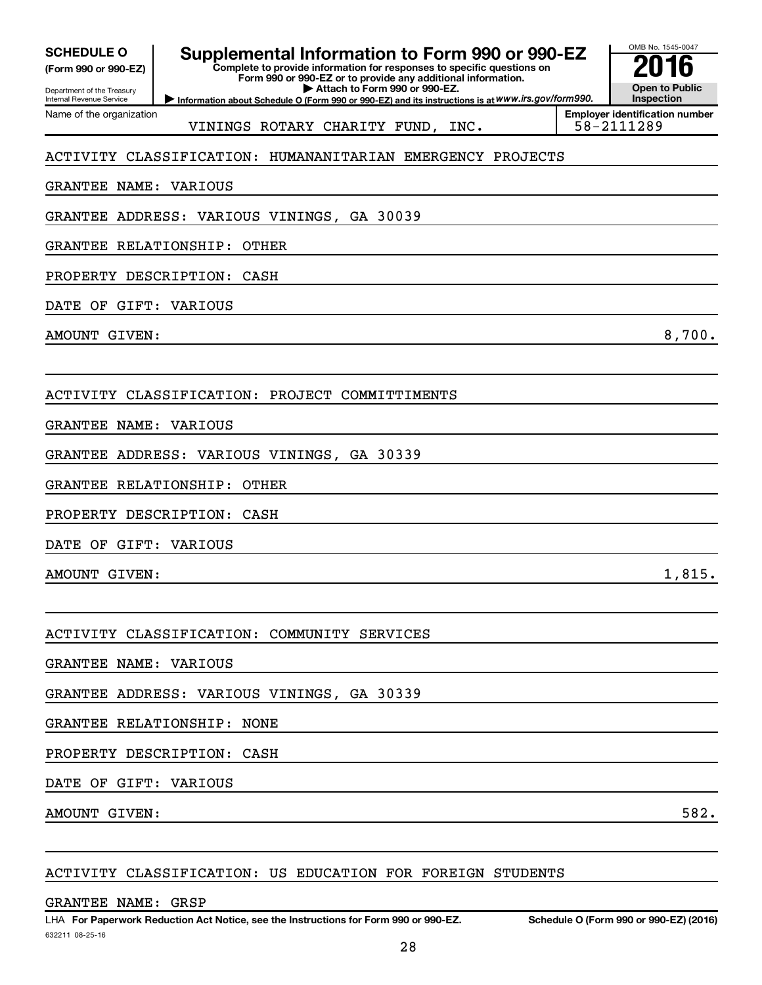| <b>SCHEDULE O</b> |  |
|-------------------|--|
|-------------------|--|

Department of the Treasury **(Form 990 or 990-EZ)**

Name of the organization

Internal Revenue Service

**Supplemental Information to Form 990 or 990-EZ**<br>Complete to provide information for responses to specific questions on

**Complete to provide information for responses to specific questions on Form 990 or 990-EZ or to provide any additional information.**

**| Attach to Form 990 or 990-EZ.**

**Information about Schedule O (Form 990 or 990-EZ) and its instructions is at WWW.irs.gov/form990.** 

OMB No. 1545-0047 **Open to Public Inspection**

VININGS ROTARY CHARITY FUND, INC.

**Employer identification number**

#### ACTIVITY CLASSIFICATION: HUMANANITARIAN EMERGENCY PROJECTS

GRANTEE NAME: VARIOUS

GRANTEE ADDRESS: VARIOUS VININGS, GA 30039

GRANTEE RELATIONSHIP: OTHER

PROPERTY DESCRIPTION: CASH

DATE OF GIFT: VARIOUS

AMOUNT GIVEN: 8,700.

ACTIVITY CLASSIFICATION: PROJECT COMMITTIMENTS

GRANTEE NAME: VARIOUS

GRANTEE ADDRESS: VARIOUS VININGS, GA 30339

GRANTEE RELATIONSHIP: OTHER

PROPERTY DESCRIPTION: CASH

DATE OF GIFT: VARIOUS

 $\blacksquare$  AMOUNT GIVEN:  $1,815$ .

ACTIVITY CLASSIFICATION: COMMUNITY SERVICES

GRANTEE NAME: VARIOUS

GRANTEE ADDRESS: VARIOUS VININGS, GA 30339

GRANTEE RELATIONSHIP: NONE

PROPERTY DESCRIPTION: CASH

DATE OF GIFT: VARIOUS

AMOUNT GIVEN: 582.

ACTIVITY CLASSIFICATION: US EDUCATION FOR FOREIGN STUDENTS

GRANTEE NAME: GRSP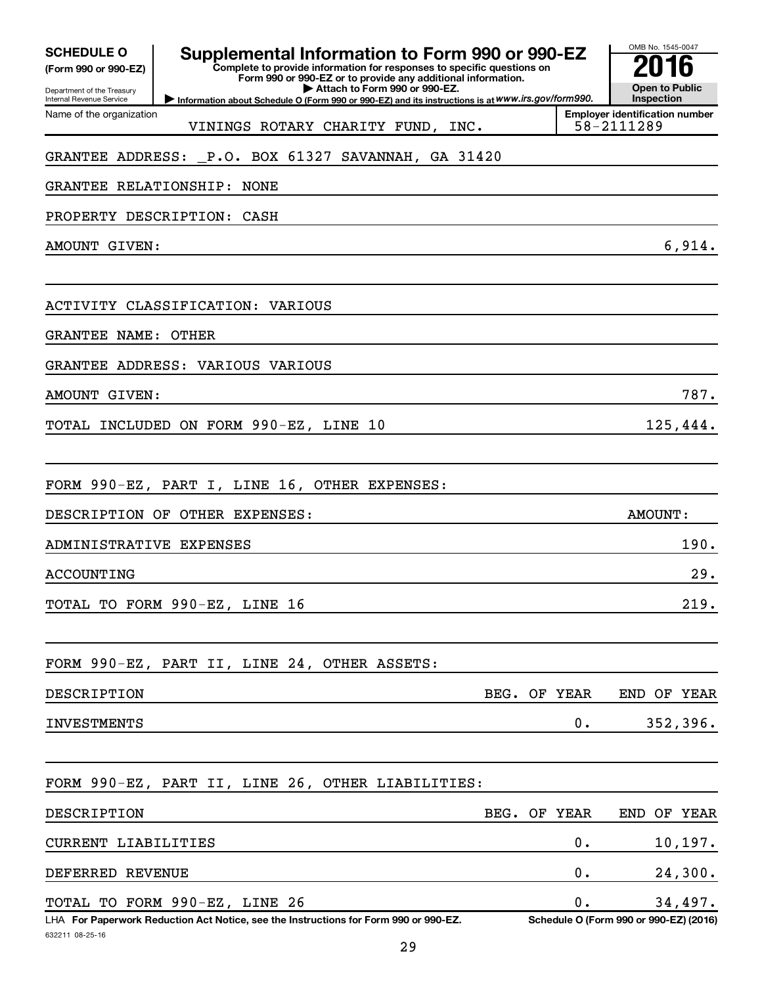| <b>SCHEDULE O</b><br>(Form 990 or 990-EZ)<br>Department of the Treasury<br>Internal Revenue Service | OMB No. 1545-0047<br>h<br><b>Open to Public</b><br>Inspection                                                                          |         |                                                     |
|-----------------------------------------------------------------------------------------------------|----------------------------------------------------------------------------------------------------------------------------------------|---------|-----------------------------------------------------|
| Name of the organization                                                                            | Information about Schedule O (Form 990 or 990-EZ) and its instructions is at WWW.irs.gov/form990.<br>VININGS ROTARY CHARITY FUND, INC. |         | <b>Employer identification number</b><br>58-2111289 |
|                                                                                                     | GRANTEE ADDRESS: P.O. BOX 61327 SAVANNAH, GA 31420                                                                                     |         |                                                     |
| GRANTEE RELATIONSHIP:                                                                               | NONE                                                                                                                                   |         |                                                     |
|                                                                                                     | PROPERTY DESCRIPTION: CASH                                                                                                             |         |                                                     |
| AMOUNT GIVEN:                                                                                       |                                                                                                                                        |         | 6,914.                                              |
|                                                                                                     |                                                                                                                                        |         |                                                     |
|                                                                                                     | ACTIVITY CLASSIFICATION: VARIOUS                                                                                                       |         |                                                     |
| <b>GRANTEE NAME:</b>                                                                                | <b>OTHER</b>                                                                                                                           |         |                                                     |
|                                                                                                     | GRANTEE ADDRESS: VARIOUS VARIOUS                                                                                                       |         |                                                     |
| AMOUNT GIVEN:                                                                                       |                                                                                                                                        |         | 787.                                                |
|                                                                                                     | TOTAL INCLUDED ON FORM 990-EZ, LINE 10                                                                                                 |         | 125,444.                                            |
|                                                                                                     |                                                                                                                                        |         |                                                     |
|                                                                                                     | FORM 990-EZ, PART I, LINE 16, OTHER EXPENSES:                                                                                          |         |                                                     |
|                                                                                                     | DESCRIPTION OF OTHER EXPENSES:                                                                                                         |         | <b>AMOUNT:</b>                                      |
| ADMINISTRATIVE EXPENSES                                                                             |                                                                                                                                        |         | 190.                                                |
| ACCOUNTING                                                                                          |                                                                                                                                        |         | 29.                                                 |
|                                                                                                     | TOTAL TO FORM 990-EZ, LINE 16                                                                                                          |         | 219.                                                |
|                                                                                                     | FORM 990-EZ, PART II, LINE 24, OTHER ASSETS:                                                                                           |         |                                                     |
| DESCRIPTION                                                                                         | BEG.                                                                                                                                   | OF YEAR | END OF YEAR                                         |
| <b>INVESTMENTS</b>                                                                                  |                                                                                                                                        | 0.      | 352,396.                                            |
|                                                                                                     |                                                                                                                                        |         |                                                     |
|                                                                                                     | FORM 990-EZ, PART II, LINE 26, OTHER LIABILITIES:                                                                                      |         |                                                     |
| DESCRIPTION                                                                                         | BEG.                                                                                                                                   | OF YEAR | END OF YEAR                                         |
| CURRENT LIABILITIES                                                                                 |                                                                                                                                        | 0.      | 10, 197.                                            |
| DEFERRED REVENUE                                                                                    |                                                                                                                                        | 0.      | 24,300.                                             |
|                                                                                                     | TOTAL TO FORM 990-EZ, LINE 26                                                                                                          | О.      | 34,497.                                             |
| 632211 08-25-16                                                                                     | LHA For Paperwork Reduction Act Notice, see the Instructions for Form 990 or 990-EZ.                                                   |         | Schedule O (Form 990 or 990-EZ) (2016)              |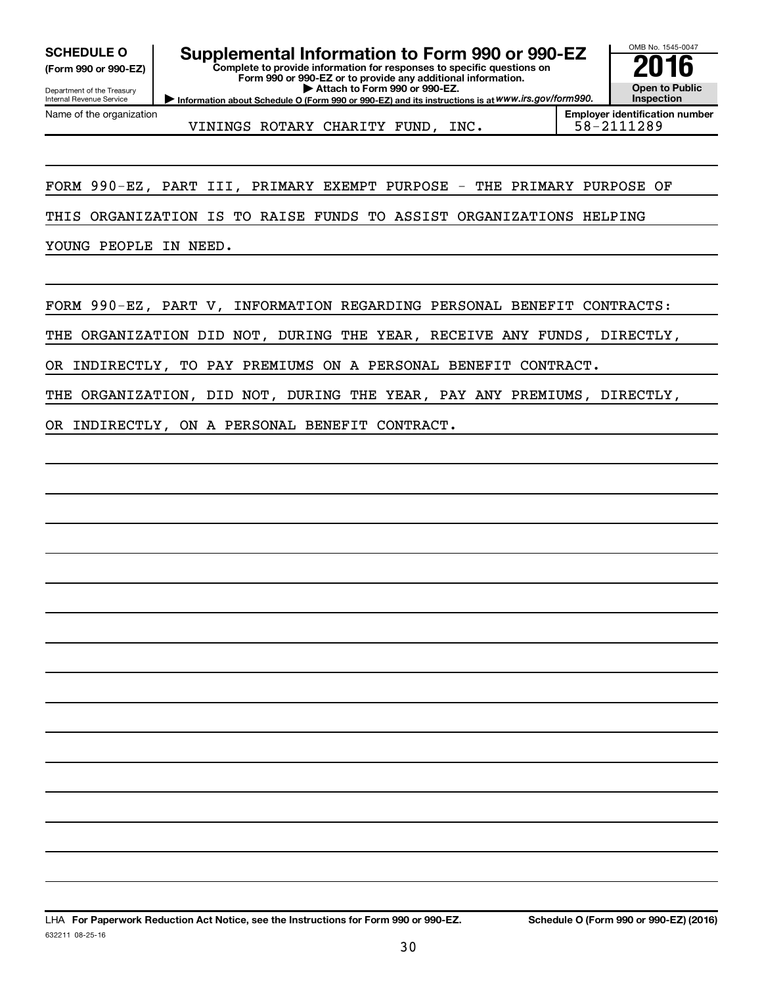**(Form 990 or 990-EZ)**

Department of the Treasury Internal Revenue Service Name of the organization

**Complete to provide information for responses to specific questions on** SCHEDULE O **Supplemental Information to Form 990 or 990-EZ 2016**<br>(Form 990 or 990-EZ) Complete to provide information for responses to specific questions on

**Form 990 or 990-EZ or to provide any additional information. | Attach to Form 990 or 990-EZ.**



VININGS ROTARY CHARITY FUND, INC.  $\vert$  58-2111289

**Inspection Employer identification number**

OMB No. 1545-0047

**Open to Public**

FORM 990-EZ, PART III, PRIMARY EXEMPT PURPOSE - THE PRIMARY PURPOSE OF

THIS ORGANIZATION IS TO RAISE FUNDS TO ASSIST ORGANIZATIONS HELPING

YOUNG PEOPLE IN NEED.

FORM 990-EZ, PART V, INFORMATION REGARDING PERSONAL BENEFIT CONTRACTS:

THE ORGANIZATION DID NOT, DURING THE YEAR, RECEIVE ANY FUNDS, DIRECTLY,

OR INDIRECTLY, TO PAY PREMIUMS ON A PERSONAL BENEFIT CONTRACT.

THE ORGANIZATION, DID NOT, DURING THE YEAR, PAY ANY PREMIUMS, DIRECTLY,

OR INDIRECTLY, ON A PERSONAL BENEFIT CONTRACT.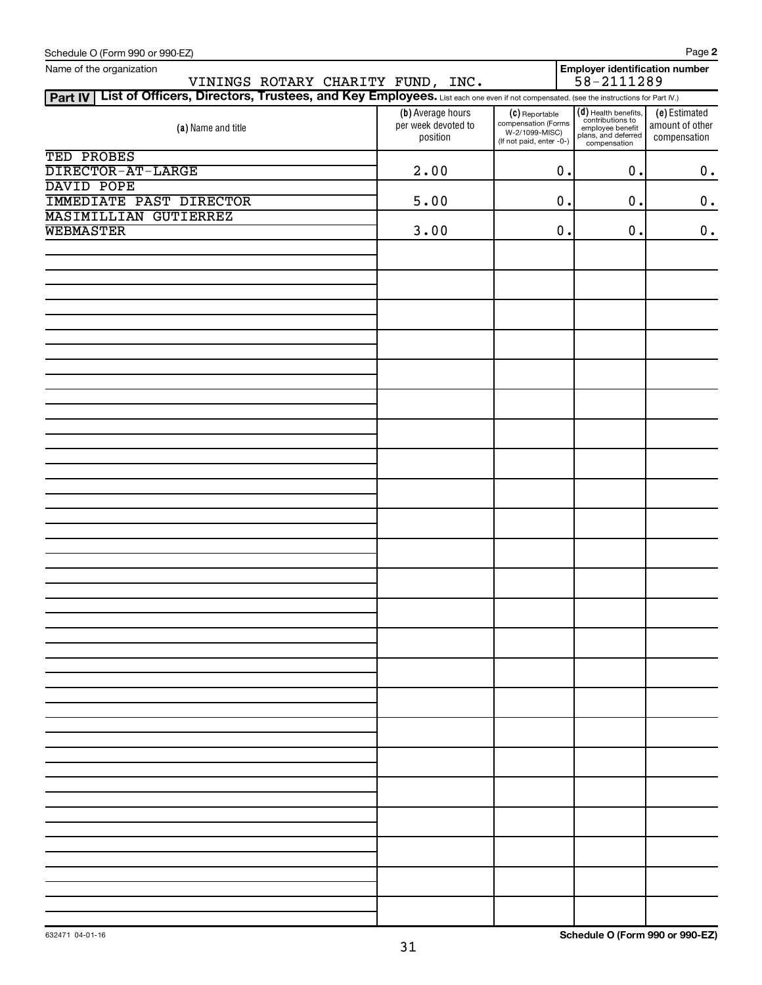| Schedule O (Form 990 or 990-EZ)                                                                                                                |                                                      |                                                                                     |                                                                                                     | Page 2                                           |
|------------------------------------------------------------------------------------------------------------------------------------------------|------------------------------------------------------|-------------------------------------------------------------------------------------|-----------------------------------------------------------------------------------------------------|--------------------------------------------------|
| Name of the organization<br>VININGS ROTARY CHARITY FUND, INC.                                                                                  |                                                      |                                                                                     | Employer identification number<br>$58 - 2111289$                                                    |                                                  |
| Part IV   List of Officers, Directors, Trustees, and Key Employees. List each one even if not compensated. (see the instructions for Part IV.) |                                                      |                                                                                     |                                                                                                     |                                                  |
| (a) Name and title                                                                                                                             | (b) Average hours<br>per week devoted to<br>position | (C) Reportable<br>compensation (Forms<br>W-2/1099-MISC)<br>(If not paid, enter -0-) | (d) Health benefits,<br>contributions to<br>employee benefit<br>plans, and deferred<br>compensation | (e) Estimated<br>amount of other<br>compensation |
| TED PROBES<br>DIRECTOR-AT-LARGE                                                                                                                | 2.00                                                 | $\mathbf 0$ .                                                                       | 0.                                                                                                  | $\boldsymbol{0}$ .                               |
| DAVID POPE                                                                                                                                     |                                                      |                                                                                     |                                                                                                     |                                                  |
| <b>IMMEDIATE PAST DIRECTOR</b>                                                                                                                 | 5.00                                                 | $\mathbf 0$ .                                                                       | 0.                                                                                                  | $\boldsymbol{0}$ .                               |
| <b>MASIMILLIAN GUTIERREZ</b>                                                                                                                   |                                                      |                                                                                     |                                                                                                     |                                                  |
| <b>WEBMASTER</b>                                                                                                                               | 3.00                                                 | $\mathbf 0$ .                                                                       | 0.                                                                                                  | $\boldsymbol{0}$ .                               |
|                                                                                                                                                |                                                      |                                                                                     |                                                                                                     |                                                  |
|                                                                                                                                                |                                                      |                                                                                     |                                                                                                     |                                                  |
|                                                                                                                                                |                                                      |                                                                                     |                                                                                                     |                                                  |
|                                                                                                                                                |                                                      |                                                                                     |                                                                                                     |                                                  |
|                                                                                                                                                |                                                      |                                                                                     |                                                                                                     |                                                  |
|                                                                                                                                                |                                                      |                                                                                     |                                                                                                     |                                                  |
|                                                                                                                                                |                                                      |                                                                                     |                                                                                                     |                                                  |
|                                                                                                                                                |                                                      |                                                                                     |                                                                                                     |                                                  |
|                                                                                                                                                |                                                      |                                                                                     |                                                                                                     |                                                  |
|                                                                                                                                                |                                                      |                                                                                     |                                                                                                     |                                                  |
|                                                                                                                                                |                                                      |                                                                                     |                                                                                                     |                                                  |
|                                                                                                                                                |                                                      |                                                                                     |                                                                                                     |                                                  |
|                                                                                                                                                |                                                      |                                                                                     |                                                                                                     |                                                  |
|                                                                                                                                                |                                                      |                                                                                     |                                                                                                     |                                                  |
|                                                                                                                                                |                                                      |                                                                                     |                                                                                                     |                                                  |